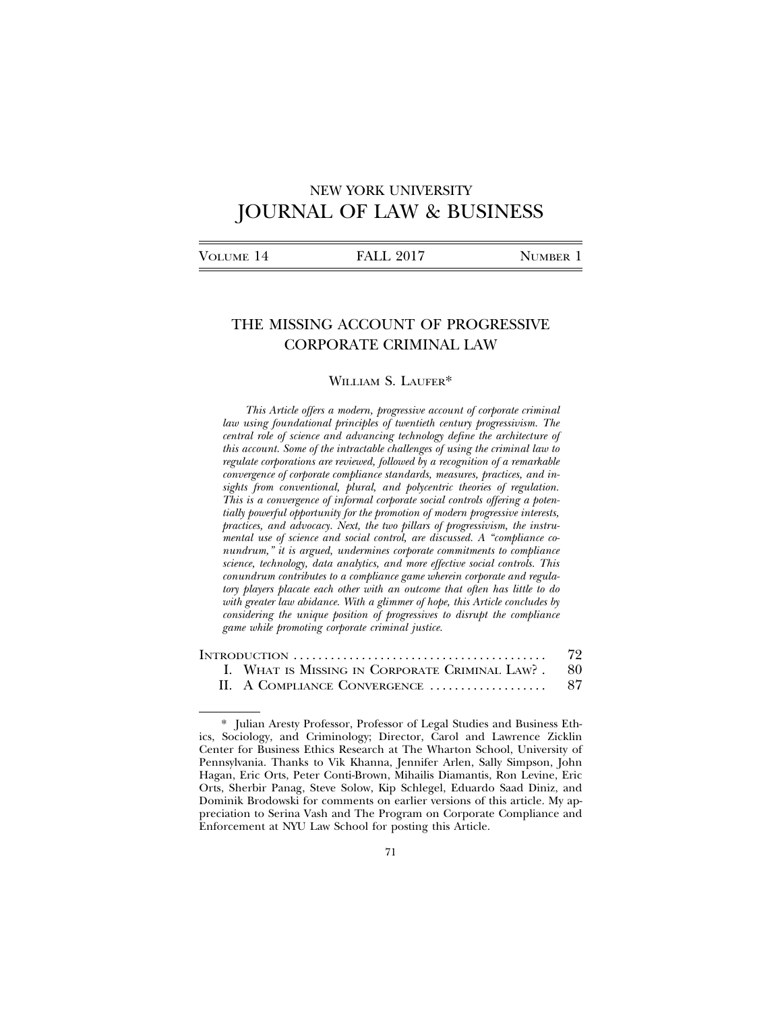# NEW YORK UNIVERSITY JOURNAL OF LAW & BUSINESS

## THE MISSING ACCOUNT OF PROGRESSIVE CORPORATE CRIMINAL LAW

### WILLIAM S. LAUFER\*

*This Article offers a modern, progressive account of corporate criminal law using foundational principles of twentieth century progressivism. The central role of science and advancing technology define the architecture of this account. Some of the intractable challenges of using the criminal law to regulate corporations are reviewed, followed by a recognition of a remarkable convergence of corporate compliance standards, measures, practices, and insights from conventional, plural, and polycentric theories of regulation. This is a convergence of informal corporate social controls offering a potentially powerful opportunity for the promotion of modern progressive interests, practices, and advocacy. Next, the two pillars of progressivism, the instrumental use of science and social control, are discussed. A "compliance conundrum," it is argued, undermines corporate commitments to compliance science, technology, data analytics, and more effective social controls. This conundrum contributes to a compliance game wherein corporate and regulatory players placate each other with an outcome that often has little to do with greater law abidance. With a glimmer of hope, this Article concludes by considering the unique position of progressives to disrupt the compliance game while promoting corporate criminal justice.*

|  |                                                    | 72 |
|--|----------------------------------------------------|----|
|  | I. WHAT IS MISSING IN CORPORATE CRIMINAL LAW? . 80 |    |
|  |                                                    |    |

<sup>\*</sup> Julian Aresty Professor, Professor of Legal Studies and Business Ethics, Sociology, and Criminology; Director, Carol and Lawrence Zicklin Center for Business Ethics Research at The Wharton School, University of Pennsylvania. Thanks to Vik Khanna, Jennifer Arlen, Sally Simpson, John Hagan, Eric Orts, Peter Conti-Brown, Mihailis Diamantis, Ron Levine, Eric Orts, Sherbir Panag, Steve Solow, Kip Schlegel, Eduardo Saad Diniz, and Dominik Brodowski for comments on earlier versions of this article. My appreciation to Serina Vash and The Program on Corporate Compliance and Enforcement at NYU Law School for posting this Article.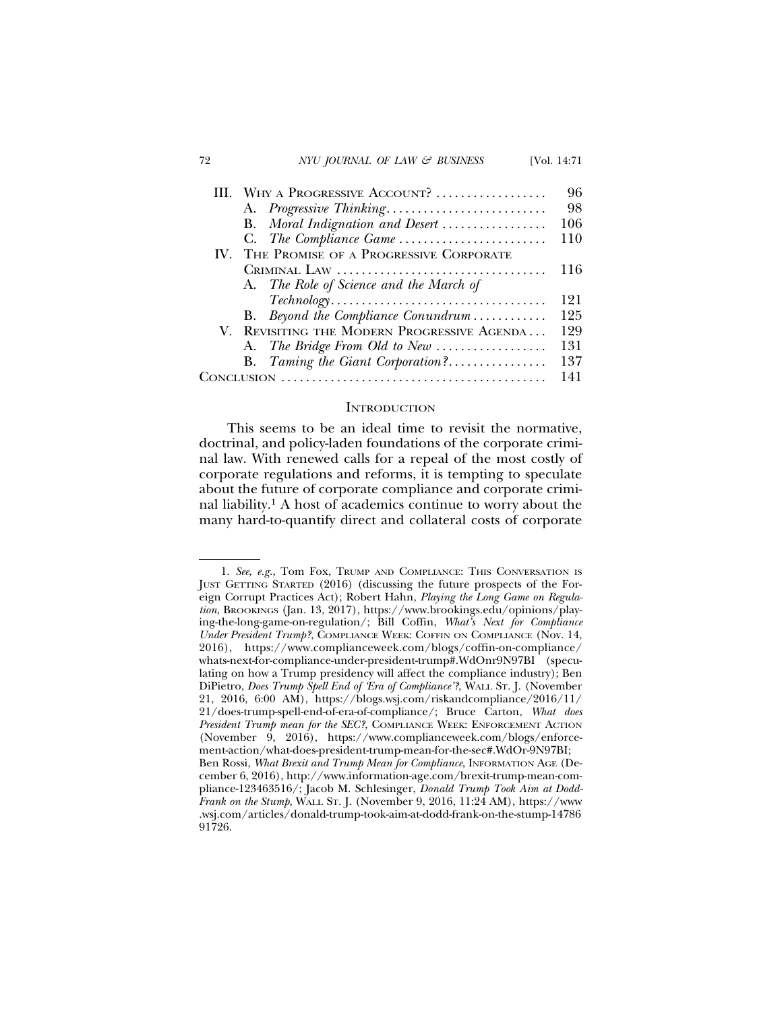### 72 *NYU JOURNAL OF LAW & BUSINESS* [Vol. 14:71

|  | WHY A PROGRESSIVE ACCOUNT?                                                                    | 96  |
|--|-----------------------------------------------------------------------------------------------|-----|
|  | A. Progressive Thinking                                                                       | 98  |
|  | B. Moral Indignation and Desert                                                               | 106 |
|  |                                                                                               | 110 |
|  | IV. THE PROMISE OF A PROGRESSIVE CORPORATE                                                    |     |
|  |                                                                                               | 116 |
|  | A. The Role of Science and the March of                                                       |     |
|  | $\textit{Technology} \dots \dots \dots \dots \dots \dots \dots \dots \dots \dots \dots \dots$ | 121 |
|  | B. Beyond the Compliance Conundrum                                                            | 125 |
|  | V. REVISITING THE MODERN PROGRESSIVE AGENDA                                                   | 129 |
|  | A. The Bridge From Old to New                                                                 | 131 |
|  | B. Taming the Giant Corporation?                                                              | 137 |
|  |                                                                                               | 141 |

### **INTRODUCTION**

This seems to be an ideal time to revisit the normative, doctrinal, and policy-laden foundations of the corporate criminal law. With renewed calls for a repeal of the most costly of corporate regulations and reforms, it is tempting to speculate about the future of corporate compliance and corporate criminal liability.1 A host of academics continue to worry about the many hard-to-quantify direct and collateral costs of corporate

<sup>1.</sup> *See, e.g.*, Tom Fox, TRUMP AND COMPLIANCE: THIS CONVERSATION IS JUST GETTING STARTED (2016) (discussing the future prospects of the Foreign Corrupt Practices Act); Robert Hahn, *Playing the Long Game on Regulation*, BROOKINGS (Jan. 13, 2017), https://www.brookings.edu/opinions/playing-the-long-game-on-regulation/; Bill Coffin, *What's Next for Compliance Under President Trump?*, COMPLIANCE WEEK: COFFIN ON COMPLIANCE (Nov. 14, 2016), https://www.complianceweek.com/blogs/coffin-on-compliance/ whats-next-for-compliance-under-president-trump#.WdOnr9N97BI (speculating on how a Trump presidency will affect the compliance industry); Ben DiPietro, *Does Trump Spell End of 'Era of Compliance'?*, WALL ST. J. (November 21, 2016, 6:00 AM), https://blogs.wsj.com/riskandcompliance/2016/11/ 21/does-trump-spell-end-of-era-of-compliance/; Bruce Carton, *What does President Trump mean for the SEC?*, COMPLIANCE WEEK: ENFORCEMENT ACTION (November 9, 2016), https://www.complianceweek.com/blogs/enforcement-action/what-does-president-trump-mean-for-the-sec#.WdOr-9N97BI; Ben Rossi, *What Brexit and Trump Mean for Compliance*, INFORMATION AGE (December 6, 2016), http://www.information-age.com/brexit-trump-mean-compliance-123463516/; Jacob M. Schlesinger, *Donald Trump Took Aim at Dodd-Frank on the Stump*, WALL ST. J. (November 9, 2016, 11:24 AM), https://www .wsj.com/articles/donald-trump-took-aim-at-dodd-frank-on-the-stump-14786 91726.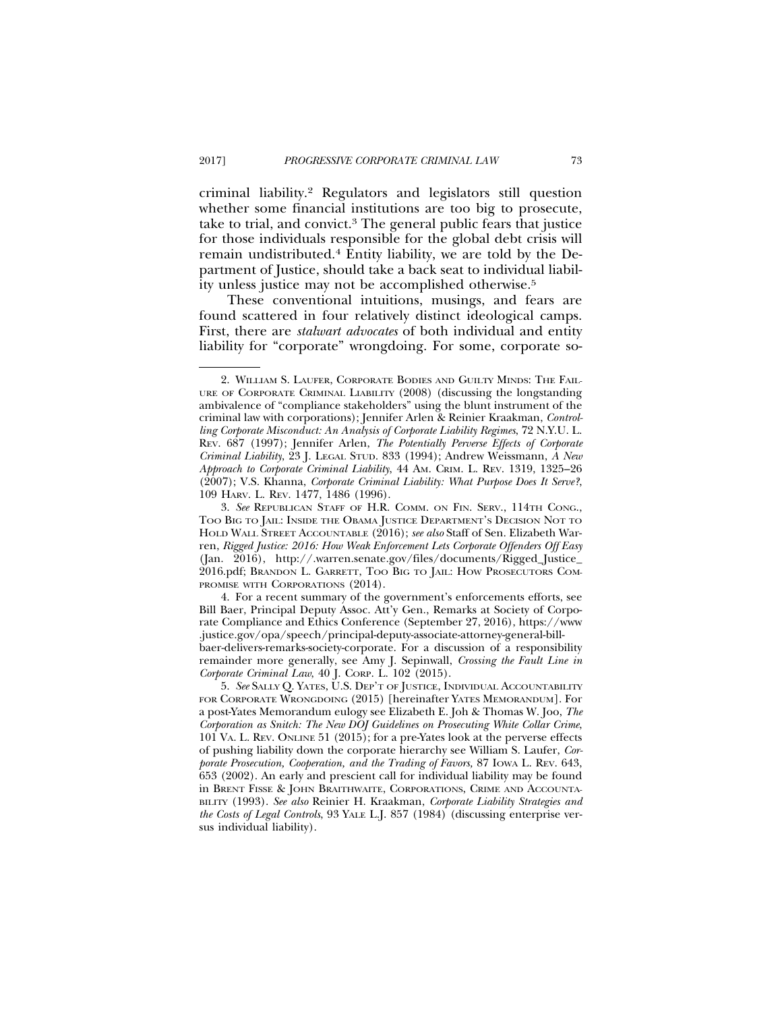criminal liability.2 Regulators and legislators still question whether some financial institutions are too big to prosecute, take to trial, and convict.3 The general public fears that justice for those individuals responsible for the global debt crisis will remain undistributed.4 Entity liability, we are told by the Department of Justice, should take a back seat to individual liability unless justice may not be accomplished otherwise.5

These conventional intuitions, musings, and fears are found scattered in four relatively distinct ideological camps. First, there are *stalwart advocates* of both individual and entity liability for "corporate" wrongdoing. For some, corporate so-

<sup>2.</sup> WILLIAM S. LAUFER, CORPORATE BODIES AND GUILTY MINDS: THE FAIL-URE OF CORPORATE CRIMINAL LIABILITY (2008) (discussing the longstanding ambivalence of "compliance stakeholders" using the blunt instrument of the criminal law with corporations); Jennifer Arlen & Reinier Kraakman, *Controlling Corporate Misconduct: An Analysis of Corporate Liability Regimes*, 72 N.Y.U. L. REV. 687 (1997); Jennifer Arlen, *The Potentially Perverse Effects of Corporate Criminal Liability*, 23 J. LEGAL STUD. 833 (1994); Andrew Weissmann, *A New Approach to Corporate Criminal Liability*, 44 AM. CRIM. L. REV. 1319, 1325–26 (2007); V.S. Khanna, *Corporate Criminal Liability: What Purpose Does It Serve?*, 109 HARV. L. REV. 1477, 1486 (1996).

<sup>3.</sup> *See* REPUBLICAN STAFF OF H.R. COMM. ON FIN. SERV., 114TH CONG., TOO BIG TO JAIL: INSIDE THE OBAMA JUSTICE DEPARTMENT'S DECISION NOT TO HOLD WALL STREET ACCOUNTABLE (2016); *see also* Staff of Sen. Elizabeth Warren, *Rigged Justice: 2016: How Weak Enforcement Lets Corporate Offenders Off Easy* (Jan. 2016), http://.warren.senate.gov/files/documents/Rigged\_Justice\_ 2016.pdf; BRANDON L. GARRETT, TOO BIG TO JAIL: HOW PROSECUTORS COM-PROMISE WITH CORPORATIONS (2014).

<sup>4.</sup> For a recent summary of the government's enforcements efforts, see Bill Baer, Principal Deputy Assoc. Att'y Gen., Remarks at Society of Corporate Compliance and Ethics Conference (September 27, 2016), https://www .justice.gov/opa/speech/principal-deputy-associate-attorney-general-billbaer-delivers-remarks-society-corporate. For a discussion of a responsibility remainder more generally, see Amy J. Sepinwall, *Crossing the Fault Line in Corporate Criminal Law*, 40 J. CORP. L. 102 (2015).

<sup>5.</sup> *See* SALLY Q. YATES, U.S. DEP'T OF JUSTICE, INDIVIDUAL ACCOUNTABILITY FOR CORPORATE WRONGDOING (2015) [hereinafter YATES MEMORANDUM]. For a post-Yates Memorandum eulogy see Elizabeth E. Joh & Thomas W. Joo, *The Corporation as Snitch: The New DOJ Guidelines on Prosecuting White Collar Crime*, 101 VA. L. REV. ONLINE 51 (2015); for a pre-Yates look at the perverse effects of pushing liability down the corporate hierarchy see William S. Laufer, *Corporate Prosecution, Cooperation, and the Trading of Favors,* 87 IOWA L. REV. 643, 653 (2002). An early and prescient call for individual liability may be found in BRENT FISSE & JOHN BRAITHWAITE, CORPORATIONS, CRIME AND ACCOUNTA-BILITY (1993). *See also* Reinier H. Kraakman, *Corporate Liability Strategies and the Costs of Legal Controls*, 93 YALE L.J. 857 (1984) (discussing enterprise versus individual liability).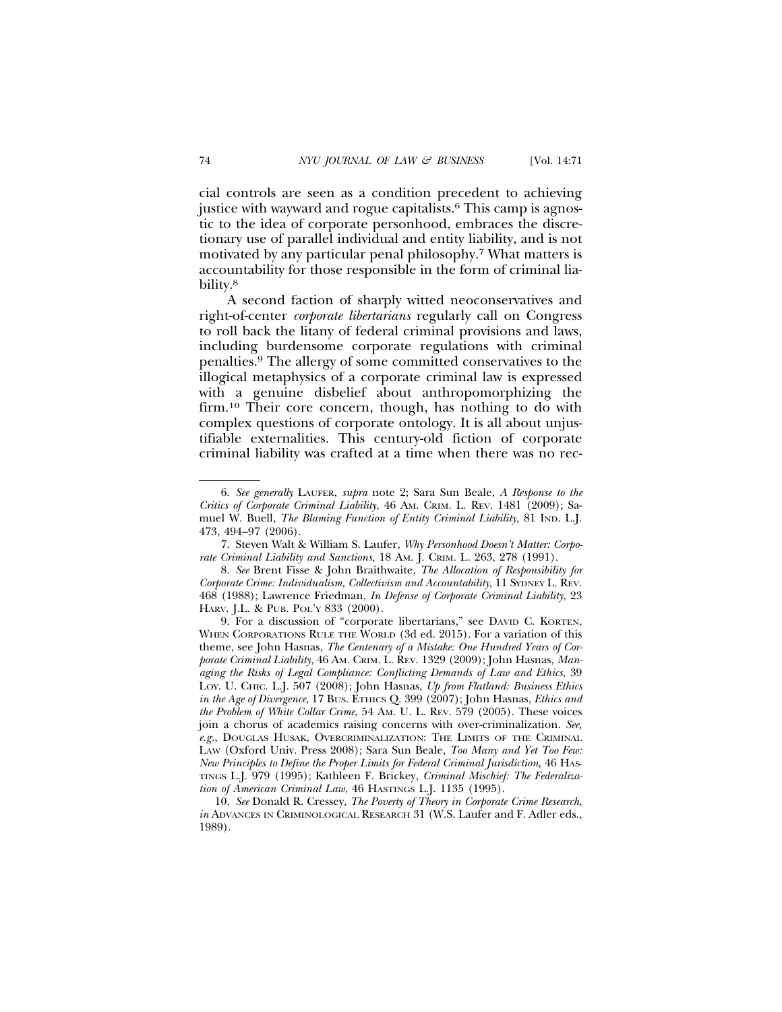cial controls are seen as a condition precedent to achieving justice with wayward and rogue capitalists.<sup>6</sup> This camp is agnostic to the idea of corporate personhood, embraces the discretionary use of parallel individual and entity liability, and is not motivated by any particular penal philosophy.7 What matters is accountability for those responsible in the form of criminal liability.<sup>8</sup>

A second faction of sharply witted neoconservatives and right-of-center *corporate libertarians* regularly call on Congress to roll back the litany of federal criminal provisions and laws, including burdensome corporate regulations with criminal penalties.9 The allergy of some committed conservatives to the illogical metaphysics of a corporate criminal law is expressed with a genuine disbelief about anthropomorphizing the firm.10 Their core concern, though, has nothing to do with complex questions of corporate ontology. It is all about unjustifiable externalities. This century-old fiction of corporate criminal liability was crafted at a time when there was no rec-

<sup>6.</sup> *See generally* LAUFER, *supra* note 2; Sara Sun Beale, *A Response to the Critics of Corporate Criminal Liability*, 46 AM. CRIM. L. REV. 1481 (2009); Samuel W. Buell, *The Blaming Function of Entity Criminal Liability,* 81 IND. L.J. 473, 494–97 (2006).

<sup>7.</sup> Steven Walt & William S. Laufer, *Why Personhood Doesn't Matter: Corporate Criminal Liability and Sanctions,* 18 AM. J. CRIM. L. 263, 278 (1991).

<sup>8.</sup> *See* Brent Fisse & John Braithwaite, *The Allocation of Responsibility for Corporate Crime: Individualism, Collectivism and Accountability*, 11 SYDNEY L. REV. 468 (1988); Lawrence Friedman, *In Defense of Corporate Criminal Liability*, 23 HARV. J.L. & PUB. POL'Y 833 (2000).

<sup>9.</sup> For a discussion of "corporate libertarians," see DAVID C. KORTEN, WHEN CORPORATIONS RULE THE WORLD (3d ed. 2015). For a variation of this theme, see John Hasnas, *The Centenary of a Mistake: One Hundred Years of Corporate Criminal Liability*, 46 AM. CRIM. L. REV. 1329 (2009); John Hasnas, *Managing the Risks of Legal Compliance: Conflicting Demands of Law and Ethics*, 39 LOY. U. CHIC. L.J. 507 (2008); John Hasnas, *Up from Flatland: Business Ethics in the Age of Divergence*, 17 BUS. ETHICS Q. 399 (2007); John Hasnas, *Ethics and the Problem of White Collar Crime*, 54 AM. U. L. REV. 579 (2005). These voices join a chorus of academics raising concerns with over-criminalization. *See, e.g.*, DOUGLAS HUSAK, OVERCRIMINALIZATION: THE LIMITS OF THE CRIMINAL LAW (Oxford Univ. Press 2008); Sara Sun Beale, *Too Many and Yet Too Few: New Principles to Define the Proper Limits for Federal Criminal Jurisdiction*, 46 HAS-TINGS L.J. 979 (1995); Kathleen F. Brickey, *Criminal Mischief: The Federalization of American Criminal Law*, 46 HASTINGS L.J. 1135 (1995).

<sup>10.</sup> *See* Donald R. Cressey, *The Poverty of Theory in Corporate Crime Research*, *in* ADVANCES IN CRIMINOLOGICAL RESEARCH 31 (W.S. Laufer and F. Adler eds., 1989).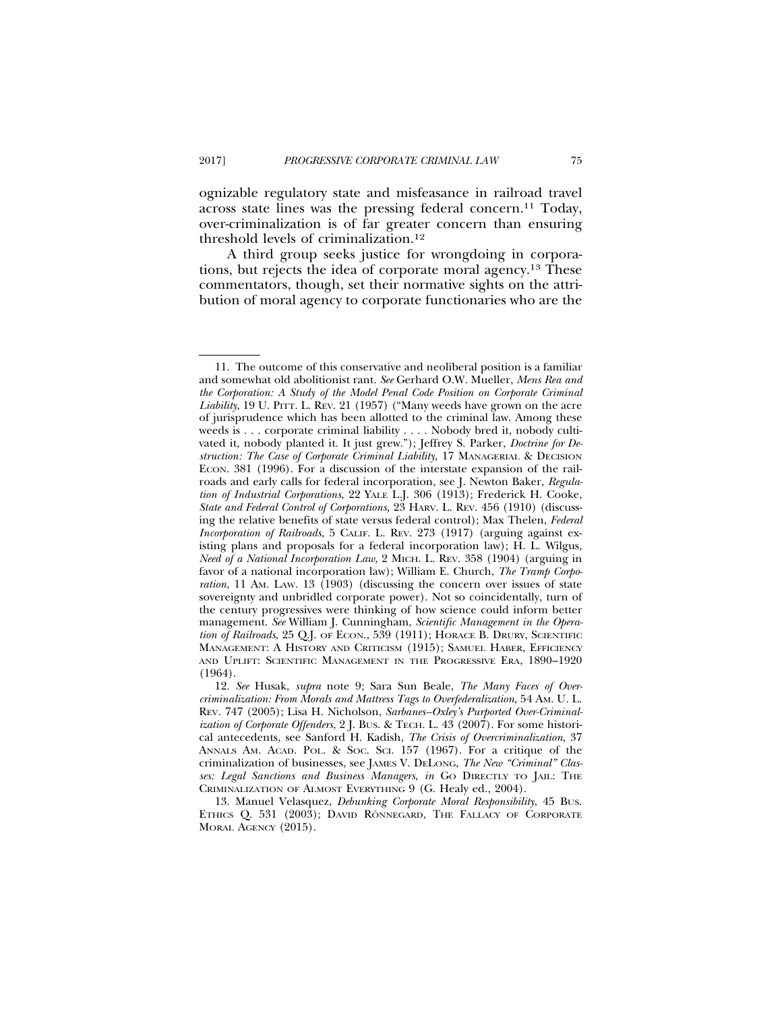ognizable regulatory state and misfeasance in railroad travel across state lines was the pressing federal concern.11 Today, over-criminalization is of far greater concern than ensuring threshold levels of criminalization.12

A third group seeks justice for wrongdoing in corporations, but rejects the idea of corporate moral agency.13 These commentators, though, set their normative sights on the attribution of moral agency to corporate functionaries who are the

<sup>11.</sup> The outcome of this conservative and neoliberal position is a familiar and somewhat old abolitionist rant. *See* Gerhard O.W. Mueller, *Mens Rea and the Corporation: A Study of the Model Penal Code Position on Corporate Criminal Liability*, 19 U. PITT. L. REV. 21 (1957) ("Many weeds have grown on the acre of jurisprudence which has been allotted to the criminal law. Among these weeds is . . . corporate criminal liability . . . . Nobody bred it, nobody cultivated it, nobody planted it. It just grew."); Jeffrey S. Parker, *Doctrine for Destruction: The Case of Corporate Criminal Liability,* 17 MANAGERIAL & DECISION ECON. 381 (1996). For a discussion of the interstate expansion of the railroads and early calls for federal incorporation, see J. Newton Baker, *Regulation of Industrial Corporations*, 22 YALE L.J. 306 (1913); Frederick H. Cooke, *State and Federal Control of Corporations,* 23 HARV. L. REV. 456 (1910) (discussing the relative benefits of state versus federal control); Max Thelen, *Federal Incorporation of Railroads*, 5 CALIF. L. REV. 273 (1917) (arguing against existing plans and proposals for a federal incorporation law); H. L. Wilgus, *Need of a National Incorporation Law*, 2 MICH. L. REV. 358 (1904) (arguing in favor of a national incorporation law); William E. Church, *The Tramp Corporation*, 11 Am. LAW. 13 (1903) (discussing the concern over issues of state sovereignty and unbridled corporate power). Not so coincidentally, turn of the century progressives were thinking of how science could inform better management. *See* William J. Cunningham, *Scientific Management in the Operation of Railroads*, 25 Q.J. OF ECON., 539 (1911); HORACE B. DRURY, SCIENTIFIC MANAGEMENT: A HISTORY AND CRITICISM (1915); SAMUEL HABER, EFFICIENCY AND UPLIFT: SCIENTIFIC MANAGEMENT IN THE PROGRESSIVE ERA, 1890–1920 (1964).

<sup>12.</sup> *See* Husak, *supra* note 9; Sara Sun Beale, *The Many Faces of Overcriminalization: From Morals and Mattress Tags to Overfederalization*, 54 AM. U. L. REV*.* 747 (2005); Lisa H. Nicholson, *Sarbanes–Oxley's Purported Over-Criminalization of Corporate Offenders*, 2 J. BUS. & TECH. L. 43 (2007). For some historical antecedents, see Sanford H. Kadish, *The Crisis of Overcriminalization*, 37 ANNALS AM. ACAD. POL. & SOC. SCI. 157 (1967). For a critique of the criminalization of businesses, see JAMES V. DELONG, *The New "Criminal" Classes: Legal Sanctions and Business Managers*, *in* GO DIRECTLY TO JAIL: THE CRIMINALIZATION OF ALMOST EVERYTHING 9 (G. Healy ed., 2004).

<sup>13.</sup> Manuel Velasquez, *Debunking Corporate Moral Responsibility*, 45 BUS. ETHICS Q. 531 (2003); DAVID RÖNNEGARD, THE FALLACY OF CORPORATE MORAL AGENCY (2015).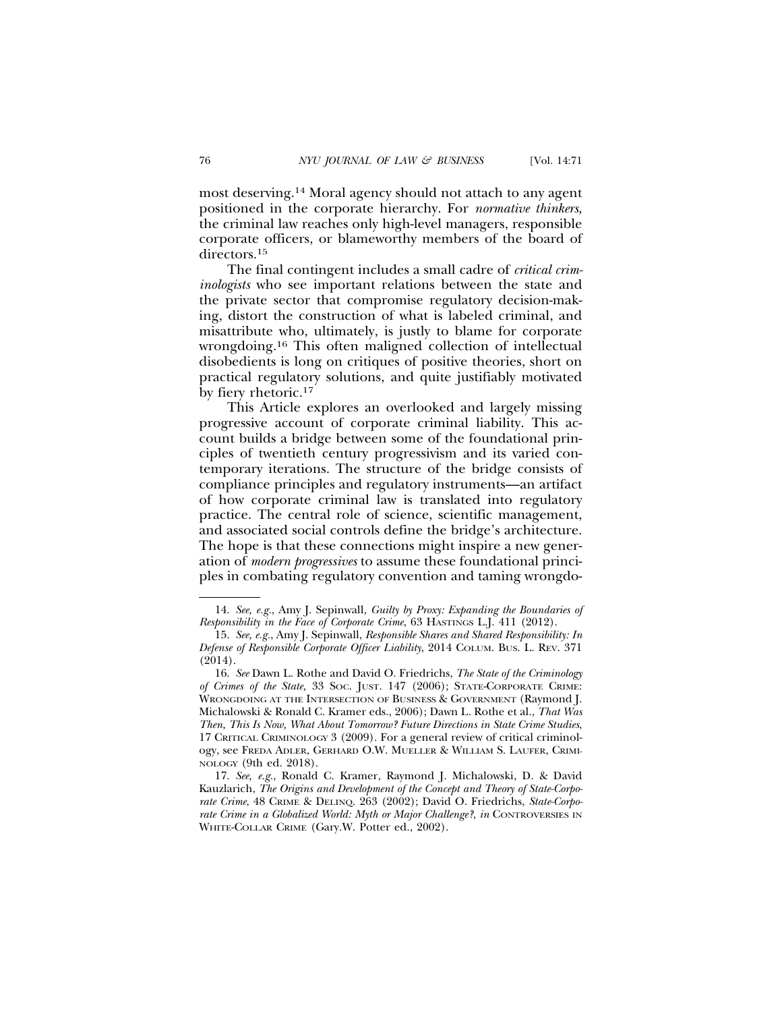most deserving.14 Moral agency should not attach to any agent positioned in the corporate hierarchy. For *normative thinkers*, the criminal law reaches only high-level managers, responsible corporate officers, or blameworthy members of the board of directors.15

The final contingent includes a small cadre of *critical criminologists* who see important relations between the state and the private sector that compromise regulatory decision-making, distort the construction of what is labeled criminal, and misattribute who, ultimately, is justly to blame for corporate wrongdoing.16 This often maligned collection of intellectual disobedients is long on critiques of positive theories, short on practical regulatory solutions, and quite justifiably motivated by fiery rhetoric.17

This Article explores an overlooked and largely missing progressive account of corporate criminal liability. This account builds a bridge between some of the foundational principles of twentieth century progressivism and its varied contemporary iterations. The structure of the bridge consists of compliance principles and regulatory instruments—an artifact of how corporate criminal law is translated into regulatory practice. The central role of science, scientific management, and associated social controls define the bridge's architecture. The hope is that these connections might inspire a new generation of *modern progressives* to assume these foundational principles in combating regulatory convention and taming wrongdo-

<sup>14.</sup> *See, e.g.*, Amy J. Sepinwall, *Guilty by Proxy: Expanding the Boundaries of Responsibility in the Face of Corporate Crime*, 63 HASTINGS L.J. 411 (2012).

<sup>15.</sup> *See, e.g.*, Amy J. Sepinwall, *Responsible Shares and Shared Responsibility: In Defense of Responsible Corporate Officer Liability*, 2014 COLUM. BUS. L. REV. 371  $(2014).$ 

<sup>16.</sup> *See* Dawn L. Rothe and David O. Friedrichs, *The State of the Criminology of Crimes of the State,* 33 SOC. JUST. 147 (2006); STATE-CORPORATE CRIME: WRONGDOING AT THE INTERSECTION OF BUSINESS & GOVERNMENT (Raymond J. Michalowski & Ronald C. Kramer eds., 2006); Dawn L. Rothe et al., *That Was Then, This Is Now, What About Tomorrow? Future Directions in State Crime Studies*, 17 CRITICAL CRIMINOLOGY 3 (2009). For a general review of critical criminology, see FREDA ADLER, GERHARD O.W. MUELLER & WILLIAM S. LAUFER, CRIMI-NOLOGY (9th ed. 2018).

<sup>17.</sup> *See, e.g.*, Ronald C. Kramer, Raymond J. Michalowski, D. & David Kauzlarich, *The Origins and Development of the Concept and Theory of State-Corporate Crime*, 48 CRIME & DELINQ. 263 (2002); David O. Friedrichs, *State-Corporate Crime in a Globalized World: Myth or Major Challenge?*, *in* CONTROVERSIES IN WHITE-COLLAR CRIME (Gary.W. Potter ed., 2002).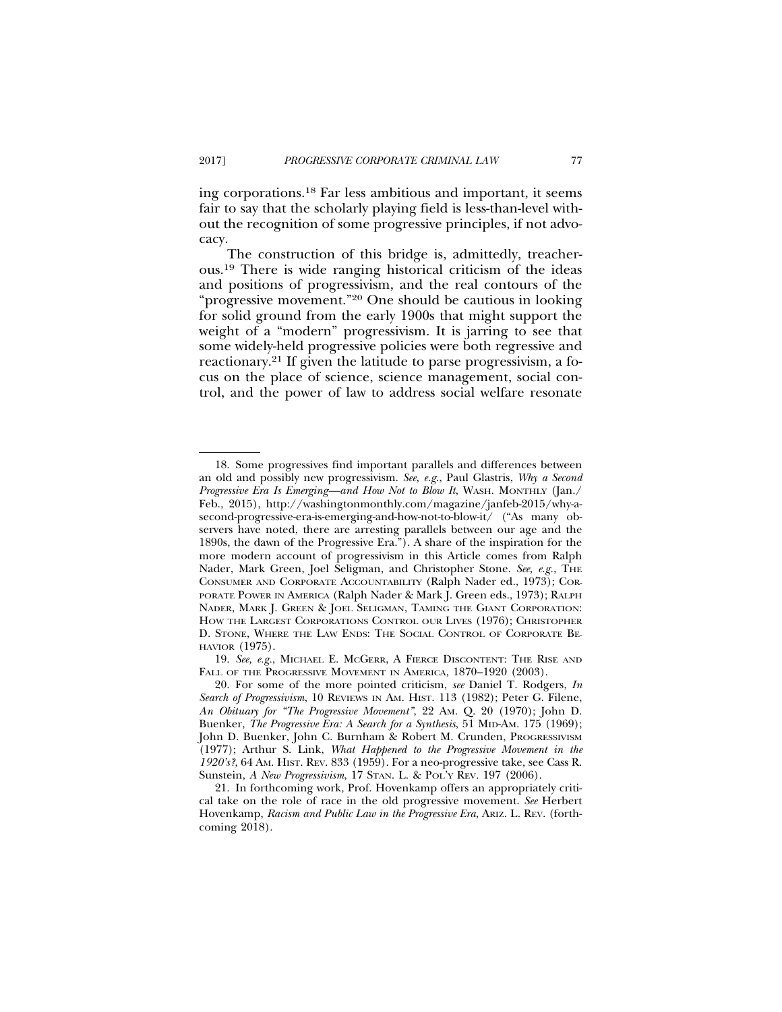ing corporations.18 Far less ambitious and important, it seems fair to say that the scholarly playing field is less-than-level without the recognition of some progressive principles, if not advocacy.

The construction of this bridge is, admittedly, treacherous.19 There is wide ranging historical criticism of the ideas and positions of progressivism, and the real contours of the "progressive movement."20 One should be cautious in looking for solid ground from the early 1900s that might support the weight of a "modern" progressivism. It is jarring to see that some widely-held progressive policies were both regressive and reactionary.21 If given the latitude to parse progressivism, a focus on the place of science, science management, social control, and the power of law to address social welfare resonate

<sup>18.</sup> Some progressives find important parallels and differences between an old and possibly new progressivism. *See, e.g.*, Paul Glastris, *Why a Second Progressive Era Is Emerging—and How Not to Blow It*, WASH. MONTHLY (Jan./ Feb., 2015), http://washingtonmonthly.com/magazine/janfeb-2015/why-asecond-progressive-era-is-emerging-and-how-not-to-blow-it/ ("As many observers have noted, there are arresting parallels between our age and the 1890s, the dawn of the Progressive Era."). A share of the inspiration for the more modern account of progressivism in this Article comes from Ralph Nader, Mark Green, Joel Seligman, and Christopher Stone. See, e.g., THE CONSUMER AND CORPORATE ACCOUNTABILITY (Ralph Nader ed., 1973); COR-PORATE POWER IN AMERICA (Ralph Nader & Mark J. Green eds., 1973); RALPH NADER, MARK J. GREEN & JOEL SELIGMAN, TAMING THE GIANT CORPORATION: HOW THE LARGEST CORPORATIONS CONTROL OUR LIVES (1976); CHRISTOPHER D. STONE, WHERE THE LAW ENDS: THE SOCIAL CONTROL OF CORPORATE BE-HAVIOR (1975).

<sup>19.</sup> *See, e.g.*, MICHAEL E. MCGERR, A FIERCE DISCONTENT: THE RISE AND FALL OF THE PROGRESSIVE MOVEMENT IN AMERICA, 1870-1920 (2003).

<sup>20.</sup> For some of the more pointed criticism, *see* Daniel T. Rodgers, *In Search of Progressivism*, 10 REVIEWS IN AM. HIST. 113 (1982); Peter G. Filene, *An Obituary for "The Progressive Movement"*, 22 AM. Q. 20 (1970); John D. Buenker, *The Progressive Era: A Search for a Synthesis*, 51 MID-AM. 175 (1969); John D. Buenker, John C. Burnham & Robert M. Crunden, PROGRESSIVISM (1977); Arthur S. Link, *What Happened to the Progressive Movement in the 1920's?*, 64 AM. HIST. REV. 833 (1959). For a neo-progressive take, see Cass R. Sunstein, *A New Progressivism*, 17 STAN. L. & POL'Y REV*.* 197 (2006).

<sup>21.</sup> In forthcoming work, Prof. Hovenkamp offers an appropriately critical take on the role of race in the old progressive movement. *See* Herbert Hovenkamp, *Racism and Public Law in the Progressive Era*, ARIZ. L. REV. (forthcoming 2018).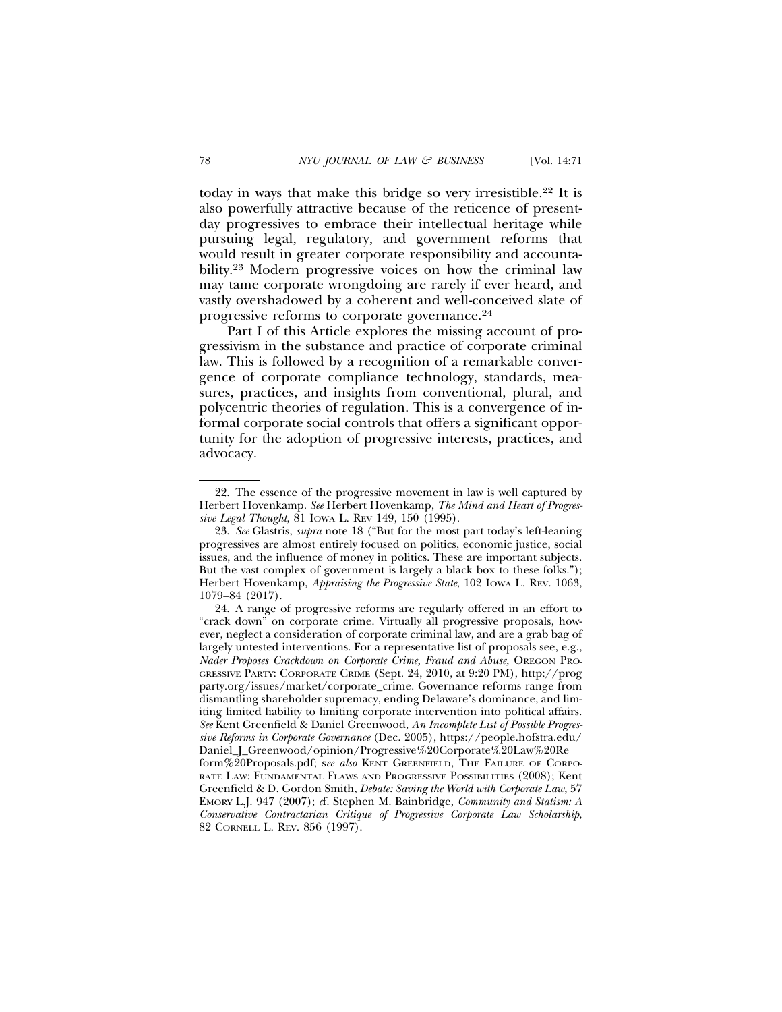today in ways that make this bridge so very irresistible.22 It is also powerfully attractive because of the reticence of presentday progressives to embrace their intellectual heritage while pursuing legal, regulatory, and government reforms that would result in greater corporate responsibility and accountability.23 Modern progressive voices on how the criminal law may tame corporate wrongdoing are rarely if ever heard, and vastly overshadowed by a coherent and well-conceived slate of progressive reforms to corporate governance.24

Part I of this Article explores the missing account of progressivism in the substance and practice of corporate criminal law. This is followed by a recognition of a remarkable convergence of corporate compliance technology, standards, measures, practices, and insights from conventional, plural, and polycentric theories of regulation. This is a convergence of informal corporate social controls that offers a significant opportunity for the adoption of progressive interests, practices, and advocacy.

<sup>22.</sup> The essence of the progressive movement in law is well captured by Herbert Hovenkamp. *See* Herbert Hovenkamp, *The Mind and Heart of Progressive Legal Thought*, 81 IOWA L. REV 149, 150 (1995).

<sup>23.</sup> *See* Glastris, *supra* note 18 ("But for the most part today's left-leaning progressives are almost entirely focused on politics, economic justice, social issues, and the influence of money in politics. These are important subjects. But the vast complex of government is largely a black box to these folks."); Herbert Hovenkamp, *Appraising the Progressive State*, 102 IOWA L. REV. 1063, 1079–84 (2017).

<sup>24.</sup> A range of progressive reforms are regularly offered in an effort to "crack down" on corporate crime. Virtually all progressive proposals, however, neglect a consideration of corporate criminal law, and are a grab bag of largely untested interventions. For a representative list of proposals see, e.g., *Nader Proposes Crackdown on Corporate Crime, Fraud and Abuse,* OREGON PRO-GRESSIVE PARTY: CORPORATE CRIME (Sept. 24, 2010, at 9:20 PM), http://prog party.org/issues/market/corporate\_crime. Governance reforms range from dismantling shareholder supremacy, ending Delaware's dominance, and limiting limited liability to limiting corporate intervention into political affairs. *See* Kent Greenfield & Daniel Greenwood, *An Incomplete List of Possible Progressive Reforms in Corporate Governance* (Dec. 2005), https://people.hofstra.edu/ Daniel\_J\_Greenwood/opinion/Progressive%20Corporate%20Law%20Re form%20Proposals.pdf; s*ee also* KENT GREENFIELD, THE FAILURE OF CORPO-RATE LAW: FUNDAMENTAL FLAWS AND PROGRESSIVE POSSIBILITIES (2008); Kent Greenfield & D. Gordon Smith, *Debate: Saving the World with Corporate Law*, 57 EMORY L.J. 947 (2007); *c*f. Stephen M. Bainbridge, *Community and Statism: A Conservative Contractarian Critique of Progressive Corporate Law Scholarship*, 82 CORNELL L. REV. 856 (1997).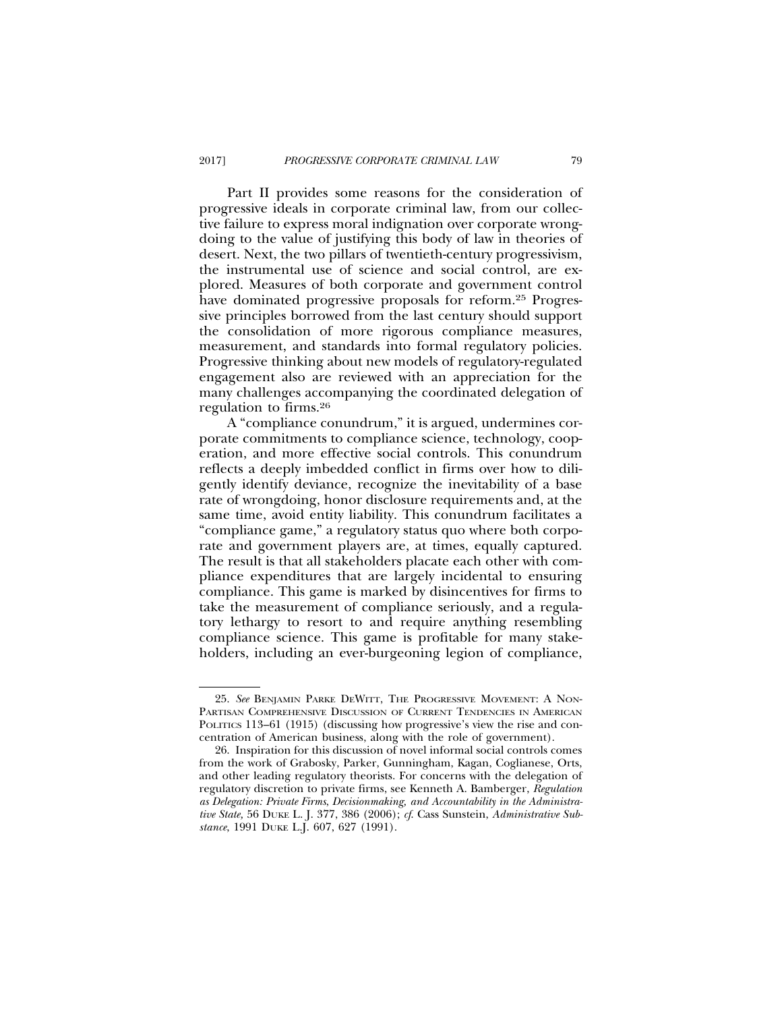Part II provides some reasons for the consideration of progressive ideals in corporate criminal law, from our collective failure to express moral indignation over corporate wrongdoing to the value of justifying this body of law in theories of desert. Next, the two pillars of twentieth-century progressivism, the instrumental use of science and social control, are explored. Measures of both corporate and government control have dominated progressive proposals for reform.<sup>25</sup> Progressive principles borrowed from the last century should support the consolidation of more rigorous compliance measures, measurement, and standards into formal regulatory policies. Progressive thinking about new models of regulatory-regulated engagement also are reviewed with an appreciation for the many challenges accompanying the coordinated delegation of regulation to firms.26

A "compliance conundrum," it is argued, undermines corporate commitments to compliance science, technology, cooperation, and more effective social controls. This conundrum reflects a deeply imbedded conflict in firms over how to diligently identify deviance, recognize the inevitability of a base rate of wrongdoing, honor disclosure requirements and, at the same time, avoid entity liability. This conundrum facilitates a "compliance game," a regulatory status quo where both corporate and government players are, at times, equally captured. The result is that all stakeholders placate each other with compliance expenditures that are largely incidental to ensuring compliance. This game is marked by disincentives for firms to take the measurement of compliance seriously, and a regulatory lethargy to resort to and require anything resembling compliance science. This game is profitable for many stakeholders, including an ever-burgeoning legion of compliance,

<sup>25.</sup> *See* BENJAMIN PARKE DEWITT, THE PROGRESSIVE MOVEMENT: A NON-PARTISAN COMPREHENSIVE DISCUSSION OF CURRENT TENDENCIES IN AMERICAN POLITICS 113-61 (1915) (discussing how progressive's view the rise and concentration of American business, along with the role of government).

<sup>26.</sup> Inspiration for this discussion of novel informal social controls comes from the work of Grabosky, Parker, Gunningham, Kagan, Coglianese, Orts, and other leading regulatory theorists. For concerns with the delegation of regulatory discretion to private firms, see Kenneth A. Bamberger, *Regulation as Delegation: Private Firms*, *Decisionmaking, and Accountability in the Administrative State,* 56 DUKE L. J. 377, 386 (2006); *cf*. Cass Sunstein, *Administrative Substance*, 1991 DUKE L.J. 607, 627 (1991).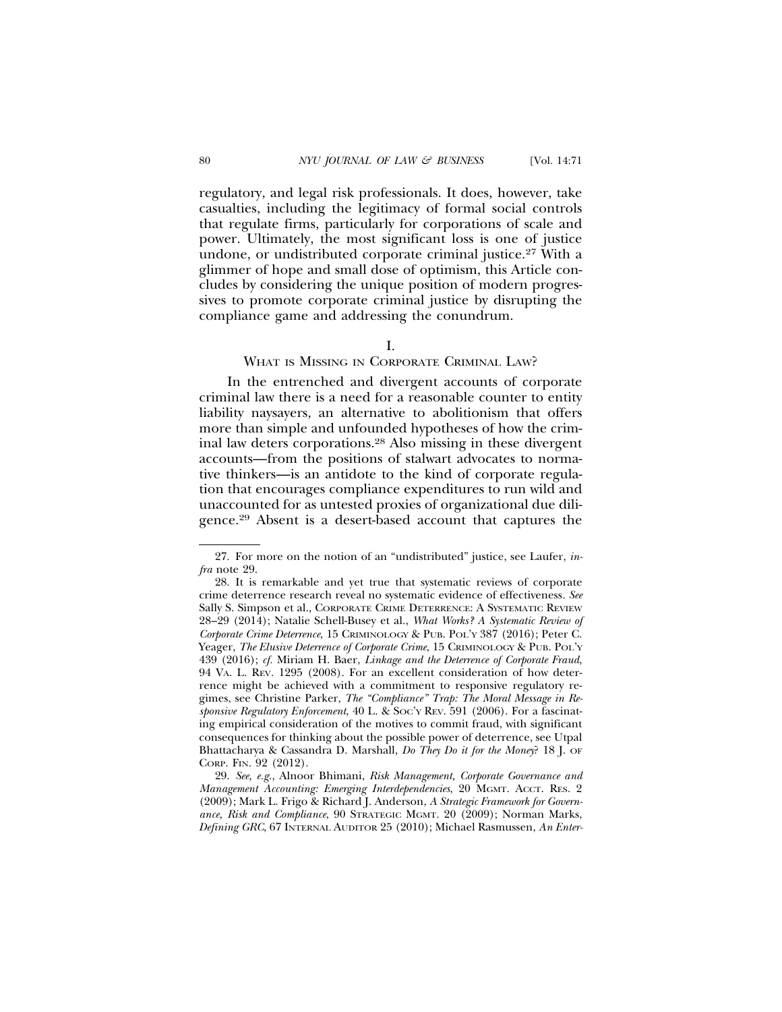regulatory, and legal risk professionals. It does, however, take casualties, including the legitimacy of formal social controls that regulate firms, particularly for corporations of scale and power. Ultimately, the most significant loss is one of justice undone, or undistributed corporate criminal justice.27 With a glimmer of hope and small dose of optimism, this Article concludes by considering the unique position of modern progressives to promote corporate criminal justice by disrupting the compliance game and addressing the conundrum.

### I.

### WHAT IS MISSING IN CORPORATE CRIMINAL LAW?

In the entrenched and divergent accounts of corporate criminal law there is a need for a reasonable counter to entity liability naysayers, an alternative to abolitionism that offers more than simple and unfounded hypotheses of how the criminal law deters corporations.28 Also missing in these divergent accounts—from the positions of stalwart advocates to normative thinkers—is an antidote to the kind of corporate regulation that encourages compliance expenditures to run wild and unaccounted for as untested proxies of organizational due diligence.29 Absent is a desert-based account that captures the

<sup>27.</sup> For more on the notion of an "undistributed" justice, see Laufer, *infra* note 29.

<sup>28.</sup> It is remarkable and yet true that systematic reviews of corporate crime deterrence research reveal no systematic evidence of effectiveness*. See* Sally S. Simpson et al., CORPORATE CRIME DETERRENCE: A SYSTEMATIC REVIEW 28–29 (2014); Natalie Schell-Busey et al., *What Works? A Systematic Review of Corporate Crime Deterrence*, 15 CRIMINOLOGY & PUB. POL'Y 387 (2016); Peter C. Yeager, *The Elusive Deterrence of Corporate Crime*, 15 CRIMINOLOGY & PUB. POL'Y 439 (2016); *cf.* Miriam H. Baer, *Linkage and the Deterrence of Corporate Fraud*, 94 VA. L. REV*.* 1295 (2008). For an excellent consideration of how deterrence might be achieved with a commitment to responsive regulatory regimes, see Christine Parker, *The "Compliance" Trap: The Moral Message in Responsive Regulatory Enforcement*, 40 L. & SOC'Y REV. 591 (2006). For a fascinating empirical consideration of the motives to commit fraud, with significant consequences for thinking about the possible power of deterrence, see Utpal Bhattacharya & Cassandra D. Marshall, *Do They Do it for the Money*? 18 J. OF CORP. FIN. 92 (2012).

<sup>29.</sup> *See, e.g.*, Alnoor Bhimani, *Risk Management, Corporate Governance and Management Accounting: Emerging Interdependencies*, 20 MGMT. ACCT. RES. 2 (2009); Mark L. Frigo & Richard J. Anderson, *A Strategic Framework for Governance, Risk and Compliance*, 90 STRATEGIC MGMT. 20 (2009); Norman Marks, *Defining GRC*, 67 INTERNAL AUDITOR 25 (2010); Michael Rasmussen, *An Enter-*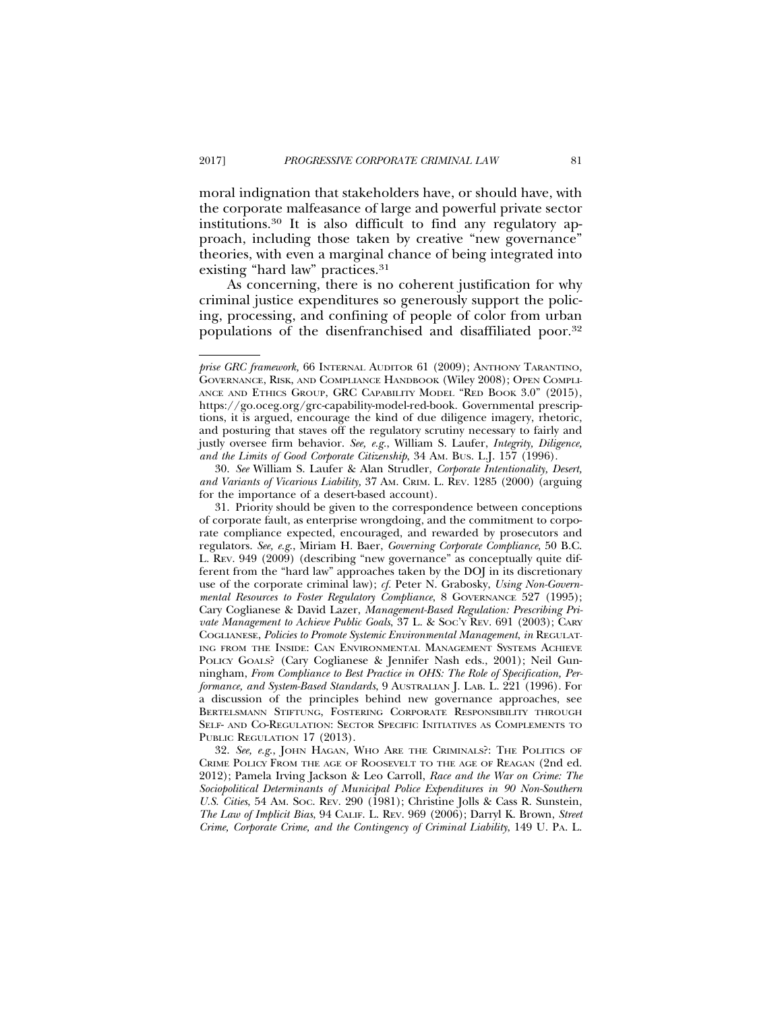moral indignation that stakeholders have, or should have, with the corporate malfeasance of large and powerful private sector institutions.30 It is also difficult to find any regulatory approach, including those taken by creative "new governance" theories, with even a marginal chance of being integrated into existing "hard law" practices.<sup>31</sup>

As concerning, there is no coherent justification for why criminal justice expenditures so generously support the policing, processing, and confining of people of color from urban populations of the disenfranchised and disaffiliated poor.32

32. *See, e.g*., JOHN HAGAN, WHO ARE THE CRIMINALS?: THE POLITICS OF CRIME POLICY FROM THE AGE OF ROOSEVELT TO THE AGE OF REAGAN (2nd ed. 2012); Pamela Irving Jackson & Leo Carroll, *Race and the War on Crime: The Sociopolitical Determinants of Municipal Police Expenditures in 90 Non-Southern U.S. Cities*, 54 AM. SOC. REV. 290 (1981); Christine Jolls & Cass R. Sunstein, *The Law of Implicit Bias*, 94 CALIF. L. REV. 969 (2006); Darryl K. Brown, *Street Crime, Corporate Crime, and the Contingency of Criminal Liability*, 149 U. PA. L.

*prise GRC framework,* 66 INTERNAL AUDITOR 61 (2009); ANTHONY TARANTINO, GOVERNANCE, RISK, AND COMPLIANCE HANDBOOK (Wiley 2008); OPEN COMPLI-ANCE AND ETHICS GROUP, GRC CAPABILITY MODEL "RED BOOK 3.0" (2015), https://go.oceg.org/grc-capability-model-red-book. Governmental prescriptions, it is argued, encourage the kind of due diligence imagery, rhetoric, and posturing that staves off the regulatory scrutiny necessary to fairly and justly oversee firm behavior. *See, e.g.*, William S. Laufer, *Integrity, Diligence, and the Limits of Good Corporate Citizenship*, 34 AM. BUS. L.J. 157 (1996).

<sup>30.</sup> *See* William S. Laufer & Alan Strudler, *Corporate Intentionality, Desert, and Variants of Vicarious Liability,* 37 AM. CRIM. L. REV. 1285 (2000) (arguing for the importance of a desert-based account).

<sup>31.</sup> Priority should be given to the correspondence between conceptions of corporate fault, as enterprise wrongdoing, and the commitment to corporate compliance expected, encouraged, and rewarded by prosecutors and regulators. *See, e.g*., Miriam H. Baer, *Governing Corporate Compliance*, 50 B.C. L. REV. 949 (2009) (describing "new governance" as conceptually quite different from the "hard law" approaches taken by the DOJ in its discretionary use of the corporate criminal law); *cf.* Peter N. Grabosky, *Using Non-Governmental Resources to Foster Regulatory Compliance*, 8 GOVERNANCE 527 (1995); Cary Coglianese & David Lazer, *Management-Based Regulation: Prescribing Private Management to Achieve Public Goals*, 37 L. & SOC'Y REV. 691 (2003); CARY COGLIANESE, *Policies to Promote Systemic Environmental Management*, *in* REGULAT-ING FROM THE INSIDE: CAN ENVIRONMENTAL MANAGEMENT SYSTEMS ACHIEVE POLICY GOALS? (Cary Coglianese & Jennifer Nash eds., 2001); Neil Gunningham, *From Compliance to Best Practice in OHS: The Role of Specification, Performance, and System-Based Standards*, 9 AUSTRALIAN J. LAB. L. 221 (1996). For a discussion of the principles behind new governance approaches, see BERTELSMANN STIFTUNG, FOSTERING CORPORATE RESPONSIBILITY THROUGH SELF- AND CO-REGULATION: SECTOR SPECIFIC INITIATIVES AS COMPLEMENTS TO PUBLIC REGULATION 17 (2013).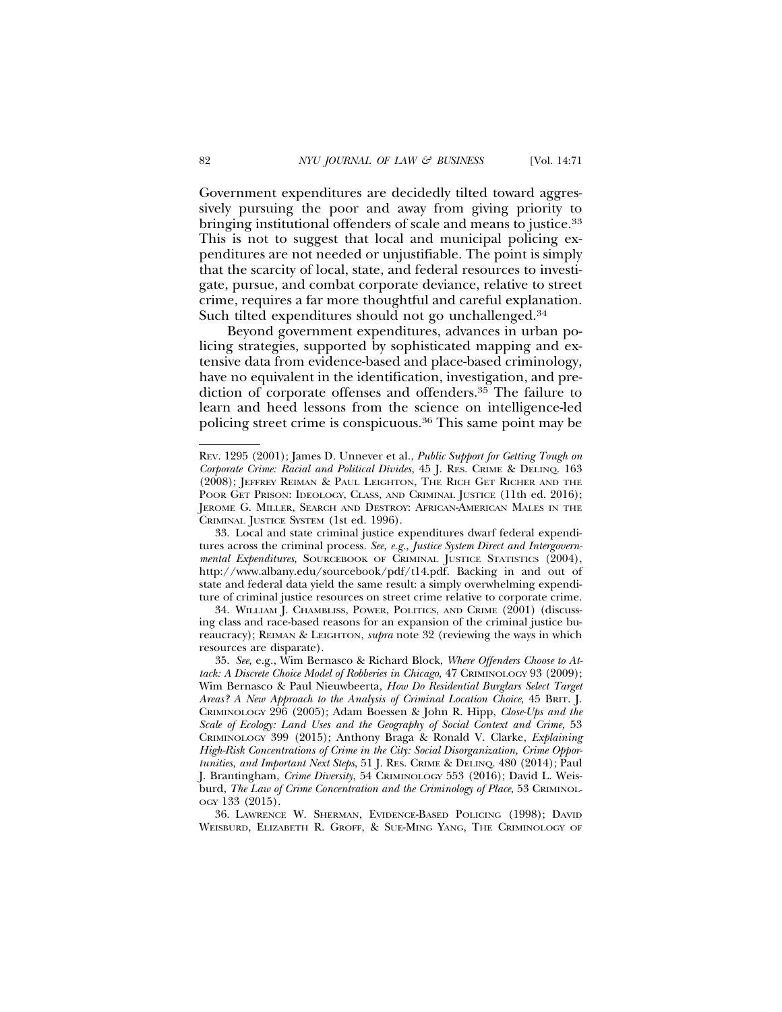Government expenditures are decidedly tilted toward aggressively pursuing the poor and away from giving priority to bringing institutional offenders of scale and means to justice.33 This is not to suggest that local and municipal policing expenditures are not needed or unjustifiable. The point is simply that the scarcity of local, state, and federal resources to investigate, pursue, and combat corporate deviance, relative to street

Such tilted expenditures should not go unchallenged.<sup>34</sup> Beyond government expenditures, advances in urban policing strategies, supported by sophisticated mapping and extensive data from evidence-based and place-based criminology, have no equivalent in the identification, investigation, and prediction of corporate offenses and offenders.35 The failure to learn and heed lessons from the science on intelligence-led policing street crime is conspicuous.36 This same point may be

crime, requires a far more thoughtful and careful explanation.

REV. 1295 (2001); James D. Unnever et al., *Public Support for Getting Tough on Corporate Crime: Racial and Political Divides*, 45 J. RES. CRIME & DELINQ. 163 (2008); JEFFREY REIMAN & PAUL LEIGHTON, THE RICH GET RICHER AND THE POOR GET PRISON: IDEOLOGY, CLASS, AND CRIMINAL JUSTICE (11th ed. 2016); JEROME G. MILLER, SEARCH AND DESTROY: AFRICAN-AMERICAN MALES IN THE CRIMINAL JUSTICE SYSTEM (1st ed. 1996).

<sup>33.</sup> Local and state criminal justice expenditures dwarf federal expenditures across the criminal process. *See, e.g.*, *Justice System Direct and Intergovernmental Expenditures*, SOURCEBOOK OF CRIMINAL JUSTICE STATISTICS (2004), http://www.albany.edu/sourcebook/pdf/t14.pdf. Backing in and out of state and federal data yield the same result: a simply overwhelming expenditure of criminal justice resources on street crime relative to corporate crime.

<sup>34.</sup> WILLIAM J. CHAMBLISS, POWER, POLITICS, AND CRIME (2001) (discussing class and race-based reasons for an expansion of the criminal justice bureaucracy); REIMAN & LEIGHTON, *supra* note 32 (reviewing the ways in which resources are disparate).

<sup>35.</sup> *See,* e.g., Wim Bernasco & Richard Block, *Where Offenders Choose to Attack: A Discrete Choice Model of Robberies in Chicago,* 47 CRIMINOLOGY 93 (2009); Wim Bernasco & Paul Nieuwbeerta, *How Do Residential Burglars Select Target Areas? A New Approach to the Analysis of Criminal Location Choice*, 45 BRIT. J. CRIMINOLOGY 296 (2005); Adam Boessen & John R. Hipp, *Close-Ups and the* Scale of Ecology: Land Uses and the Geography of Social Context and Crime, 53 CRIMINOLOGY 399 (2015); Anthony Braga & Ronald V. Clarke, *Explaining High-Risk Concentrations of Crime in the City: Social Disorganization, Crime Opportunities, and Important Next Steps*, 51 J. RES. CRIME & DELINQ. 480 (2014); Paul J. Brantingham, *Crime Diversity*, 54 CRIMINOLOGY 553 (2016); David L. Weisburd, *The Law of Crime Concentration and the Criminology of Place*, 53 CRIMINOL-OGY 133 (2015).

<sup>36.</sup> LAWRENCE W. SHERMAN, EVIDENCE-BASED POLICING (1998); DAVID WEISBURD, ELIZABETH R. GROFF, & SUE-MING YANG, THE CRIMINOLOGY OF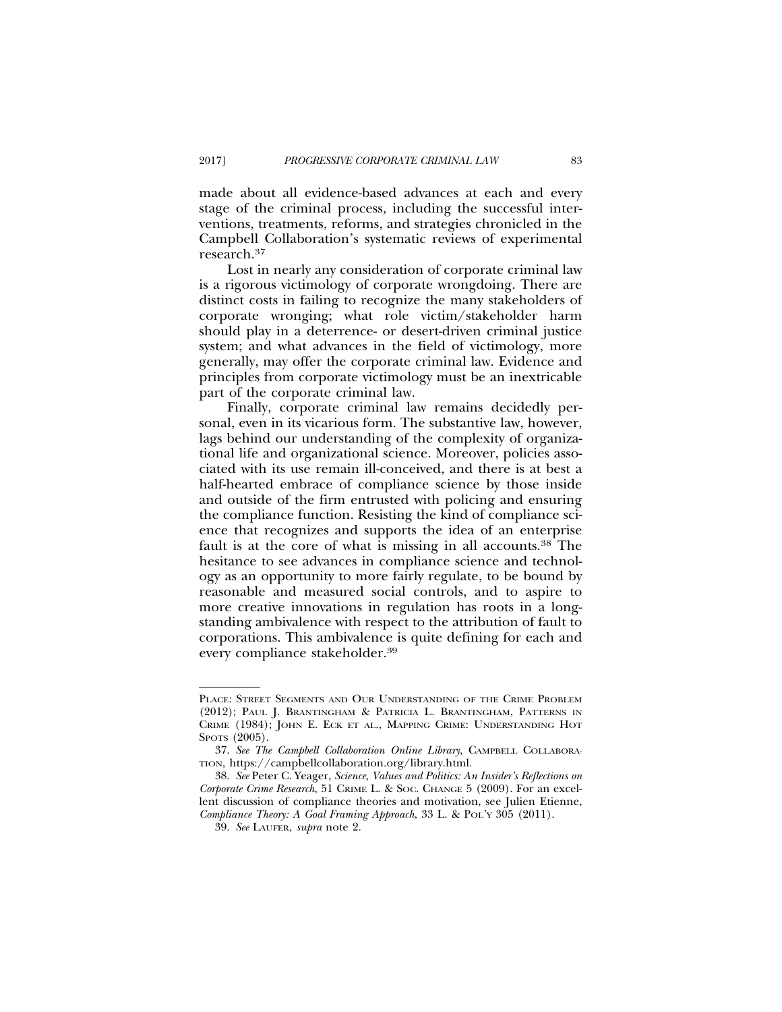made about all evidence-based advances at each and every stage of the criminal process, including the successful interventions, treatments, reforms, and strategies chronicled in the Campbell Collaboration's systematic reviews of experimental research.37

Lost in nearly any consideration of corporate criminal law is a rigorous victimology of corporate wrongdoing. There are distinct costs in failing to recognize the many stakeholders of corporate wronging; what role victim/stakeholder harm should play in a deterrence- or desert-driven criminal justice system; and what advances in the field of victimology, more generally, may offer the corporate criminal law. Evidence and principles from corporate victimology must be an inextricable part of the corporate criminal law.

Finally, corporate criminal law remains decidedly personal, even in its vicarious form. The substantive law, however, lags behind our understanding of the complexity of organizational life and organizational science. Moreover, policies associated with its use remain ill-conceived, and there is at best a half-hearted embrace of compliance science by those inside and outside of the firm entrusted with policing and ensuring the compliance function. Resisting the kind of compliance science that recognizes and supports the idea of an enterprise fault is at the core of what is missing in all accounts.<sup>38</sup> The hesitance to see advances in compliance science and technology as an opportunity to more fairly regulate, to be bound by reasonable and measured social controls, and to aspire to more creative innovations in regulation has roots in a longstanding ambivalence with respect to the attribution of fault to corporations. This ambivalence is quite defining for each and every compliance stakeholder.39

PLACE: STREET SEGMENTS AND OUR UNDERSTANDING OF THE CRIME PROBLEM (2012); PAUL J. BRANTINGHAM & PATRICIA L. BRANTINGHAM, PATTERNS IN CRIME (1984); JOHN E. ECK ET AL., MAPPING CRIME: UNDERSTANDING HOT SPOTS (2005).

<sup>37.</sup> *See The Campbell Collaboration Online Library*, CAMPBELL COLLABORA-TION, https://campbellcollaboration.org/library.html.

<sup>38.</sup> *See* Peter C. Yeager, *Science, Values and Politics: An Insider's Reflections on Corporate Crime Research*, 51 CRIME L. & SOC. CHANGE 5 (2009). For an excellent discussion of compliance theories and motivation, see Julien Etienne, *Compliance Theory: A Goal Framing Approach*, 33 L. & POL'Y 305 (2011).

<sup>39.</sup> *See* LAUFER, *supra* note 2.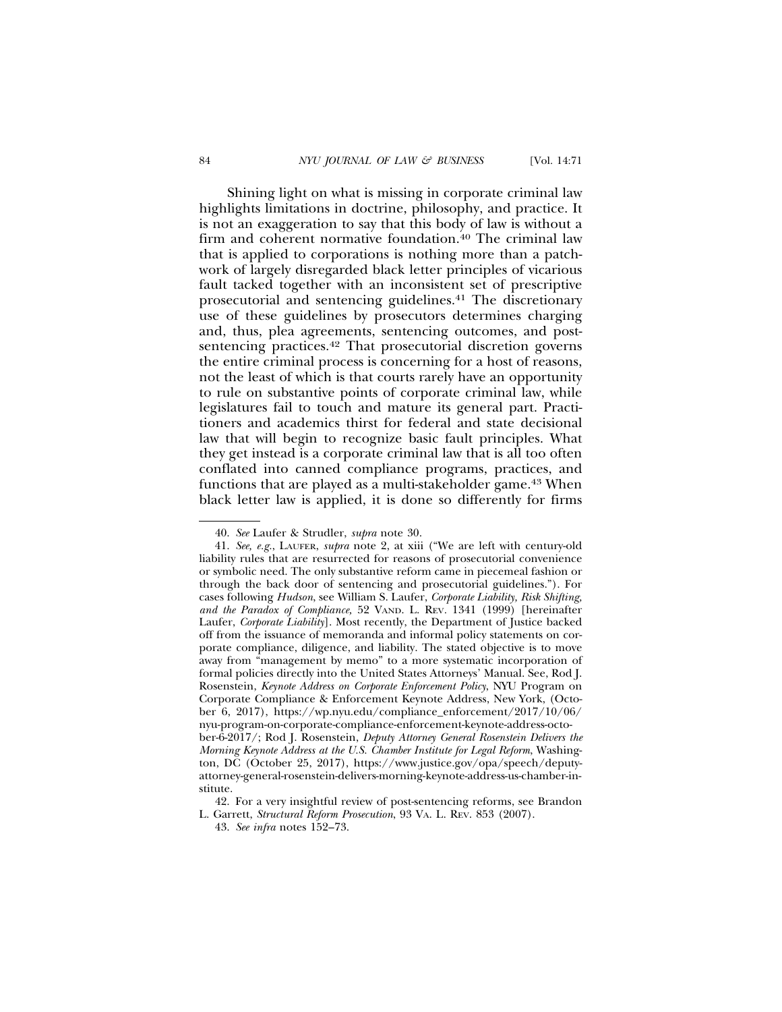Shining light on what is missing in corporate criminal law highlights limitations in doctrine, philosophy, and practice. It is not an exaggeration to say that this body of law is without a firm and coherent normative foundation.<sup>40</sup> The criminal law that is applied to corporations is nothing more than a patchwork of largely disregarded black letter principles of vicarious fault tacked together with an inconsistent set of prescriptive prosecutorial and sentencing guidelines.41 The discretionary use of these guidelines by prosecutors determines charging and, thus, plea agreements, sentencing outcomes, and postsentencing practices.<sup>42</sup> That prosecutorial discretion governs the entire criminal process is concerning for a host of reasons, not the least of which is that courts rarely have an opportunity to rule on substantive points of corporate criminal law, while legislatures fail to touch and mature its general part. Practitioners and academics thirst for federal and state decisional law that will begin to recognize basic fault principles. What they get instead is a corporate criminal law that is all too often conflated into canned compliance programs, practices, and functions that are played as a multi-stakeholder game.<sup>43</sup> When black letter law is applied, it is done so differently for firms

<sup>40.</sup> *See* Laufer & Strudler, *supra* note 30.

<sup>41.</sup> *See, e.g.*, LAUFER, *supra* note 2, at xiii ("We are left with century-old liability rules that are resurrected for reasons of prosecutorial convenience or symbolic need. The only substantive reform came in piecemeal fashion or through the back door of sentencing and prosecutorial guidelines."). For cases following *Hudson*, see William S. Laufer, *Corporate Liability, Risk Shifting, and the Paradox of Compliance,* 52 VAND. L. REV*.* 1341 (1999) [hereinafter Laufer, *Corporate Liability*]. Most recently, the Department of Justice backed off from the issuance of memoranda and informal policy statements on corporate compliance, diligence, and liability. The stated objective is to move away from "management by memo" to a more systematic incorporation of formal policies directly into the United States Attorneys' Manual. See, Rod J. Rosenstein, *Keynote Address on Corporate Enforcement Policy*, NYU Program on Corporate Compliance & Enforcement Keynote Address, New York, (October 6, 2017), https://wp.nyu.edu/compliance\_enforcement/2017/10/06/ nyu-program-on-corporate-compliance-enforcement-keynote-address-october-6-2017/; Rod J. Rosenstein, *Deputy Attorney General Rosenstein Delivers the Morning Keynote Address at the U.S. Chamber Institute for Legal Reform*, Washington, DC (October 25, 2017), https://www.justice.gov/opa/speech/deputyattorney-general-rosenstein-delivers-morning-keynote-address-us-chamber-institute.

<sup>42.</sup> For a very insightful review of post-sentencing reforms, see Brandon L. Garrett, *Structural Reform Prosecution*, 93 VA. L. REV. 853 (2007).

<sup>43.</sup> *See infra* notes 152–73.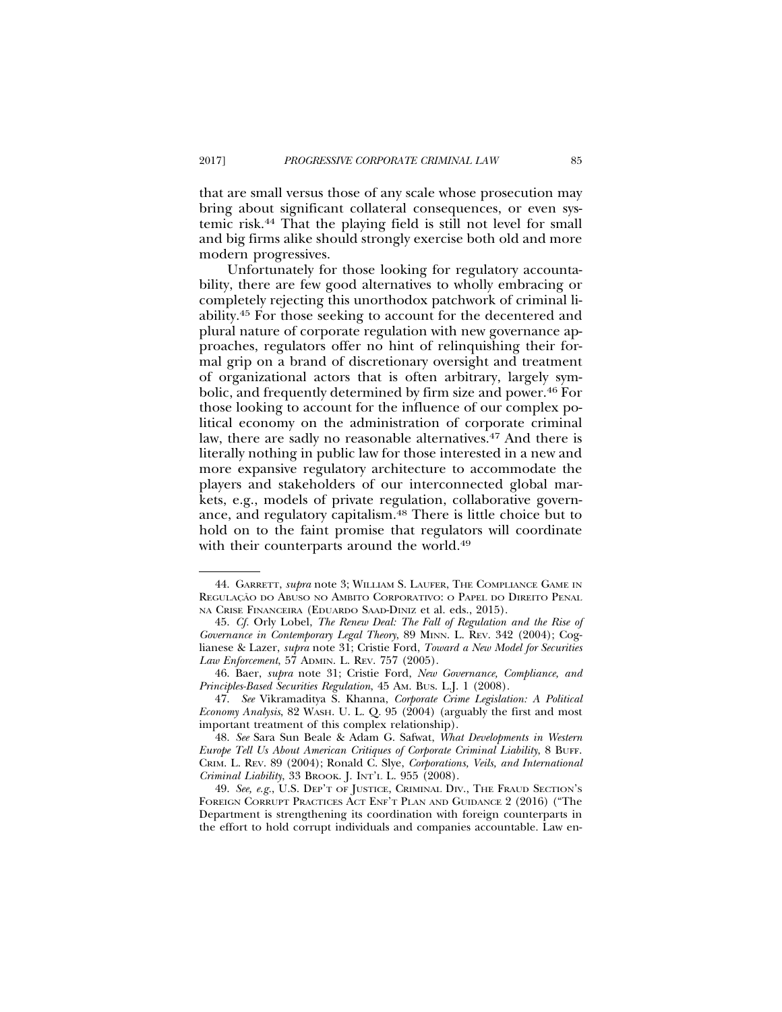that are small versus those of any scale whose prosecution may bring about significant collateral consequences, or even systemic risk.44 That the playing field is still not level for small and big firms alike should strongly exercise both old and more modern progressives.

Unfortunately for those looking for regulatory accountability, there are few good alternatives to wholly embracing or completely rejecting this unorthodox patchwork of criminal liability.45 For those seeking to account for the decentered and plural nature of corporate regulation with new governance approaches, regulators offer no hint of relinquishing their formal grip on a brand of discretionary oversight and treatment of organizational actors that is often arbitrary, largely symbolic, and frequently determined by firm size and power.46 For those looking to account for the influence of our complex political economy on the administration of corporate criminal law, there are sadly no reasonable alternatives.<sup>47</sup> And there is literally nothing in public law for those interested in a new and more expansive regulatory architecture to accommodate the players and stakeholders of our interconnected global markets, e.g., models of private regulation, collaborative governance, and regulatory capitalism.48 There is little choice but to hold on to the faint promise that regulators will coordinate with their counterparts around the world.<sup>49</sup>

<sup>44.</sup> GARRETT, *supra* note 3; WILLIAM S. LAUFER, THE COMPLIANCE GAME IN REGULAÇÃO DO ABUSO NO AMBITO CORPORATIVO: O PAPEL DO DIREITO PENAL NA CRISE FINANCEIRA (EDUARDO SAAD-DINIZ et al. eds., 2015).

<sup>45.</sup> *Cf.* Orly Lobel, *The Renew Deal: The Fall of Regulation and the Rise of Governance in Contemporary Legal Theory*, 89 MINN. L. REV. 342 (2004); Coglianese & Lazer, *supra* note 31; Cristie Ford, *Toward a New Model for Securities Law Enforcement*, 57 ADMIN. L. REV. 757 (2005).

<sup>46.</sup> Baer, *supra* note 31; Cristie Ford, *New Governance, Compliance, and Principles-Based Securities Regulation*, 45 AM. BUS. L.J. 1 (2008).

<sup>47.</sup> *See* Vikramaditya S. Khanna, *Corporate Crime Legislation: A Political Economy Analysis*, 82 WASH. U. L. Q*.* 95 (2004) (arguably the first and most important treatment of this complex relationship).

<sup>48.</sup> *See* Sara Sun Beale & Adam G. Safwat, *What Developments in Western Europe Tell Us About American Critiques of Corporate Criminal Liability*, 8 BUFF. CRIM. L. REV. 89 (2004); Ronald C. Slye, *Corporations, Veils, and International Criminal Liability*, 33 Вкоок. *J. INT'L L. 955 (2008)*.

<sup>49.</sup> *See, e.g.*, U.S. DEP'T OF JUSTICE, CRIMINAL DIV., THE FRAUD SECTION'S FOREIGN CORRUPT PRACTICES ACT ENF'T PLAN AND GUIDANCE 2 (2016) ("The Department is strengthening its coordination with foreign counterparts in the effort to hold corrupt individuals and companies accountable. Law en-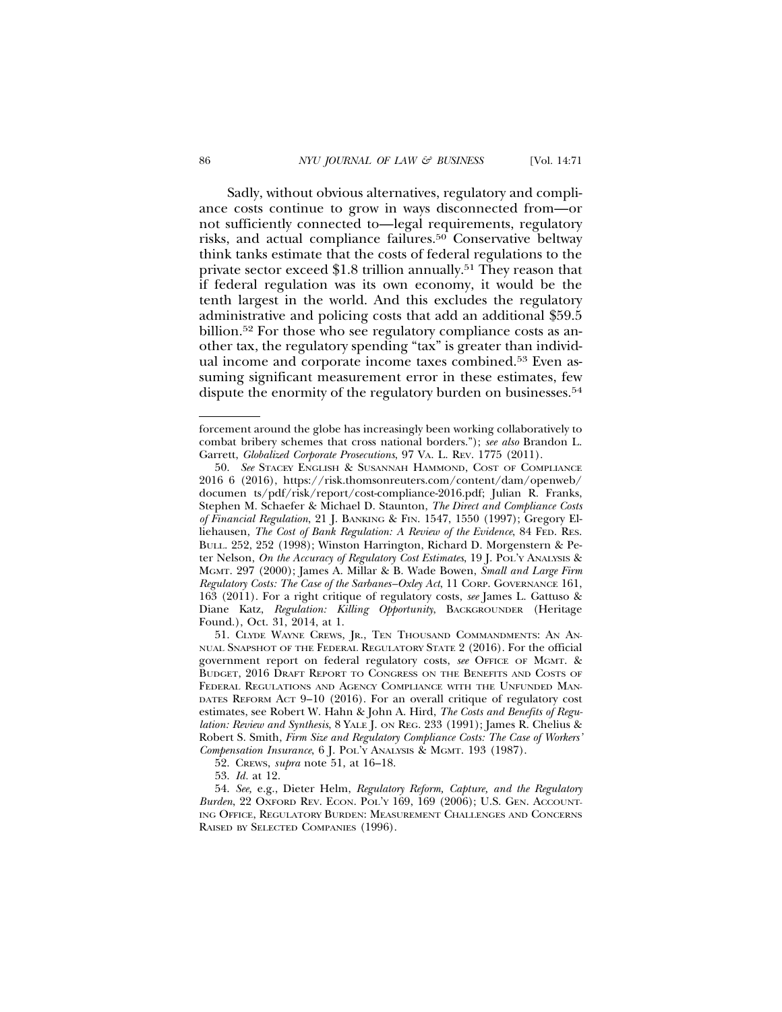Sadly, without obvious alternatives, regulatory and compliance costs continue to grow in ways disconnected from—or not sufficiently connected to—legal requirements, regulatory risks, and actual compliance failures.<sup>50</sup> Conservative beltway think tanks estimate that the costs of federal regulations to the private sector exceed \$1.8 trillion annually.51 They reason that if federal regulation was its own economy, it would be the tenth largest in the world. And this excludes the regulatory administrative and policing costs that add an additional \$59.5 billion.52 For those who see regulatory compliance costs as another tax, the regulatory spending "tax" is greater than individual income and corporate income taxes combined.53 Even assuming significant measurement error in these estimates, few dispute the enormity of the regulatory burden on businesses.<sup>54</sup>

forcement around the globe has increasingly been working collaboratively to combat bribery schemes that cross national borders."); *see also* Brandon L. Garrett, *Globalized Corporate Prosecutions*, 97 VA. L. REV. 1775 (2011).

<sup>50.</sup> *See* STACEY ENGLISH & SUSANNAH HAMMOND, COST OF COMPLIANCE 2016 6 (2016), https://risk.thomsonreuters.com/content/dam/openweb/ documen ts/pdf/risk/report/cost-compliance-2016.pdf; Julian R. Franks, Stephen M. Schaefer & Michael D. Staunton, *The Direct and Compliance Costs of Financial Regulation*, 21 J. BANKING & FIN. 1547, 1550 (1997); Gregory Elliehausen, *The Cost of Bank Regulation: A Review of the Evidence*, 84 FED. RES. BULL. 252, 252 (1998); Winston Harrington, Richard D. Morgenstern & Peter Nelson, *On the Accuracy of Regulatory Cost Estimates*, 19 J. POL'Y ANALYSIS & MGMT. 297 (2000); James A. Millar & B. Wade Bowen, *Small and Large Firm Regulatory Costs: The Case of the Sarbanes–Oxley Act*, 11 CORP. GOVERNANCE 161, 163 (2011). For a right critique of regulatory costs, *see* James L. Gattuso & Diane Katz, *Regulation: Killing Opportunity*, BACKGROUNDER (Heritage Found.), Oct. 31, 2014, at 1.

<sup>51.</sup> CLYDE WAYNE CREWS, JR., TEN THOUSAND COMMANDMENTS: AN AN-NUAL SNAPSHOT OF THE FEDERAL REGULATORY STATE 2 (2016). For the official government report on federal regulatory costs, *see* OFFICE OF MGMT. & BUDGET, 2016 DRAFT REPORT TO CONGRESS ON THE BENEFITS AND COSTS OF FEDERAL REGULATIONS AND AGENCY COMPLIANCE WITH THE UNFUNDED MAN-DATES REFORM ACT 9–10 (2016). For an overall critique of regulatory cost estimates, see Robert W. Hahn & John A. Hird, *The Costs and Benefits of Regulation: Review and Synthesis*, 8 YALE J. ON REG. 233 (1991); James R. Chelius & Robert S. Smith, *Firm Size and Regulatory Compliance Costs: The Case of Workers' Compensation Insurance*, 6 J. POL'Y ANALYSIS & MGMT. 193 (1987).

<sup>52.</sup> CREWS, *supra* note 51, at 16–18.

<sup>53.</sup> *Id.* at 12.

<sup>54.</sup> *See,* e.g., Dieter Helm, *Regulatory Reform, Capture, and the Regulatory Burden*, 22 OXFORD REV. ECON. POL'Y 169, 169 (2006); U.S. GEN. ACCOUNT-ING OFFICE, REGULATORY BURDEN: MEASUREMENT CHALLENGES AND CONCERNS RAISED BY SELECTED COMPANIES (1996).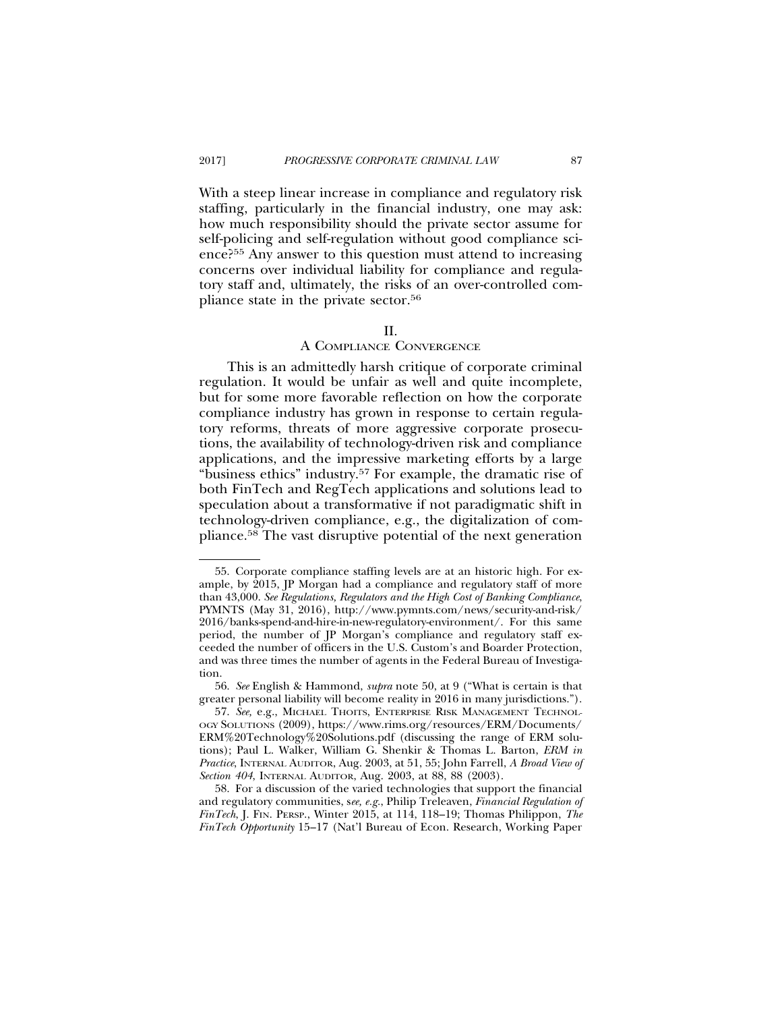With a steep linear increase in compliance and regulatory risk staffing, particularly in the financial industry, one may ask: how much responsibility should the private sector assume for self-policing and self-regulation without good compliance science?55 Any answer to this question must attend to increasing concerns over individual liability for compliance and regulatory staff and, ultimately, the risks of an over-controlled compliance state in the private sector.56

### II.

### A COMPLIANCE CONVERGENCE

This is an admittedly harsh critique of corporate criminal regulation. It would be unfair as well and quite incomplete, but for some more favorable reflection on how the corporate compliance industry has grown in response to certain regulatory reforms, threats of more aggressive corporate prosecutions, the availability of technology-driven risk and compliance applications, and the impressive marketing efforts by a large "business ethics" industry.57 For example, the dramatic rise of both FinTech and RegTech applications and solutions lead to speculation about a transformative if not paradigmatic shift in technology-driven compliance, e.g., the digitalization of compliance.58 The vast disruptive potential of the next generation

<sup>55.</sup> Corporate compliance staffing levels are at an historic high. For example, by 2015, JP Morgan had a compliance and regulatory staff of more than 43,000. *See Regulations, Regulators and the High Cost of Banking Compliance*, PYMNTS (May 31, 2016), http://www.pymnts.com/news/security-and-risk/ 2016/banks-spend-and-hire-in-new-regulatory-environment/. For this same period, the number of JP Morgan's compliance and regulatory staff exceeded the number of officers in the U.S. Custom's and Boarder Protection, and was three times the number of agents in the Federal Bureau of Investigation.

<sup>56.</sup> *See* English & Hammond, *supra* note 50, at 9 ("What is certain is that greater personal liability will become reality in 2016 in many jurisdictions.").

<sup>57.</sup> *See,* e.g., MICHAEL THOITS, ENTERPRISE RISK MANAGEMENT TECHNOL-OGY SOLUTIONS (2009), https://www.rims.org/resources/ERM/Documents/ ERM%20Technology%20Solutions.pdf (discussing the range of ERM solutions); Paul L. Walker, William G. Shenkir & Thomas L. Barton, *ERM in Practice*, INTERNAL AUDITOR, Aug. 2003, at 51, 55; John Farrell, *A Broad View of Section 404*, INTERNAL AUDITOR, Aug. 2003, at 88, 88 (2003).

<sup>58.</sup> For a discussion of the varied technologies that support the financial and regulatory communities, s*ee, e.g.*, Philip Treleaven, *Financial Regulation of FinTech*, J. FIN. PERSP., Winter 2015, at 114, 118–19; Thomas Philippon, *The FinTech Opportunity* 15–17 (Nat'l Bureau of Econ. Research, Working Paper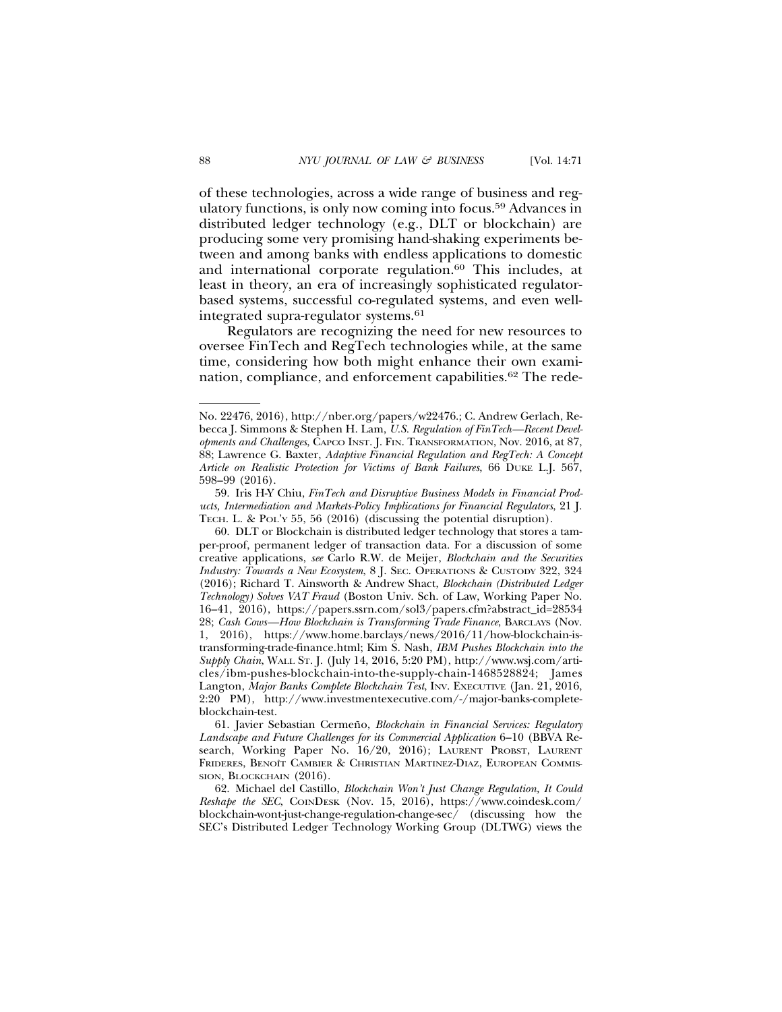of these technologies, across a wide range of business and regulatory functions, is only now coming into focus.59 Advances in distributed ledger technology (e.g., DLT or blockchain) are producing some very promising hand-shaking experiments between and among banks with endless applications to domestic and international corporate regulation.<sup>60</sup> This includes, at least in theory, an era of increasingly sophisticated regulatorbased systems, successful co-regulated systems, and even wellintegrated supra-regulator systems.61

Regulators are recognizing the need for new resources to oversee FinTech and RegTech technologies while, at the same time, considering how both might enhance their own examination, compliance, and enforcement capabilities.<sup>62</sup> The rede-

No. 22476, 2016), http://nber.org/papers/w22476.; C. Andrew Gerlach, Rebecca J. Simmons & Stephen H. Lam, *U.S. Regulation of FinTech—Recent Developments and Challenges*, CAPCO INST. J. FIN. TRANSFORMATION, Nov. 2016, at 87, 88; Lawrence G. Baxter, *Adaptive Financial Regulation and RegTech: A Concept Article on Realistic Protection for Victims of Bank Failures*, 66 DUKE L.J. 567, 598–99 (2016).

<sup>59.</sup> Iris H-Y Chiu, *FinTech and Disruptive Business Models in Financial Products, Intermediation and Markets-Policy Implications for Financial Regulators*, 21 J. TECH. L. & POL'Y 55, 56 (2016) (discussing the potential disruption).

<sup>60.</sup> DLT or Blockchain is distributed ledger technology that stores a tamper-proof, permanent ledger of transaction data. For a discussion of some creative applications, *see* Carlo R.W. de Meijer, *Blockchain and the Securities Industry: Towards a New Ecosystem*, 8 J. SEC. OPERATIONS & CUSTODY 322, 324 (2016); Richard T. Ainsworth & Andrew Shact, *Blockchain (Distributed Ledger Technology) Solves VAT Fraud* (Boston Univ. Sch. of Law, Working Paper No. 16–41, 2016), https://papers.ssrn.com/sol3/papers.cfm?abstract\_id=28534 28; *Cash Cows—How Blockchain is Transforming Trade Finance*, BARCLAYS (Nov. 1, 2016), https://www.home.barclays/news/2016/11/how-blockchain-istransforming-trade-finance.html; Kim S. Nash, *IBM Pushes Blockchain into the Supply Chain*, WALL ST. J. (July 14, 2016, 5:20 PM), http://www.wsj.com/articles/ibm-pushes-blockchain-into-the-supply-chain-1468528824; James Langton, *Major Banks Complete Blockchain Test*, INV. EXECUTIVE (Jan. 21, 2016, 2:20 PM), http://www.investmentexecutive.com/-/major-banks-completeblockchain-test.

<sup>61.</sup> Javier Sebastian Cermeño, *Blockchain in Financial Services: Regulatory Landscape and Future Challenges for its Commercial Application* 6–10 (BBVA Research, Working Paper No. 16/20, 2016); LAURENT PROBST, LAURENT FRIDERES, BENOÎT CAMBIER & CHRISTIAN MARTINEZ-DIAZ, EUROPEAN COMMIS-SION, BLOCKCHAIN (2016).

<sup>62.</sup> Michael del Castillo, *Blockchain Won't Just Change Regulation, It Could Reshape the SEC*, COINDESK (Nov. 15, 2016), https://www.coindesk.com/ blockchain-wont-just-change-regulation-change-sec/ (discussing how the SEC's Distributed Ledger Technology Working Group (DLTWG) views the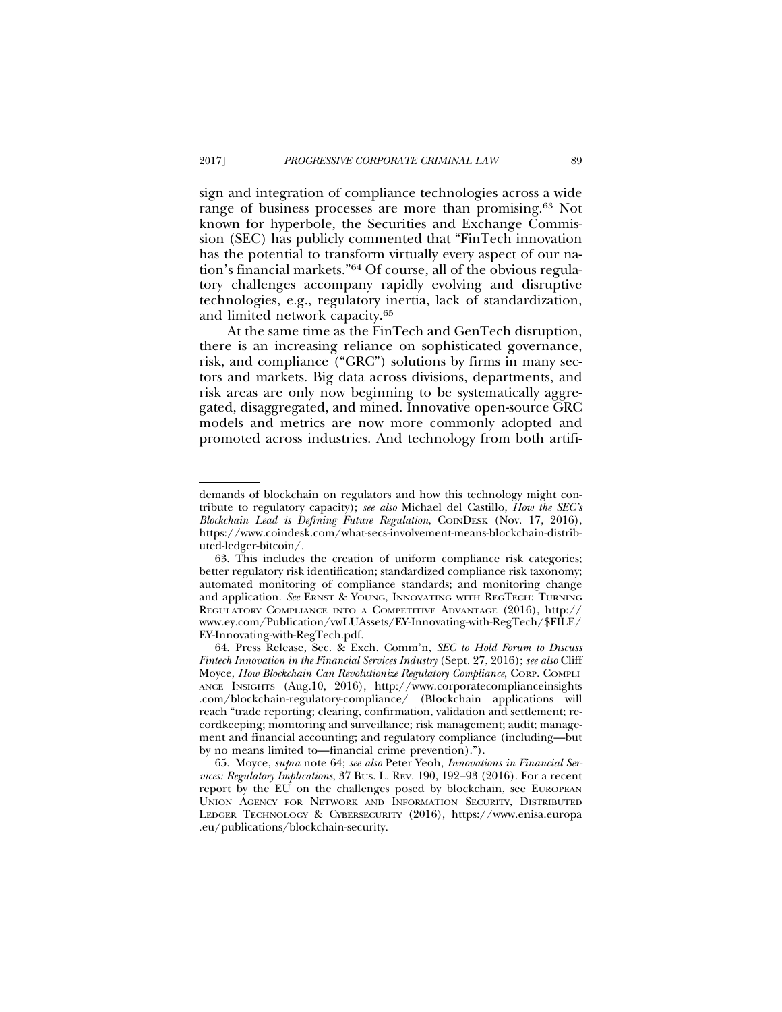sign and integration of compliance technologies across a wide range of business processes are more than promising.63 Not known for hyperbole, the Securities and Exchange Commission (SEC) has publicly commented that "FinTech innovation has the potential to transform virtually every aspect of our nation's financial markets."64 Of course, all of the obvious regulatory challenges accompany rapidly evolving and disruptive technologies, e.g., regulatory inertia, lack of standardization, and limited network capacity.65

At the same time as the FinTech and GenTech disruption, there is an increasing reliance on sophisticated governance, risk, and compliance ("GRC") solutions by firms in many sectors and markets. Big data across divisions, departments, and risk areas are only now beginning to be systematically aggregated, disaggregated, and mined. Innovative open-source GRC models and metrics are now more commonly adopted and promoted across industries. And technology from both artifi-

demands of blockchain on regulators and how this technology might contribute to regulatory capacity); *see also* Michael del Castillo, *How the SEC's Blockchain Lead is Defining Future Regulation*, COINDESK (Nov. 17, 2016), https://www.coindesk.com/what-secs-involvement-means-blockchain-distributed-ledger-bitcoin/.

<sup>63.</sup> This includes the creation of uniform compliance risk categories; better regulatory risk identification; standardized compliance risk taxonomy; automated monitoring of compliance standards; and monitoring change and application. *See* ERNST & YOUNG, INNOVATING WITH REGTECH: TURNING REGULATORY COMPLIANCE INTO A COMPETITIVE ADVANTAGE (2016), http:// www.ey.com/Publication/vwLUAssets/EY-Innovating-with-RegTech/\$FILE/ EY-Innovating-with-RegTech.pdf.

<sup>64.</sup> Press Release, Sec. & Exch. Comm'n, *SEC to Hold Forum to Discuss Fintech Innovation in the Financial Services Industry* (Sept. 27, 2016); *see also* Cliff Moyce, *How Blockchain Can Revolutionize Regulatory Compliance*, CORP. COMPLI-ANCE INSIGHTS (Aug.10, 2016), http://www.corporatecomplianceinsights .com/blockchain-regulatory-compliance/ (Blockchain applications will reach "trade reporting; clearing, confirmation, validation and settlement; recordkeeping; monitoring and surveillance; risk management; audit; management and financial accounting; and regulatory compliance (including—but by no means limited to—financial crime prevention).").

<sup>65.</sup> Moyce, *supra* note 64; *see also* Peter Yeoh, *Innovations in Financial Services: Regulatory Implications*, 37 BUS. L. REV. 190, 192–93 (2016). For a recent report by the EU on the challenges posed by blockchain, see EUROPEAN UNION AGENCY FOR NETWORK AND INFORMATION SECURITY, DISTRIBUTED LEDGER TECHNOLOGY & CYBERSECURITY (2016), https://www.enisa.europa .eu/publications/blockchain-security.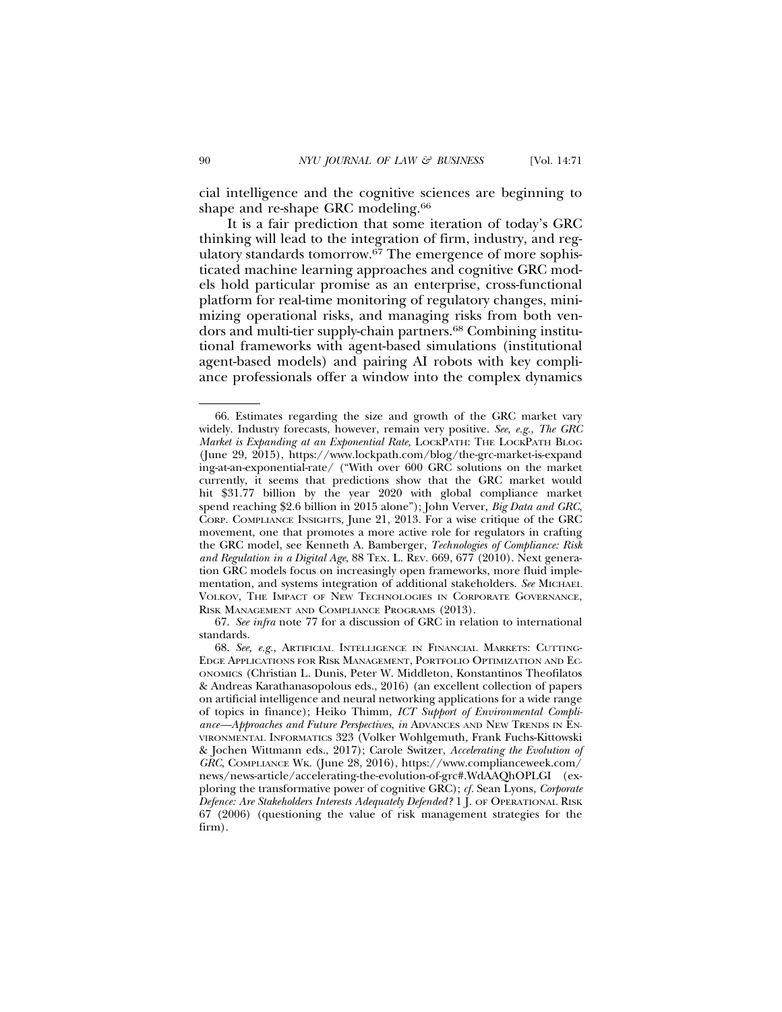cial intelligence and the cognitive sciences are beginning to shape and re-shape GRC modeling.<sup>66</sup>

It is a fair prediction that some iteration of today's GRC thinking will lead to the integration of firm, industry, and regulatory standards tomorrow.<sup>67</sup> The emergence of more sophisticated machine learning approaches and cognitive GRC models hold particular promise as an enterprise, cross-functional platform for real-time monitoring of regulatory changes, minimizing operational risks, and managing risks from both vendors and multi-tier supply-chain partners.68 Combining institutional frameworks with agent-based simulations (institutional agent-based models) and pairing AI robots with key compliance professionals offer a window into the complex dynamics

<sup>66.</sup> Estimates regarding the size and growth of the GRC market vary widely. Industry forecasts, however, remain very positive. *See, e.g.*, *The GRC Market is Expanding at an Exponential Rate,* LOCKPATH: THE LOCKPATH BLOG (June 29, 2015), https://www.lockpath.com/blog/the-grc-market-is-expand ing-at-an-exponential-rate/ ("With over 600 GRC solutions on the market currently, it seems that predictions show that the GRC market would hit \$31.77 billion by the year 2020 with global compliance market spend reaching \$2.6 billion in 2015 alone"); John Verver, *Big Data and GRC*, CORP. COMPLIANCE INSIGHTS, June 21, 2013. For a wise critique of the GRC movement, one that promotes a more active role for regulators in crafting the GRC model, see Kenneth A. Bamberger, *Technologies of Compliance: Risk and Regulation in a Digital Age*, 88 TEX. L. REV. 669, 677 (2010). Next generation GRC models focus on increasingly open frameworks, more fluid implementation, and systems integration of additional stakeholders. *See* MICHAEL VOLKOV, THE IMPACT OF NEW TECHNOLOGIES IN CORPORATE GOVERNANCE, RISK MANAGEMENT AND COMPLIANCE PROGRAMS (2013).

<sup>67.</sup> *See infra* note 77 for a discussion of GRC in relation to international standards.

<sup>68.</sup> *See, e.g.*, ARTIFICIAL INTELLIGENCE IN FINANCIAL MARKETS: CUTTING-EDGE APPLICATIONS FOR RISK MANAGEMENT, PORTFOLIO OPTIMIZATION AND EC-ONOMICS (Christian L. Dunis, Peter W. Middleton, Konstantinos Theofilatos & Andreas Karathanasopolous eds., 2016) (an excellent collection of papers on artificial intelligence and neural networking applications for a wide range of topics in finance); Heiko Thimm, *ICT Support of Environmental Compliance—Approaches and Future Perspectives*, *in* ADVANCES AND NEW TRENDS IN EN-VIRONMENTAL INFORMATICS 323 (Volker Wohlgemuth, Frank Fuchs-Kittowski & Jochen Wittmann eds., 2017); Carole Switzer, *Accelerating the Evolution of GRC*, COMPLIANCE WK. (June 28, 2016), https://www.complianceweek.com/ news/news-article/accelerating-the-evolution-of-grc#.WdAAQhOPLGI (exploring the transformative power of cognitive GRC); *cf.* Sean Lyons, *Corporate Defence: Are Stakeholders Interests Adequately Defended?* 1 J. OF OPERATIONAL RISK 67 (2006) (questioning the value of risk management strategies for the firm).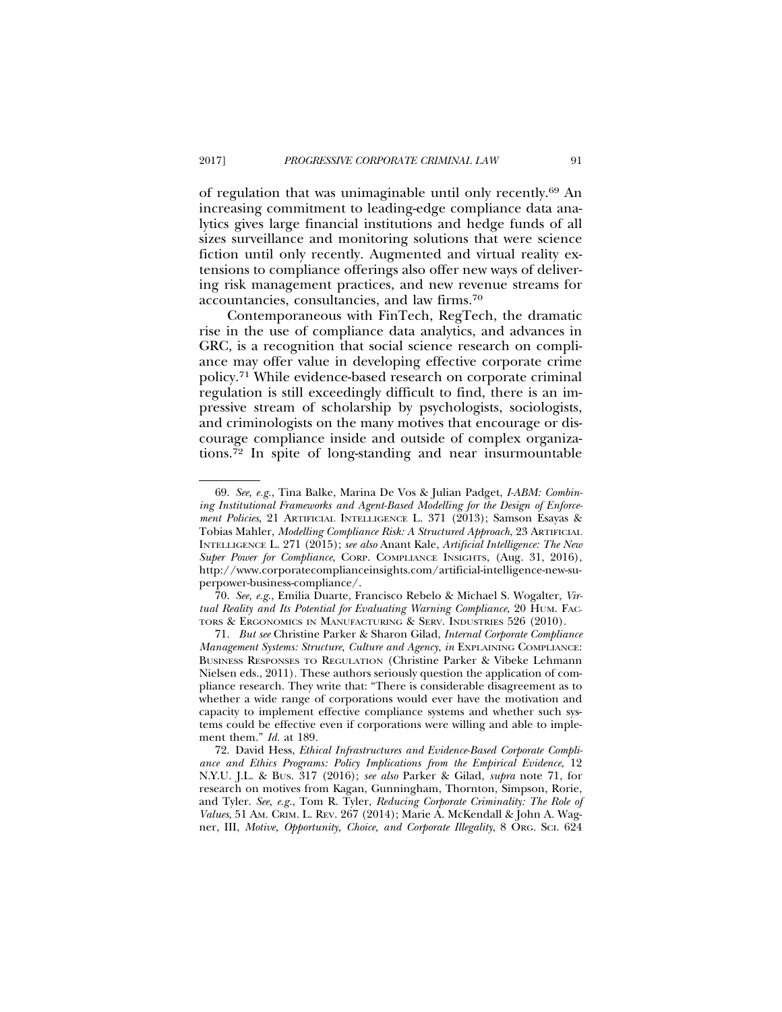of regulation that was unimaginable until only recently.69 An increasing commitment to leading-edge compliance data analytics gives large financial institutions and hedge funds of all sizes surveillance and monitoring solutions that were science fiction until only recently. Augmented and virtual reality extensions to compliance offerings also offer new ways of delivering risk management practices, and new revenue streams for accountancies, consultancies, and law firms.70

Contemporaneous with FinTech, RegTech, the dramatic rise in the use of compliance data analytics, and advances in GRC, is a recognition that social science research on compliance may offer value in developing effective corporate crime policy.71 While evidence-based research on corporate criminal regulation is still exceedingly difficult to find, there is an impressive stream of scholarship by psychologists, sociologists, and criminologists on the many motives that encourage or discourage compliance inside and outside of complex organizations.72 In spite of long-standing and near insurmountable

<sup>69.</sup> *See, e.g.*, Tina Balke, Marina De Vos & Julian Padget, *I-ABM: Combining Institutional Frameworks and Agent-Based Modelling for the Design of Enforcement Policies*, 21 ARTIFICIAL INTELLIGENCE L. 371 (2013); Samson Esayas & Tobias Mahler, *Modelling Compliance Risk: A Structured Approach*, 23 ARTIFICIAL INTELLIGENCE L. 271 (2015); *see also* Anant Kale, *Artificial Intelligence: The New Super Power for Compliance*, CORP. COMPLIANCE INSIGHTS, (Aug. 31, 2016), http://www.corporatecomplianceinsights.com/artificial-intelligence-new-superpower-business-compliance/.

<sup>70.</sup> *See, e.g.*, Emilia Duarte, Francisco Rebelo & Michael S. Wogalter, *Virtual Reality and Its Potential for Evaluating Warning Compliance*, 20 HUM. FAC-TORS & ERGONOMICS IN MANUFACTURING & SERV. INDUSTRIES 526 (2010).

<sup>71.</sup> *But see* Christine Parker & Sharon Gilad, *Internal Corporate Compliance Management Systems: Structure, Culture and Agency*, *in* EXPLAINING COMPLIANCE: BUSINESS RESPONSES TO REGULATION (Christine Parker & Vibeke Lehmann Nielsen eds., 2011). These authors seriously question the application of compliance research. They write that: "There is considerable disagreement as to whether a wide range of corporations would ever have the motivation and capacity to implement effective compliance systems and whether such systems could be effective even if corporations were willing and able to implement them." *Id.* at 189.

<sup>72.</sup> David Hess, *Ethical Infrastructures and Evidence-Based Corporate Compliance and Ethics Programs: Policy Implications from the Empirical Evidence*, 12 N.Y.U. J.L. & BUS. 317 (2016); *see also* Parker & Gilad, *supra* note 71, for research on motives from Kagan, Gunningham, Thornton, Simpson, Rorie, and Tyler. *See, e.g.*, Tom R. Tyler, *Reducing Corporate Criminality: The Role of Values*, 51 AM. CRIM. L. REV. 267 (2014); Marie A. McKendall & John A. Wagner, III, *Motive, Opportunity, Choice, and Corporate Illegality*, 8 ORG. SCI. 624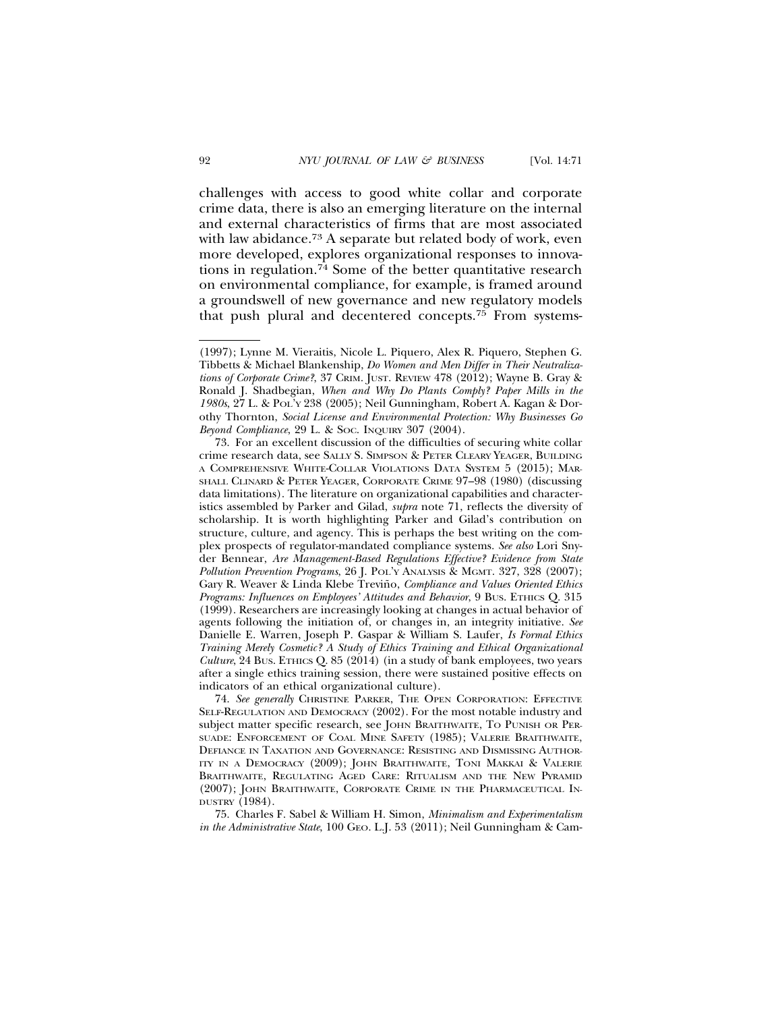challenges with access to good white collar and corporate crime data, there is also an emerging literature on the internal and external characteristics of firms that are most associated with law abidance.73 A separate but related body of work, even more developed, explores organizational responses to innovations in regulation.74 Some of the better quantitative research on environmental compliance, for example, is framed around a groundswell of new governance and new regulatory models that push plural and decentered concepts.75 From systems-

74. *See generally* CHRISTINE PARKER, THE OPEN CORPORATION: EFFECTIVE SELF-REGULATION AND DEMOCRACY (2002). For the most notable industry and subject matter specific research, see JOHN BRAITHWAITE, TO PUNISH OR PER-SUADE: ENFORCEMENT OF COAL MINE SAFETY (1985); VALERIE BRAITHWAITE, DEFIANCE IN TAXATION AND GOVERNANCE: RESISTING AND DISMISSING AUTHOR-ITY IN A DEMOCRACY (2009); JOHN BRAITHWAITE, TONI MAKKAI & VALERIE BRAITHWAITE, REGULATING AGED CARE: RITUALISM AND THE NEW PYRAMID (2007); JOHN BRAITHWAITE, CORPORATE CRIME IN THE PHARMACEUTICAL IN-DUSTRY (1984).

75. Charles F. Sabel & William H. Simon, *Minimalism and Experimentalism in the Administrative State*, 100 GEO. L.J. 53 (2011); Neil Gunningham & Cam-

<sup>(1997);</sup> Lynne M. Vieraitis, Nicole L. Piquero, Alex R. Piquero, Stephen G. Tibbetts & Michael Blankenship, *Do Women and Men Differ in Their Neutralizations of Corporate Crime?*, 37 CRIM. JUST. REVIEW 478 (2012); Wayne B. Gray & Ronald J. Shadbegian, *When and Why Do Plants Comply? Paper Mills in the 1980s*, 27 L. & POL'Y 238 (2005); Neil Gunningham, Robert A. Kagan & Dorothy Thornton, *Social License and Environmental Protection: Why Businesses Go Beyond Compliance*, 29 L. & Soc. INQUIRY 307 (2004).

<sup>73.</sup> For an excellent discussion of the difficulties of securing white collar crime research data, see SALLY S. SIMPSON & PETER CLEARY YEAGER, BUILDING A COMPREHENSIVE WHITE-COLLAR VIOLATIONS DATA SYSTEM 5 (2015); MAR-SHALL CLINARD & PETER YEAGER, CORPORATE CRIME 97–98 (1980) (discussing data limitations). The literature on organizational capabilities and characteristics assembled by Parker and Gilad, *supra* note 71, reflects the diversity of scholarship. It is worth highlighting Parker and Gilad's contribution on structure, culture, and agency. This is perhaps the best writing on the complex prospects of regulator-mandated compliance systems. *See also* Lori Snyder Bennear, *Are Management-Based Regulations Effective? Evidence from State Pollution Prevention Programs*, 26 J. POL'Y ANALYSIS & MGMT. 327, 328 (2007); Gary R. Weaver & Linda Klebe Treviño, *Compliance and Values Oriented Ethics Programs: Influences on Employees' Attitudes and Behavior*, 9 BUS. ETHICS Q. 315 (1999). Researchers are increasingly looking at changes in actual behavior of agents following the initiation of, or changes in, an integrity initiative. *See* Danielle E. Warren, Joseph P. Gaspar & William S. Laufer, *Is Formal Ethics Training Merely Cosmetic? A Study of Ethics Training and Ethical Organizational Culture*, 24 BUS. ETHICS Q. 85 (2014) (in a study of bank employees, two years after a single ethics training session, there were sustained positive effects on indicators of an ethical organizational culture).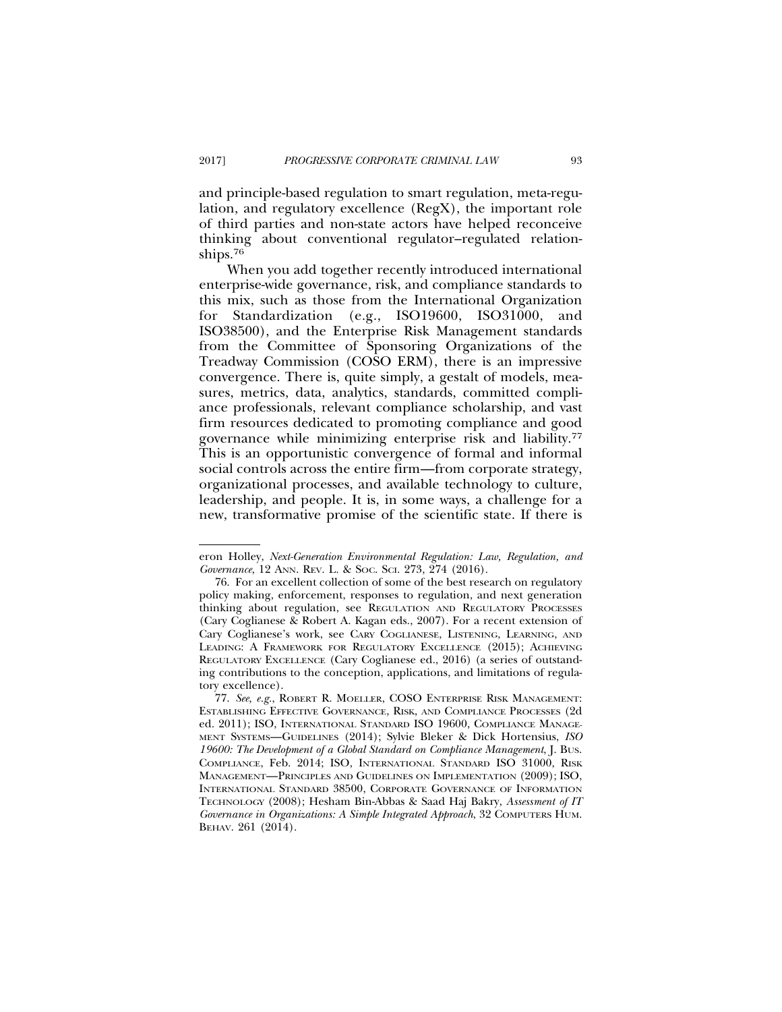and principle-based regulation to smart regulation, meta-regulation, and regulatory excellence (RegX), the important role of third parties and non-state actors have helped reconceive thinking about conventional regulator–regulated relationships.76

When you add together recently introduced international enterprise-wide governance, risk, and compliance standards to this mix, such as those from the International Organization for Standardization (e.g., ISO19600, ISO31000, and ISO38500), and the Enterprise Risk Management standards from the Committee of Sponsoring Organizations of the Treadway Commission (COSO ERM), there is an impressive convergence. There is, quite simply, a gestalt of models, measures, metrics, data, analytics, standards, committed compliance professionals, relevant compliance scholarship, and vast firm resources dedicated to promoting compliance and good governance while minimizing enterprise risk and liability.77 This is an opportunistic convergence of formal and informal social controls across the entire firm—from corporate strategy, organizational processes, and available technology to culture, leadership, and people. It is, in some ways, a challenge for a new, transformative promise of the scientific state. If there is

eron Holley, *Next-Generation Environmental Regulation: Law, Regulation, and Governance*, 12 ANN. REV. L. & SOC. SCI. 273, 274 (2016).

<sup>76.</sup> For an excellent collection of some of the best research on regulatory policy making, enforcement, responses to regulation, and next generation thinking about regulation, see REGULATION AND REGULATORY PROCESSES (Cary Coglianese & Robert A. Kagan eds., 2007). For a recent extension of Cary Coglianese's work, see CARY COGLIANESE, LISTENING, LEARNING, AND LEADING: A FRAMEWORK FOR REGULATORY EXCELLENCE (2015); ACHIEVING REGULATORY EXCELLENCE (Cary Coglianese ed., 2016) (a series of outstanding contributions to the conception, applications, and limitations of regulatory excellence).

<sup>77.</sup> *See, e.g.*, ROBERT R. MOELLER, COSO ENTERPRISE RISK MANAGEMENT: ESTABLISHING EFFECTIVE GOVERNANCE, RISK, AND COMPLIANCE PROCESSES (2d ed. 2011); ISO, INTERNATIONAL STANDARD ISO 19600, COMPLIANCE MANAGE-MENT SYSTEMS—GUIDELINES (2014); Sylvie Bleker & Dick Hortensius, *ISO 19600: The Development of a Global Standard on Compliance Management*, J. BUS. COMPLIANCE, Feb. 2014; ISO, INTERNATIONAL STANDARD ISO 31000, RISK MANAGEMENT—PRINCIPLES AND GUIDELINES ON IMPLEMENTATION (2009); ISO, INTERNATIONAL STANDARD 38500, CORPORATE GOVERNANCE OF INFORMATION TECHNOLOGY (2008); Hesham Bin-Abbas & Saad Haj Bakry, *Assessment of IT Governance in Organizations: A Simple Integrated Approach*, 32 COMPUTERS HUM. BEHAV. 261 (2014).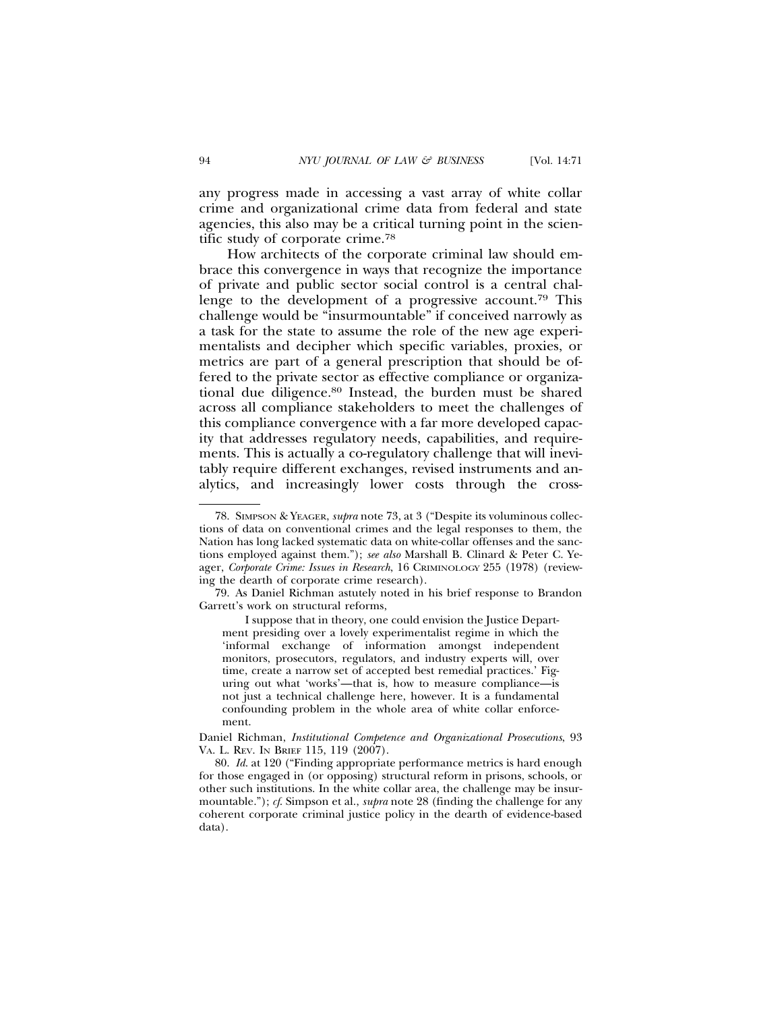any progress made in accessing a vast array of white collar crime and organizational crime data from federal and state agencies, this also may be a critical turning point in the scientific study of corporate crime.78

How architects of the corporate criminal law should embrace this convergence in ways that recognize the importance of private and public sector social control is a central challenge to the development of a progressive account.79 This challenge would be "insurmountable" if conceived narrowly as a task for the state to assume the role of the new age experimentalists and decipher which specific variables, proxies, or metrics are part of a general prescription that should be offered to the private sector as effective compliance or organizational due diligence.80 Instead, the burden must be shared across all compliance stakeholders to meet the challenges of this compliance convergence with a far more developed capacity that addresses regulatory needs, capabilities, and requirements. This is actually a co-regulatory challenge that will inevitably require different exchanges, revised instruments and analytics, and increasingly lower costs through the cross-

I suppose that in theory, one could envision the Justice Department presiding over a lovely experimentalist regime in which the 'informal exchange of information amongst independent monitors, prosecutors, regulators, and industry experts will, over time, create a narrow set of accepted best remedial practices.' Figuring out what 'works'—that is, how to measure compliance—is not just a technical challenge here, however. It is a fundamental confounding problem in the whole area of white collar enforcement.

Daniel Richman, *Institutional Competence and Organizational Prosecutions*, 93 VA. L. REV. IN BRIEF 115, 119 (2007).

80. *Id*. at 120 ("Finding appropriate performance metrics is hard enough for those engaged in (or opposing) structural reform in prisons, schools, or other such institutions. In the white collar area, the challenge may be insurmountable."); *cf*. Simpson et al., *supra* note 28 (finding the challenge for any coherent corporate criminal justice policy in the dearth of evidence-based data).

<sup>78.</sup> SIMPSON & YEAGER, *supra* note 73, at 3 ("Despite its voluminous collections of data on conventional crimes and the legal responses to them, the Nation has long lacked systematic data on white-collar offenses and the sanctions employed against them."); *see also* Marshall B. Clinard & Peter C. Yeager, *Corporate Crime: Issues in Research*, 16 CRIMINOLOGY 255 (1978) (reviewing the dearth of corporate crime research).

<sup>79.</sup> As Daniel Richman astutely noted in his brief response to Brandon Garrett's work on structural reforms,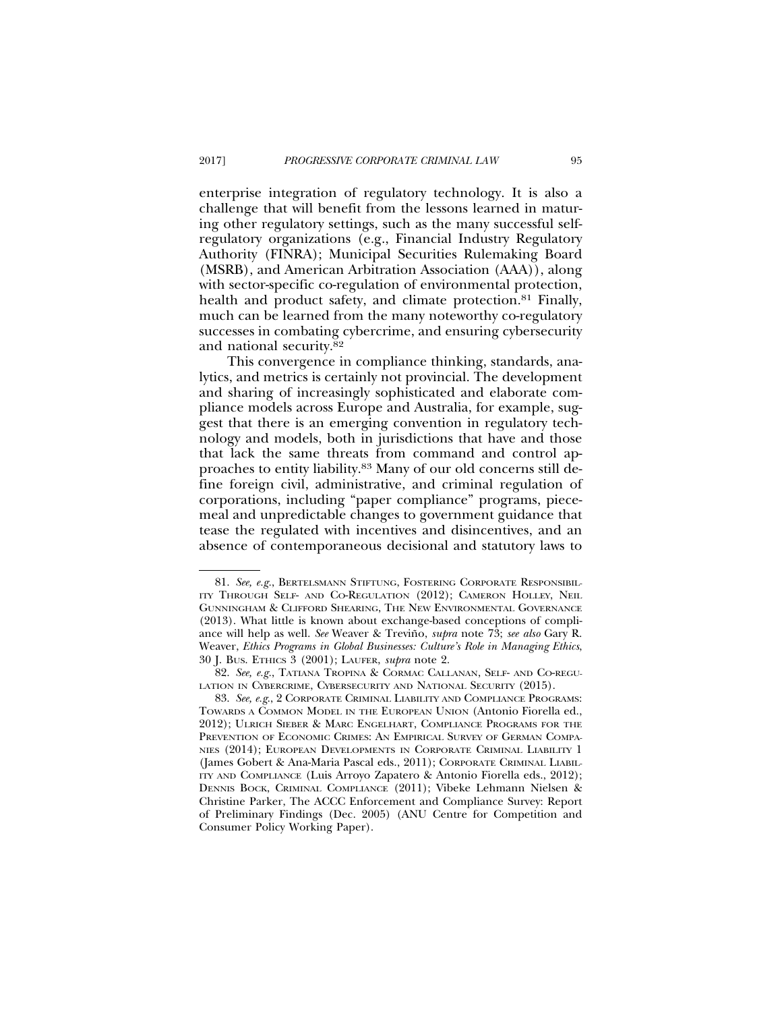enterprise integration of regulatory technology. It is also a challenge that will benefit from the lessons learned in maturing other regulatory settings, such as the many successful selfregulatory organizations (e.g., Financial Industry Regulatory Authority (FINRA); Municipal Securities Rulemaking Board (MSRB), and American Arbitration Association (AAA)), along with sector-specific co-regulation of environmental protection, health and product safety, and climate protection.<sup>81</sup> Finally, much can be learned from the many noteworthy co-regulatory successes in combating cybercrime, and ensuring cybersecurity and national security.82

This convergence in compliance thinking, standards, analytics, and metrics is certainly not provincial. The development and sharing of increasingly sophisticated and elaborate compliance models across Europe and Australia, for example, suggest that there is an emerging convention in regulatory technology and models, both in jurisdictions that have and those that lack the same threats from command and control approaches to entity liability.83 Many of our old concerns still define foreign civil, administrative, and criminal regulation of corporations, including "paper compliance" programs, piecemeal and unpredictable changes to government guidance that tease the regulated with incentives and disincentives, and an absence of contemporaneous decisional and statutory laws to

<sup>81.</sup> *See, e.g.*, BERTELSMANN STIFTUNG, FOSTERING CORPORATE RESPONSIBIL-ITY THROUGH SELF- AND CO-REGULATION (2012); CAMERON HOLLEY, NEIL GUNNINGHAM & CLIFFORD SHEARING, THE NEW ENVIRONMENTAL GOVERNANCE (2013). What little is known about exchange-based conceptions of compliance will help as well. See Weaver & Treviño, *supra* note 73; see also Gary R. Weaver, *Ethics Programs in Global Businesses: Culture's Role in Managing Ethics*, 30 J. BUS. ETHICS 3 (2001); LAUFER, *supra* note 2.

<sup>82.</sup> *See, e.g.*, TATIANA TROPINA & CORMAC CALLANAN, SELF- AND CO-REGU-LATION IN CYBERCRIME, CYBERSECURITY AND NATIONAL SECURITY (2015).

<sup>83.</sup> *See, e.g*., 2 CORPORATE CRIMINAL LIABILITY AND COMPLIANCE PROGRAMS: TOWARDS A COMMON MODEL IN THE EUROPEAN UNION (Antonio Fiorella ed., 2012); ULRICH SIEBER & MARC ENGELHART, COMPLIANCE PROGRAMS FOR THE PREVENTION OF ECONOMIC CRIMES: AN EMPIRICAL SURVEY OF GERMAN COMPA-NIES (2014); EUROPEAN DEVELOPMENTS IN CORPORATE CRIMINAL LIABILITY 1 (James Gobert & Ana-Maria Pascal eds., 2011); CORPORATE CRIMINAL LIABIL-ITY AND COMPLIANCE (Luis Arroyo Zapatero & Antonio Fiorella eds., 2012); DENNIS BOCK, CRIMINAL COMPLIANCE (2011); Vibeke Lehmann Nielsen & Christine Parker, The ACCC Enforcement and Compliance Survey: Report of Preliminary Findings (Dec. 2005) (ANU Centre for Competition and Consumer Policy Working Paper).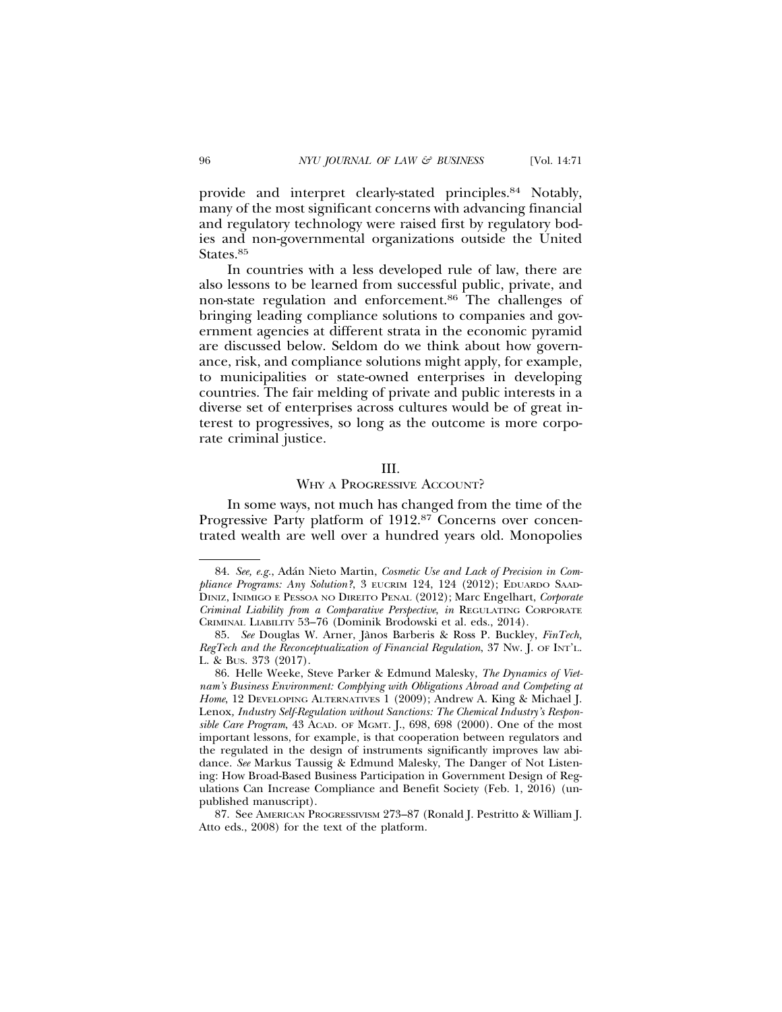provide and interpret clearly-stated principles.84 Notably, many of the most significant concerns with advancing financial and regulatory technology were raised first by regulatory bodies and non-governmental organizations outside the United States.<sup>85</sup>

In countries with a less developed rule of law, there are also lessons to be learned from successful public, private, and non-state regulation and enforcement.86 The challenges of bringing leading compliance solutions to companies and government agencies at different strata in the economic pyramid are discussed below. Seldom do we think about how governance, risk, and compliance solutions might apply, for example, to municipalities or state-owned enterprises in developing countries. The fair melding of private and public interests in a diverse set of enterprises across cultures would be of great interest to progressives, so long as the outcome is more corporate criminal justice.

### III.

### WHY A PROGRESSIVE ACCOUNT?

In some ways, not much has changed from the time of the Progressive Party platform of 1912.87 Concerns over concentrated wealth are well over a hundred years old. Monopolies

87. See AMERICAN PROGRESSIVISM 273–87 (Ronald J. Pestritto & William J. Atto eds., 2008) for the text of the platform.

<sup>84.</sup> See, e.g., Adán Nieto Martin, Cosmetic Use and Lack of Precision in Compliance Programs: Any Solution?, 3 EUCRIM 124, 124 (2012); EDUARDO SAAD-DINIZ, INIMIGO E PESSOA NO DIREITO PENAL (2012); Marc Engelhart, *Corporate Criminal Liability from a Comparative Perspective*, *in* REGULATING CORPORATE CRIMINAL LIABILITY 53–76 (Dominik Brodowski et al. eds., 2014).

<sup>85.</sup> *See* Douglas W. Arner, Janos Barberis & Ross P. Buckley, ` *FinTech, RegTech and the Reconceptualization of Financial Regulation*, 37 NW. J. OF INT'L. L. & BUS. 373 (2017).

<sup>86.</sup> Helle Weeke, Steve Parker & Edmund Malesky, *The Dynamics of Vietnam's Business Environment: Complying with Obligations Abroad and Competing at* Home, 12 DEVELOPING ALTERNATIVES 1 (2009); Andrew A. King & Michael J. Lenox*, Industry Self-Regulation without Sanctions: The Chemical Industry's Responsible Care Program*, 43 ACAD. OF MGMT. J., 698, 698 (2000). One of the most important lessons, for example, is that cooperation between regulators and the regulated in the design of instruments significantly improves law abidance. *See* Markus Taussig & Edmund Malesky, The Danger of Not Listening: How Broad-Based Business Participation in Government Design of Regulations Can Increase Compliance and Benefit Society (Feb. 1, 2016) (unpublished manuscript).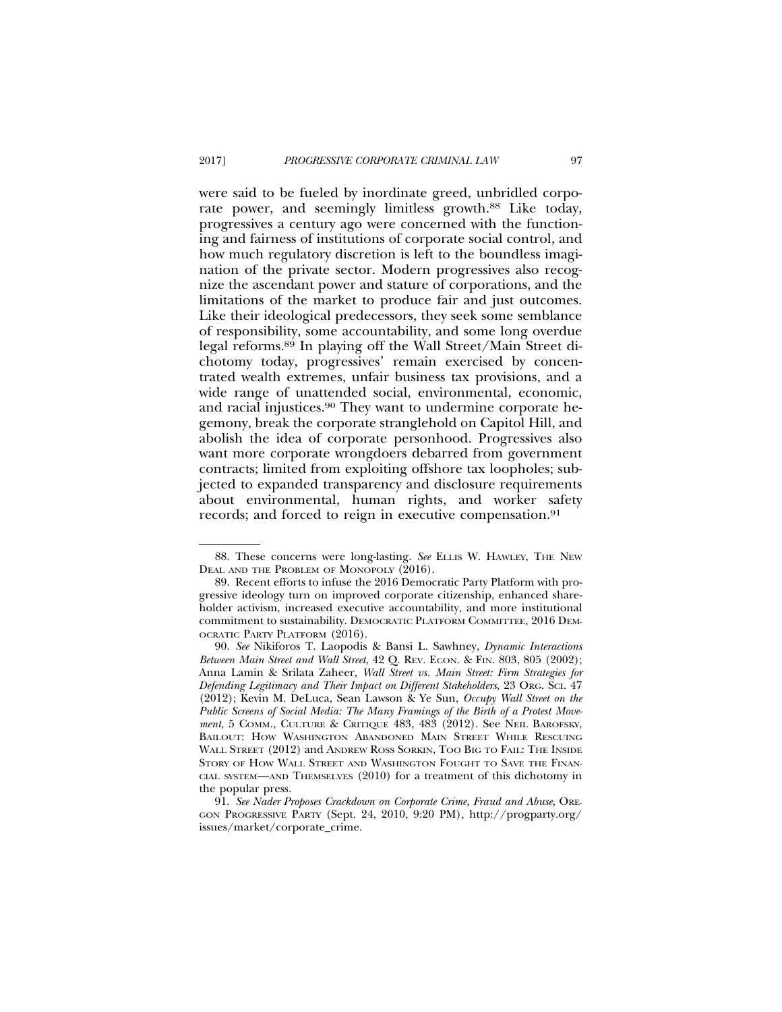were said to be fueled by inordinate greed, unbridled corporate power, and seemingly limitless growth.<sup>88</sup> Like today, progressives a century ago were concerned with the functioning and fairness of institutions of corporate social control, and how much regulatory discretion is left to the boundless imagination of the private sector. Modern progressives also recognize the ascendant power and stature of corporations, and the limitations of the market to produce fair and just outcomes. Like their ideological predecessors, they seek some semblance of responsibility, some accountability, and some long overdue legal reforms.89 In playing off the Wall Street/Main Street dichotomy today, progressives' remain exercised by concentrated wealth extremes, unfair business tax provisions, and a wide range of unattended social, environmental, economic, and racial injustices.90 They want to undermine corporate hegemony, break the corporate stranglehold on Capitol Hill, and abolish the idea of corporate personhood. Progressives also want more corporate wrongdoers debarred from government contracts; limited from exploiting offshore tax loopholes; subjected to expanded transparency and disclosure requirements about environmental, human rights, and worker safety records; and forced to reign in executive compensation.<sup>91</sup>

<sup>88.</sup> These concerns were long-lasting. *See* ELLIS W. HAWLEY, THE NEW DEAL AND THE PROBLEM OF MONOPOLY (2016).

<sup>89.</sup> Recent efforts to infuse the 2016 Democratic Party Platform with progressive ideology turn on improved corporate citizenship, enhanced shareholder activism, increased executive accountability, and more institutional commitment to sustainability. DEMOCRATIC PLATFORM COMMITTEE, 2016 DEM-OCRATIC PARTY PLATFORM (2016).

<sup>90.</sup> *See* Nikiforos T. Laopodis & Bansi L. Sawhney, *Dynamic Interactions Between Main Street and Wall Street*, 42 Q. REV. ECON. & FIN. 803, 805 (2002); Anna Lamin & Srilata Zaheer, *Wall Street vs. Main Street: Firm Strategies for Defending Legitimacy and Their Impact on Different Stakeholders*, 23 ORG. SCI. 47 (2012); Kevin M. DeLuca, Sean Lawson & Ye Sun, *Occupy Wall Street on the Public Screens of Social Media: The Many Framings of the Birth of a Protest Movement*, 5 COMM., CULTURE & CRITIQUE 483, 483 (2012). See NEIL BAROFSKY, BAILOUT: HOW WASHINGTON ABANDONED MAIN STREET WHILE RESCUING WALL STREET (2012) and ANDREW ROSS SORKIN, TOO BIG TO FAIL: THE INSIDE STORY OF HOW WALL STREET AND WASHINGTON FOUGHT TO SAVE THE FINAN-CIAL SYSTEM—AND THEMSELVES (2010) for a treatment of this dichotomy in the popular press.

<sup>91.</sup> *See Nader Proposes Crackdown on Corporate Crime, Fraud and Abuse*, ORE-GON PROGRESSIVE PARTY (Sept. 24, 2010, 9:20 PM), http://progparty.org/ issues/market/corporate\_crime.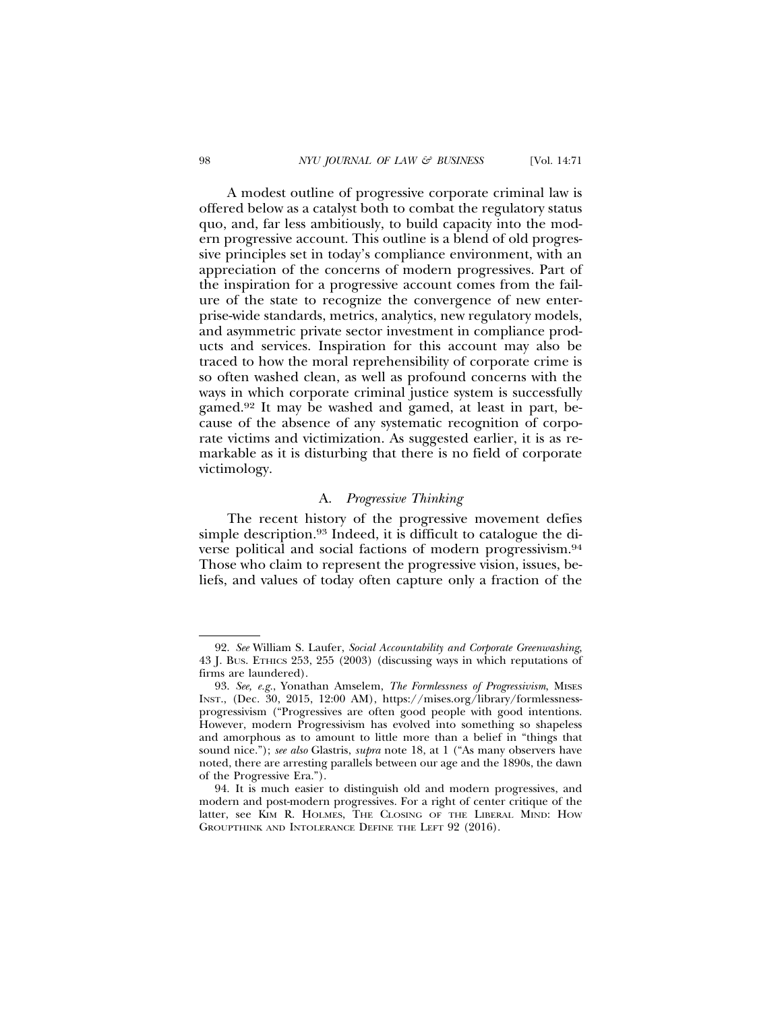A modest outline of progressive corporate criminal law is offered below as a catalyst both to combat the regulatory status quo, and, far less ambitiously, to build capacity into the modern progressive account. This outline is a blend of old progressive principles set in today's compliance environment, with an appreciation of the concerns of modern progressives. Part of the inspiration for a progressive account comes from the failure of the state to recognize the convergence of new enterprise-wide standards, metrics, analytics, new regulatory models, and asymmetric private sector investment in compliance products and services. Inspiration for this account may also be traced to how the moral reprehensibility of corporate crime is so often washed clean, as well as profound concerns with the ways in which corporate criminal justice system is successfully gamed.92 It may be washed and gamed, at least in part, because of the absence of any systematic recognition of corporate victims and victimization. As suggested earlier, it is as remarkable as it is disturbing that there is no field of corporate victimology.

### A. *Progressive Thinking*

The recent history of the progressive movement defies simple description.<sup>93</sup> Indeed, it is difficult to catalogue the diverse political and social factions of modern progressivism.94 Those who claim to represent the progressive vision, issues, beliefs, and values of today often capture only a fraction of the

<sup>92.</sup> *See* William S. Laufer, *Social Accountability and Corporate Greenwashing*, 43 J. BUS. ETHICS 253, 255 (2003) (discussing ways in which reputations of firms are laundered).

<sup>93.</sup> *See, e.g.*, Yonathan Amselem, *The Formlessness of Progressivism*, MISES INST., (Dec. 30, 2015, 12:00 AM), https://mises.org/library/formlessnessprogressivism ("Progressives are often good people with good intentions. However, modern Progressivism has evolved into something so shapeless and amorphous as to amount to little more than a belief in "things that sound nice."); *see also* Glastris, *supra* note 18, at 1 ("As many observers have noted, there are arresting parallels between our age and the 1890s, the dawn of the Progressive Era.").

<sup>94.</sup> It is much easier to distinguish old and modern progressives, and modern and post-modern progressives. For a right of center critique of the latter, see KIM R. HOLMES, THE CLOSING OF THE LIBERAL MIND: HOW GROUPTHINK AND INTOLERANCE DEFINE THE LEFT 92 (2016).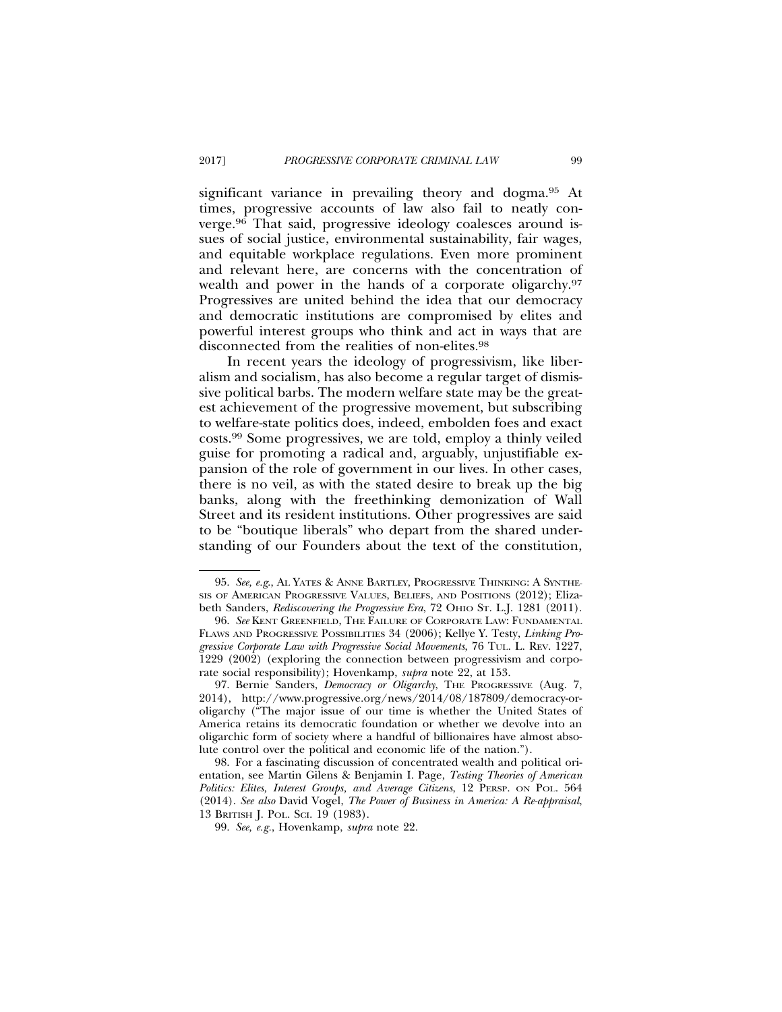significant variance in prevailing theory and dogma.95 At times, progressive accounts of law also fail to neatly converge.96 That said, progressive ideology coalesces around issues of social justice, environmental sustainability, fair wages, and equitable workplace regulations. Even more prominent and relevant here, are concerns with the concentration of wealth and power in the hands of a corporate oligarchy.97 Progressives are united behind the idea that our democracy and democratic institutions are compromised by elites and powerful interest groups who think and act in ways that are disconnected from the realities of non-elites.98

In recent years the ideology of progressivism, like liberalism and socialism, has also become a regular target of dismissive political barbs. The modern welfare state may be the greatest achievement of the progressive movement, but subscribing to welfare-state politics does, indeed, embolden foes and exact costs.99 Some progressives, we are told, employ a thinly veiled guise for promoting a radical and, arguably, unjustifiable expansion of the role of government in our lives. In other cases, there is no veil, as with the stated desire to break up the big banks, along with the freethinking demonization of Wall Street and its resident institutions. Other progressives are said to be "boutique liberals" who depart from the shared understanding of our Founders about the text of the constitution,

<sup>95.</sup> *See, e.g*., AL YATES & ANNE BARTLEY, PROGRESSIVE THINKING: A SYNTHE-SIS OF AMERICAN PROGRESSIVE VALUES, BELIEFS, AND POSITIONS (2012); Elizabeth Sanders, *Rediscovering the Progressive Era*, 72 OHIO ST. L.J. 1281 (2011).

<sup>96.</sup> *See* KENT GREENFIELD, THE FAILURE OF CORPORATE LAW: FUNDAMENTAL FLAWS AND PROGRESSIVE POSSIBILITIES 34 (2006); Kellye Y. Testy, *Linking Progressive Corporate Law with Progressive Social Movements*, 76 TUL. L. REV. 1227, 1229 (2002) (exploring the connection between progressivism and corporate social responsibility); Hovenkamp, *supra* note 22, at 153.

<sup>97.</sup> Bernie Sanders, *Democracy or Oligarchy*, THE PROGRESSIVE (Aug. 7, 2014), http://www.progressive.org/news/2014/08/187809/democracy-oroligarchy ("The major issue of our time is whether the United States of America retains its democratic foundation or whether we devolve into an oligarchic form of society where a handful of billionaires have almost absolute control over the political and economic life of the nation.").

<sup>98.</sup> For a fascinating discussion of concentrated wealth and political orientation, see Martin Gilens & Benjamin I. Page, *Testing Theories of American Politics: Elites, Interest Groups, and Average Citizens*, 12 PERSP. ON POL. 564 (2014). *See also* David Vogel, *The Power of Business in America: A Re-appraisal*, 13 BRITISH J. POL. SCI. 19 (1983).

<sup>99.</sup> *See, e.g.*, Hovenkamp, *supra* note 22.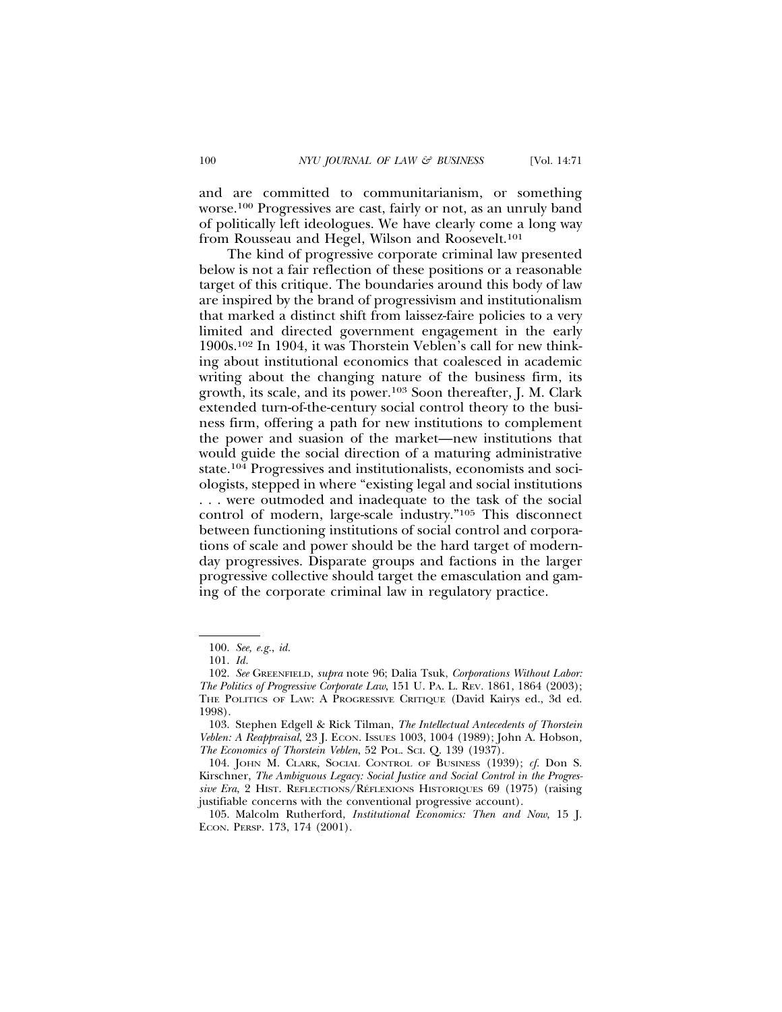and are committed to communitarianism, or something worse.100 Progressives are cast, fairly or not, as an unruly band of politically left ideologues. We have clearly come a long way from Rousseau and Hegel, Wilson and Roosevelt.<sup>101</sup>

The kind of progressive corporate criminal law presented below is not a fair reflection of these positions or a reasonable target of this critique. The boundaries around this body of law are inspired by the brand of progressivism and institutionalism that marked a distinct shift from laissez-faire policies to a very limited and directed government engagement in the early 1900s.102 In 1904, it was Thorstein Veblen's call for new thinking about institutional economics that coalesced in academic writing about the changing nature of the business firm, its growth, its scale, and its power.103 Soon thereafter, J. M. Clark extended turn-of-the-century social control theory to the business firm, offering a path for new institutions to complement the power and suasion of the market—new institutions that would guide the social direction of a maturing administrative state.104 Progressives and institutionalists, economists and sociologists, stepped in where "existing legal and social institutions . . . were outmoded and inadequate to the task of the social control of modern, large-scale industry."105 This disconnect between functioning institutions of social control and corporations of scale and power should be the hard target of modernday progressives. Disparate groups and factions in the larger progressive collective should target the emasculation and gaming of the corporate criminal law in regulatory practice.

<sup>100.</sup> *See, e.g.*, *id.*

<sup>101.</sup> *Id.*

<sup>102.</sup> *See* GREENFIELD, *supra* note 96; Dalia Tsuk, *Corporations Without Labor: The Politics of Progressive Corporate Law*, 151 U. PA. L. REV*.* 1861, 1864 (2003); THE POLITICS OF LAW: A PROGRESSIVE CRITIQUE (David Kairys ed., 3d ed. 1998).

<sup>103.</sup> Stephen Edgell & Rick Tilman, *The Intellectual Antecedents of Thorstein Veblen: A Reappraisal*, 23 J. ECON. ISSUES 1003, 1004 (1989); John A. Hobson*, The Economics of Thorstein Veblen*, 52 POL. SCI. Q. 139 (1937).

<sup>104.</sup> JOHN M. CLARK, SOCIAL CONTROL OF BUSINESS (1939); *cf.* Don S. Kirschner, *The Ambiguous Legacy: Social Justice and Social Control in the Progressive Era*, 2 HIST. REFLECTIONS/REFLEXIONS HISTORIQUES 69 (1975) (raising justifiable concerns with the conventional progressive account).

<sup>105.</sup> Malcolm Rutherford, *Institutional Economics: Then and Now*, 15 J. ECON. PERSP. 173, 174 (2001).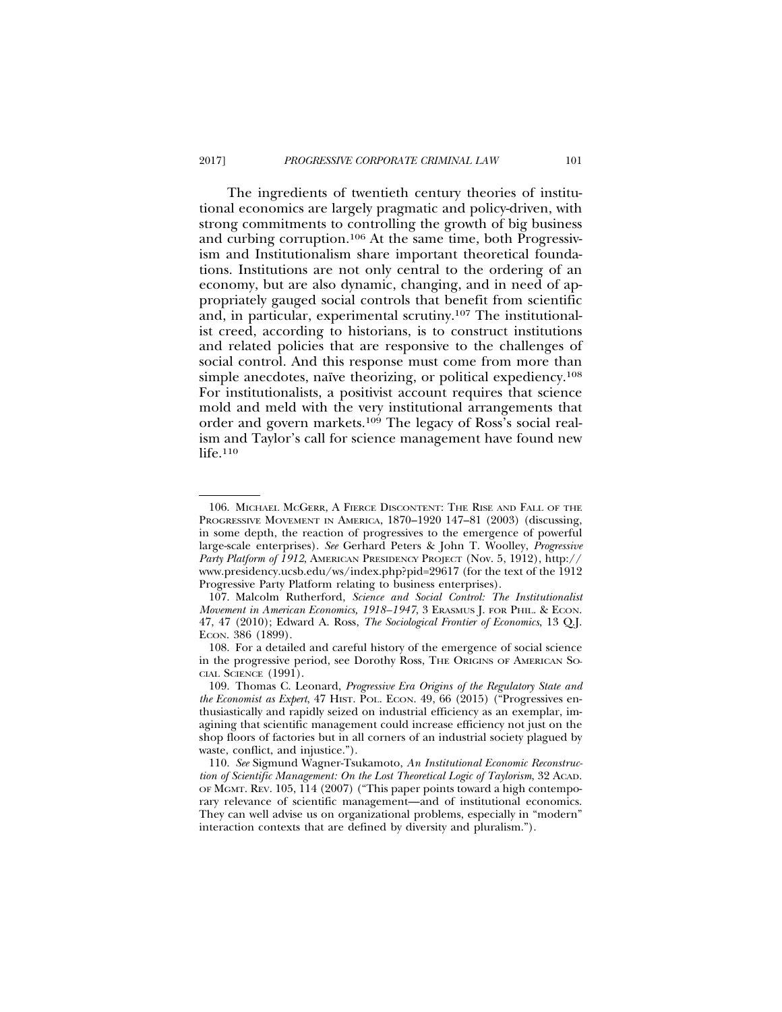The ingredients of twentieth century theories of institutional economics are largely pragmatic and policy-driven, with strong commitments to controlling the growth of big business and curbing corruption.106 At the same time, both Progressivism and Institutionalism share important theoretical foundations. Institutions are not only central to the ordering of an economy, but are also dynamic, changing, and in need of appropriately gauged social controls that benefit from scientific and, in particular, experimental scrutiny.107 The institutionalist creed, according to historians, is to construct institutions and related policies that are responsive to the challenges of social control. And this response must come from more than simple anecdotes, naïve theorizing, or political expediency.<sup>108</sup> For institutionalists, a positivist account requires that science mold and meld with the very institutional arrangements that order and govern markets.<sup>109</sup> The legacy of Ross's social realism and Taylor's call for science management have found new life.<sup>110</sup>

<sup>106.</sup> MICHAEL MCGERR, A FIERCE DISCONTENT: THE RISE AND FALL OF THE PROGRESSIVE MOVEMENT IN AMERICA, 1870–1920 147–81 (2003) (discussing, in some depth, the reaction of progressives to the emergence of powerful large-scale enterprises). *See* Gerhard Peters & John T. Woolley, *Progressive Party Platform of 1912*, AMERICAN PRESIDENCY PROJECT (Nov. 5, 1912), http:// www.presidency.ucsb.edu/ws/index.php?pid=29617 (for the text of the 1912 Progressive Party Platform relating to business enterprises).

<sup>107.</sup> Malcolm Rutherford, *Science and Social Control: The Institutionalist Movement in American Economics, 1918–1947*, 3 ERASMUS J. FOR PHIL. & ECON. 47, 47 (2010); Edward A. Ross, *The Sociological Frontier of Economics*, 13 Q.J. ECON. 386 (1899).

<sup>108.</sup> For a detailed and careful history of the emergence of social science in the progressive period, see Dorothy Ross, THE ORIGINS OF AMERICAN SO-CIAL SCIENCE (1991).

<sup>109.</sup> Thomas C. Leonard, *Progressive Era Origins of the Regulatory State and the Economist as Expert*, 47 HIST. POL. ECON. 49, 66 (2015) ("Progressives enthusiastically and rapidly seized on industrial efficiency as an exemplar, imagining that scientific management could increase efficiency not just on the shop floors of factories but in all corners of an industrial society plagued by waste, conflict, and injustice.").

<sup>110.</sup> *See* Sigmund Wagner-Tsukamoto, *An Institutional Economic Reconstruction of Scientific Management: On the Lost Theoretical Logic of Taylorism*, 32 ACAD. OF MGMT. REV. 105, 114 (2007) ("This paper points toward a high contemporary relevance of scientific management—and of institutional economics. They can well advise us on organizational problems, especially in "modern" interaction contexts that are defined by diversity and pluralism.").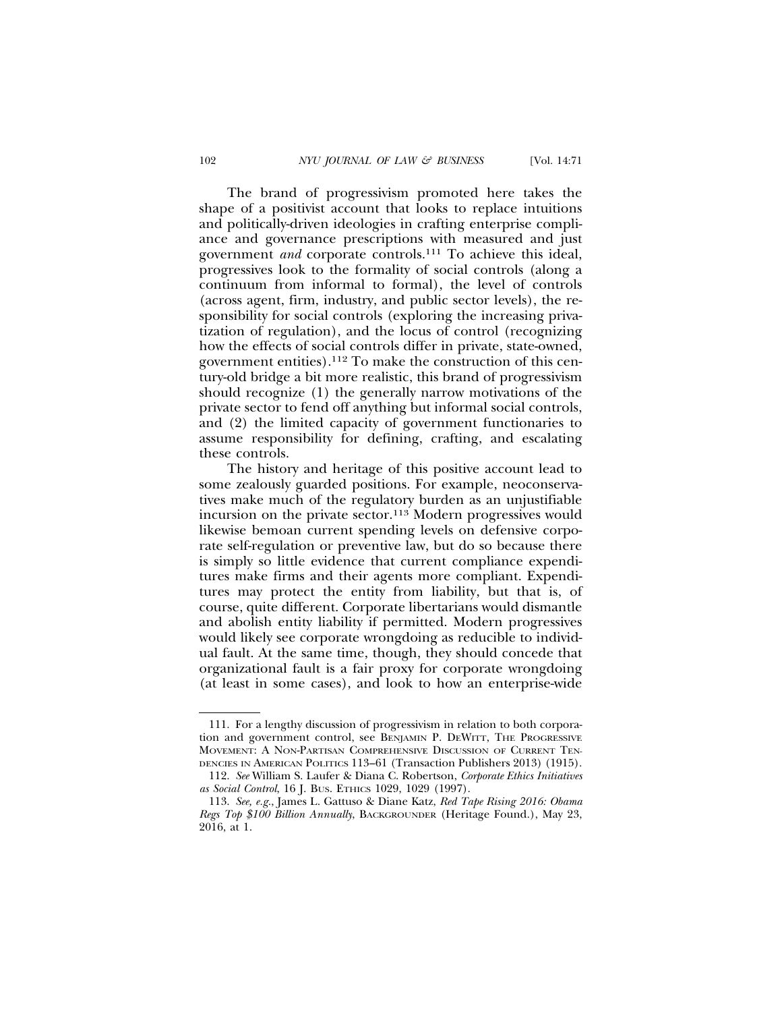The brand of progressivism promoted here takes the shape of a positivist account that looks to replace intuitions and politically-driven ideologies in crafting enterprise compliance and governance prescriptions with measured and just government *and* corporate controls.111 To achieve this ideal, progressives look to the formality of social controls (along a continuum from informal to formal), the level of controls (across agent, firm, industry, and public sector levels), the responsibility for social controls (exploring the increasing privatization of regulation), and the locus of control (recognizing how the effects of social controls differ in private, state-owned, government entities).112 To make the construction of this century-old bridge a bit more realistic, this brand of progressivism should recognize (1) the generally narrow motivations of the private sector to fend off anything but informal social controls, and (2) the limited capacity of government functionaries to assume responsibility for defining, crafting, and escalating these controls.

The history and heritage of this positive account lead to some zealously guarded positions. For example, neoconservatives make much of the regulatory burden as an unjustifiable incursion on the private sector.<sup>113</sup> Modern progressives would likewise bemoan current spending levels on defensive corporate self-regulation or preventive law, but do so because there is simply so little evidence that current compliance expenditures make firms and their agents more compliant. Expenditures may protect the entity from liability, but that is, of course, quite different. Corporate libertarians would dismantle and abolish entity liability if permitted. Modern progressives would likely see corporate wrongdoing as reducible to individual fault. At the same time, though, they should concede that organizational fault is a fair proxy for corporate wrongdoing (at least in some cases), and look to how an enterprise-wide

<sup>111.</sup> For a lengthy discussion of progressivism in relation to both corporation and government control, see BENJAMIN P. DEWITT, THE PROGRESSIVE MOVEMENT: A NON-PARTISAN COMPREHENSIVE DISCUSSION OF CURRENT TEN-DENCIES IN AMERICAN POLITICS 113–61 (Transaction Publishers 2013) (1915).

<sup>112.</sup> *See* William S. Laufer & Diana C. Robertson, *Corporate Ethics Initiatives as Social Control*, 16 J. BUS. ETHICS 1029, 1029 (1997).

<sup>113.</sup> *See, e.g.*, James L. Gattuso & Diane Katz, *Red Tape Rising 2016: Obama Regs Top \$100 Billion Annually*, BACKGROUNDER (Heritage Found.), May 23, 2016, at 1.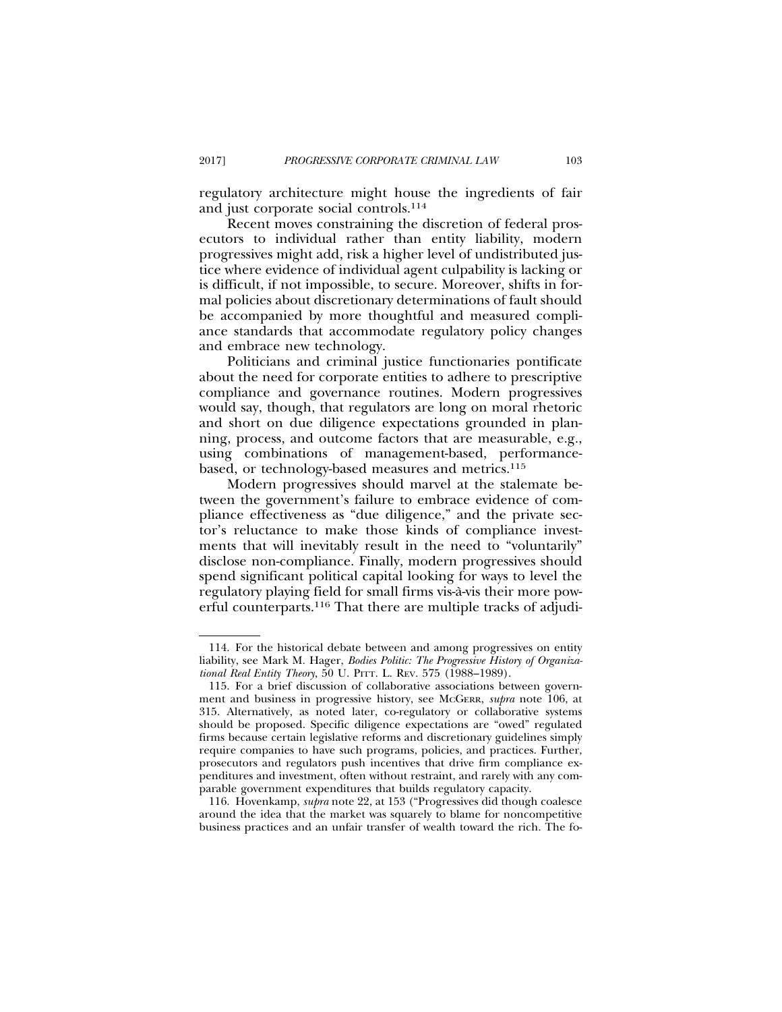regulatory architecture might house the ingredients of fair and just corporate social controls.114

Recent moves constraining the discretion of federal prosecutors to individual rather than entity liability, modern progressives might add, risk a higher level of undistributed justice where evidence of individual agent culpability is lacking or is difficult, if not impossible, to secure. Moreover, shifts in formal policies about discretionary determinations of fault should be accompanied by more thoughtful and measured compliance standards that accommodate regulatory policy changes and embrace new technology.

Politicians and criminal justice functionaries pontificate about the need for corporate entities to adhere to prescriptive compliance and governance routines. Modern progressives would say, though, that regulators are long on moral rhetoric and short on due diligence expectations grounded in planning, process, and outcome factors that are measurable, e.g., using combinations of management-based, performancebased, or technology-based measures and metrics.115

Modern progressives should marvel at the stalemate between the government's failure to embrace evidence of compliance effectiveness as "due diligence," and the private sector's reluctance to make those kinds of compliance investments that will inevitably result in the need to "voluntarily" disclose non-compliance. Finally, modern progressives should spend significant political capital looking for ways to level the regulatory playing field for small firms vis-a-vis their more pow- ` erful counterparts.116 That there are multiple tracks of adjudi-

116. Hovenkamp, *supra* note 22, at 153 ("Progressives did though coalesce around the idea that the market was squarely to blame for noncompetitive business practices and an unfair transfer of wealth toward the rich. The fo-

<sup>114.</sup> For the historical debate between and among progressives on entity liability, see Mark M. Hager, *Bodies Politic: The Progressive History of Organizational Real Entity Theory*, 50 U. PITT. L. REV. 575 (1988–1989).

<sup>115.</sup> For a brief discussion of collaborative associations between government and business in progressive history, see MCGERR, *supra* note 106, at 315. Alternatively, as noted later, co-regulatory or collaborative systems should be proposed. Specific diligence expectations are "owed" regulated firms because certain legislative reforms and discretionary guidelines simply require companies to have such programs, policies, and practices. Further, prosecutors and regulators push incentives that drive firm compliance expenditures and investment, often without restraint, and rarely with any comparable government expenditures that builds regulatory capacity.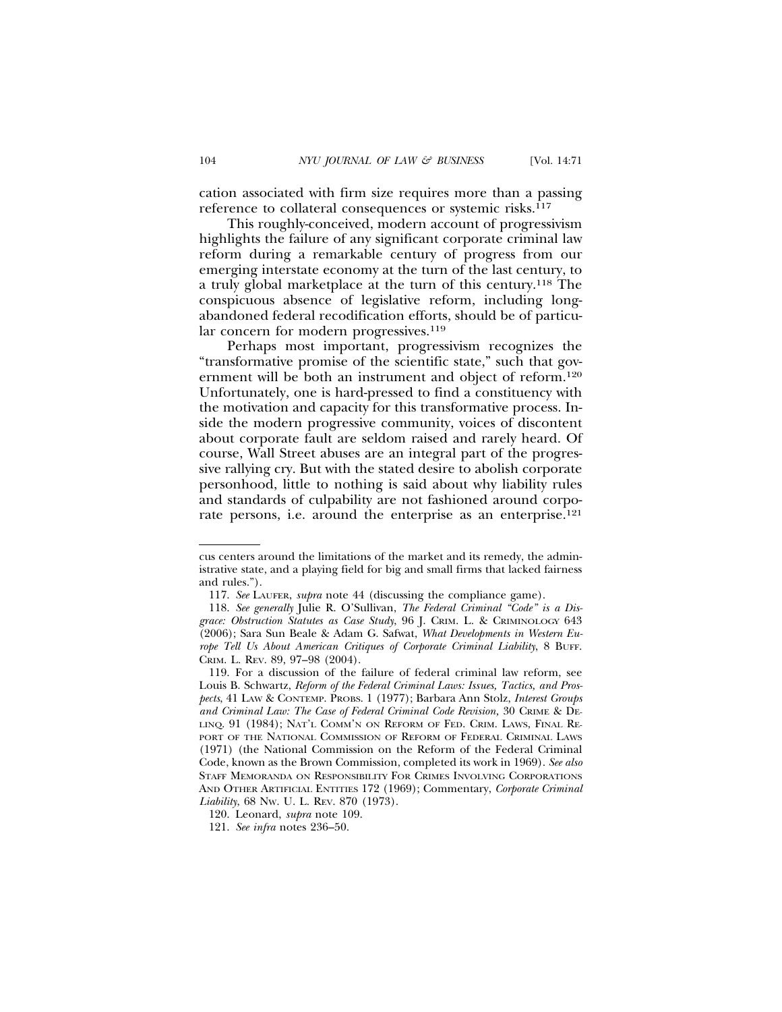cation associated with firm size requires more than a passing reference to collateral consequences or systemic risks.<sup>117</sup>

This roughly-conceived, modern account of progressivism highlights the failure of any significant corporate criminal law reform during a remarkable century of progress from our emerging interstate economy at the turn of the last century, to a truly global marketplace at the turn of this century.118 The conspicuous absence of legislative reform, including longabandoned federal recodification efforts, should be of particular concern for modern progressives.<sup>119</sup>

Perhaps most important, progressivism recognizes the "transformative promise of the scientific state," such that government will be both an instrument and object of reform.120 Unfortunately, one is hard-pressed to find a constituency with the motivation and capacity for this transformative process. Inside the modern progressive community, voices of discontent about corporate fault are seldom raised and rarely heard. Of course, Wall Street abuses are an integral part of the progressive rallying cry. But with the stated desire to abolish corporate personhood, little to nothing is said about why liability rules and standards of culpability are not fashioned around corporate persons, i.e. around the enterprise as an enterprise.<sup>121</sup>

cus centers around the limitations of the market and its remedy, the administrative state, and a playing field for big and small firms that lacked fairness and rules.").

<sup>117.</sup> *See* LAUFER, *supra* note 44 (discussing the compliance game).

<sup>118.</sup> *See generally* Julie R. O'Sullivan, *The Federal Criminal "Code" is a Disgrace: Obstruction Statutes as Case Study*, 96 J. CRIM. L. & CRIMINOLOGY 643 (2006); Sara Sun Beale & Adam G. Safwat, *What Developments in Western Europe Tell Us About American Critiques of Corporate Criminal Liability*, 8 BUFF. CRIM. L. REV. 89, 97–98 (2004).

<sup>119.</sup> For a discussion of the failure of federal criminal law reform, see Louis B. Schwartz, *Reform of the Federal Criminal Laws: Issues, Tactics, and Prospects*, 41 LAW & CONTEMP. PROBS. 1 (1977); Barbara Ann Stolz, *Interest Groups and Criminal Law: The Case of Federal Criminal Code Revision,* 30 CRIME & DE-LINQ. 91 (1984); NAT'L COMM'N ON REFORM OF FED. CRIM. LAWS, FINAL RE-PORT OF THE NATIONAL COMMISSION OF REFORM OF FEDERAL CRIMINAL LAWS (1971) (the National Commission on the Reform of the Federal Criminal Code, known as the Brown Commission, completed its work in 1969). *See also* STAFF MEMORANDA ON RESPONSIBILITY FOR CRIMES INVOLVING CORPORATIONS AND OTHER ARTIFICIAL ENTITIES 172 (1969); Commentary, *Corporate Criminal Liability*, 68 NW. U. L. REV. 870 (1973).

<sup>120.</sup> Leonard, *supra* note 109.

<sup>121.</sup> *See infra* notes 236–50.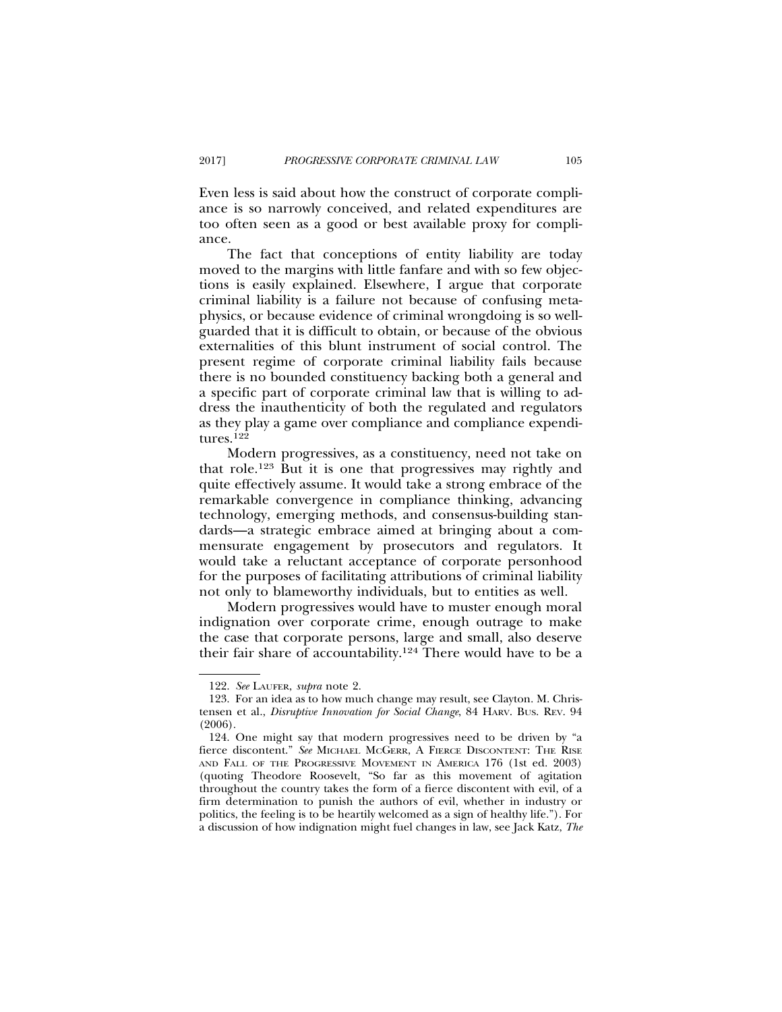Even less is said about how the construct of corporate compliance is so narrowly conceived, and related expenditures are too often seen as a good or best available proxy for compliance.

The fact that conceptions of entity liability are today moved to the margins with little fanfare and with so few objections is easily explained. Elsewhere, I argue that corporate criminal liability is a failure not because of confusing metaphysics, or because evidence of criminal wrongdoing is so wellguarded that it is difficult to obtain, or because of the obvious externalities of this blunt instrument of social control. The present regime of corporate criminal liability fails because there is no bounded constituency backing both a general and a specific part of corporate criminal law that is willing to address the inauthenticity of both the regulated and regulators as they play a game over compliance and compliance expenditures.122

Modern progressives, as a constituency, need not take on that role.123 But it is one that progressives may rightly and quite effectively assume. It would take a strong embrace of the remarkable convergence in compliance thinking, advancing technology, emerging methods, and consensus-building standards—a strategic embrace aimed at bringing about a commensurate engagement by prosecutors and regulators. It would take a reluctant acceptance of corporate personhood for the purposes of facilitating attributions of criminal liability not only to blameworthy individuals, but to entities as well.

Modern progressives would have to muster enough moral indignation over corporate crime, enough outrage to make the case that corporate persons, large and small, also deserve their fair share of accountability.124 There would have to be a

<sup>122.</sup> *See* LAUFER, *supra* note 2.

<sup>123.</sup> For an idea as to how much change may result, see Clayton. M. Christensen et al., *Disruptive Innovation for Social Change*, 84 HARV. BUS. REV. 94 (2006).

<sup>124.</sup> One might say that modern progressives need to be driven by "a fierce discontent." *See* MICHAEL MCGERR, A FIERCE DISCONTENT: THE RISE AND FALL OF THE PROGRESSIVE MOVEMENT IN AMERICA 176 (1st ed. 2003) (quoting Theodore Roosevelt, "So far as this movement of agitation throughout the country takes the form of a fierce discontent with evil, of a firm determination to punish the authors of evil, whether in industry or politics, the feeling is to be heartily welcomed as a sign of healthy life."). For a discussion of how indignation might fuel changes in law, see Jack Katz, *The*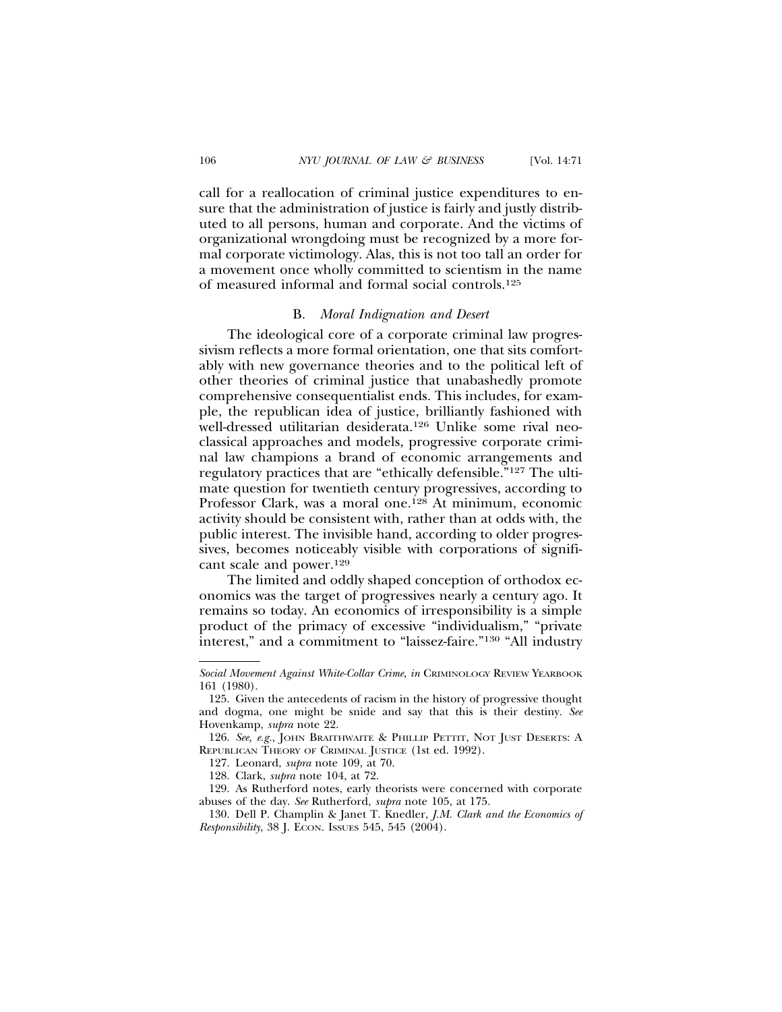call for a reallocation of criminal justice expenditures to ensure that the administration of justice is fairly and justly distributed to all persons, human and corporate. And the victims of organizational wrongdoing must be recognized by a more formal corporate victimology. Alas, this is not too tall an order for a movement once wholly committed to scientism in the name of measured informal and formal social controls.125

### B. *Moral Indignation and Desert*

The ideological core of a corporate criminal law progressivism reflects a more formal orientation, one that sits comfortably with new governance theories and to the political left of other theories of criminal justice that unabashedly promote comprehensive consequentialist ends. This includes, for example, the republican idea of justice, brilliantly fashioned with well-dressed utilitarian desiderata.126 Unlike some rival neoclassical approaches and models, progressive corporate criminal law champions a brand of economic arrangements and regulatory practices that are "ethically defensible."127 The ultimate question for twentieth century progressives, according to Professor Clark, was a moral one.128 At minimum, economic activity should be consistent with, rather than at odds with, the public interest. The invisible hand, according to older progressives, becomes noticeably visible with corporations of significant scale and power.129

The limited and oddly shaped conception of orthodox economics was the target of progressives nearly a century ago. It remains so today. An economics of irresponsibility is a simple product of the primacy of excessive "individualism," "private interest," and a commitment to "laissez-faire."130 "All industry

*Social Movement Against White-Collar Crime*, *in* CRIMINOLOGY REVIEW YEARBOOK 161 (1980).

<sup>125.</sup> Given the antecedents of racism in the history of progressive thought and dogma, one might be snide and say that this is their destiny. *See* Hovenkamp, *supra* note 22.

<sup>126.</sup> *See, e.g.*, JOHN BRAITHWAITE & PHILLIP PETTIT, NOT JUST DESERTS: A REPUBLICAN THEORY OF CRIMINAL JUSTICE (1st ed. 1992).

<sup>127.</sup> Leonard, *supra* note 109, at 70.

<sup>128.</sup> Clark, *supra* note 104, at 72.

<sup>129.</sup> As Rutherford notes, early theorists were concerned with corporate abuses of the day. *See* Rutherford, *supra* note 105, at 175.

<sup>130.</sup> Dell P. Champlin & Janet T. Knedler, *J.M. Clark and the Economics of Responsibility*, 38 J. ECON. ISSUES 545, 545 (2004).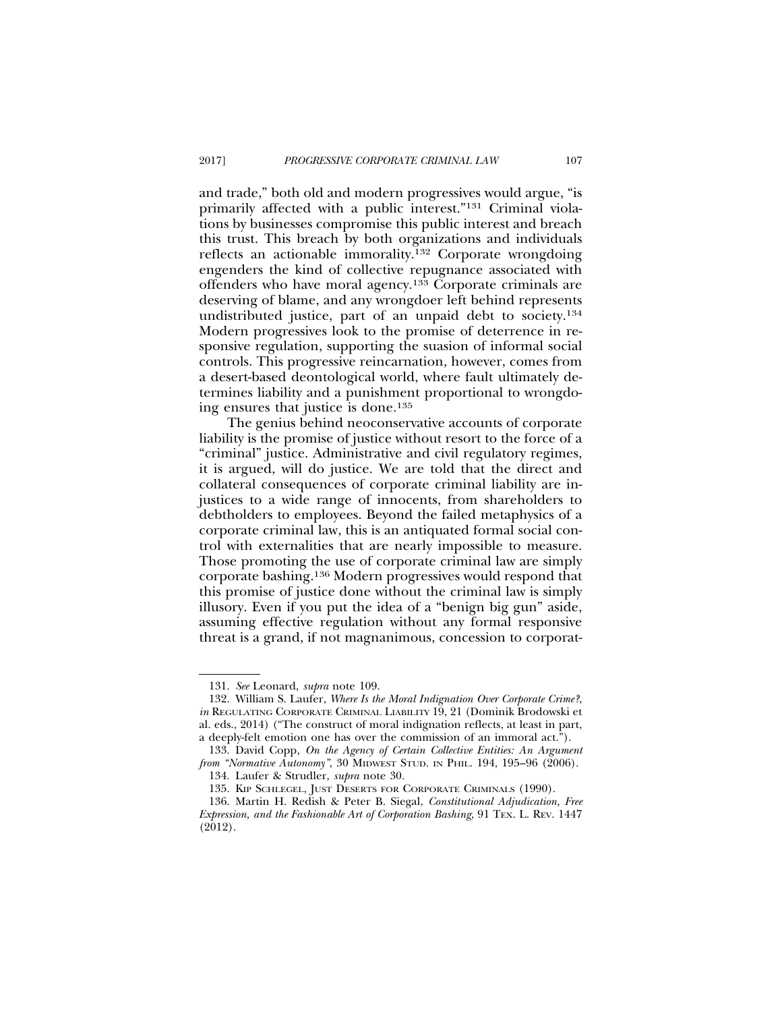and trade," both old and modern progressives would argue, "is primarily affected with a public interest."131 Criminal violations by businesses compromise this public interest and breach this trust. This breach by both organizations and individuals reflects an actionable immorality.132 Corporate wrongdoing engenders the kind of collective repugnance associated with offenders who have moral agency.133 Corporate criminals are deserving of blame, and any wrongdoer left behind represents undistributed justice, part of an unpaid debt to society.134 Modern progressives look to the promise of deterrence in responsive regulation, supporting the suasion of informal social controls. This progressive reincarnation, however, comes from a desert-based deontological world, where fault ultimately determines liability and a punishment proportional to wrongdoing ensures that justice is done.135

The genius behind neoconservative accounts of corporate liability is the promise of justice without resort to the force of a "criminal" justice. Administrative and civil regulatory regimes, it is argued, will do justice. We are told that the direct and collateral consequences of corporate criminal liability are injustices to a wide range of innocents, from shareholders to debtholders to employees. Beyond the failed metaphysics of a corporate criminal law, this is an antiquated formal social control with externalities that are nearly impossible to measure. Those promoting the use of corporate criminal law are simply corporate bashing.136 Modern progressives would respond that this promise of justice done without the criminal law is simply illusory. Even if you put the idea of a "benign big gun" aside, assuming effective regulation without any formal responsive threat is a grand, if not magnanimous, concession to corporat-

<sup>131.</sup> *See* Leonard, *supra* note 109.

<sup>132.</sup> William S. Laufer, *Where Is the Moral Indignation Over Corporate Crime?*, *in* REGULATING CORPORATE CRIMINAL LIABILITY 19, 21 (Dominik Brodowski et al. eds., 2014) ("The construct of moral indignation reflects, at least in part, a deeply-felt emotion one has over the commission of an immoral act.").

<sup>133.</sup> David Copp*, On the Agency of Certain Collective Entities: An Argument from "Normative Autonomy"*, 30 MIDWEST STUD. IN PHIL. 194, 195–96 (2006).

<sup>134.</sup> Laufer & Strudler, *supra* note 30.

<sup>135.</sup> KIP SCHLEGEL, JUST DESERTS FOR CORPORATE CRIMINALS (1990).

<sup>136.</sup> Martin H. Redish & Peter B. Siegal, *Constitutional Adjudication, Free Expression, and the Fashionable Art of Corporation Bashing*, 91 TEX. L. REV. 1447 (2012).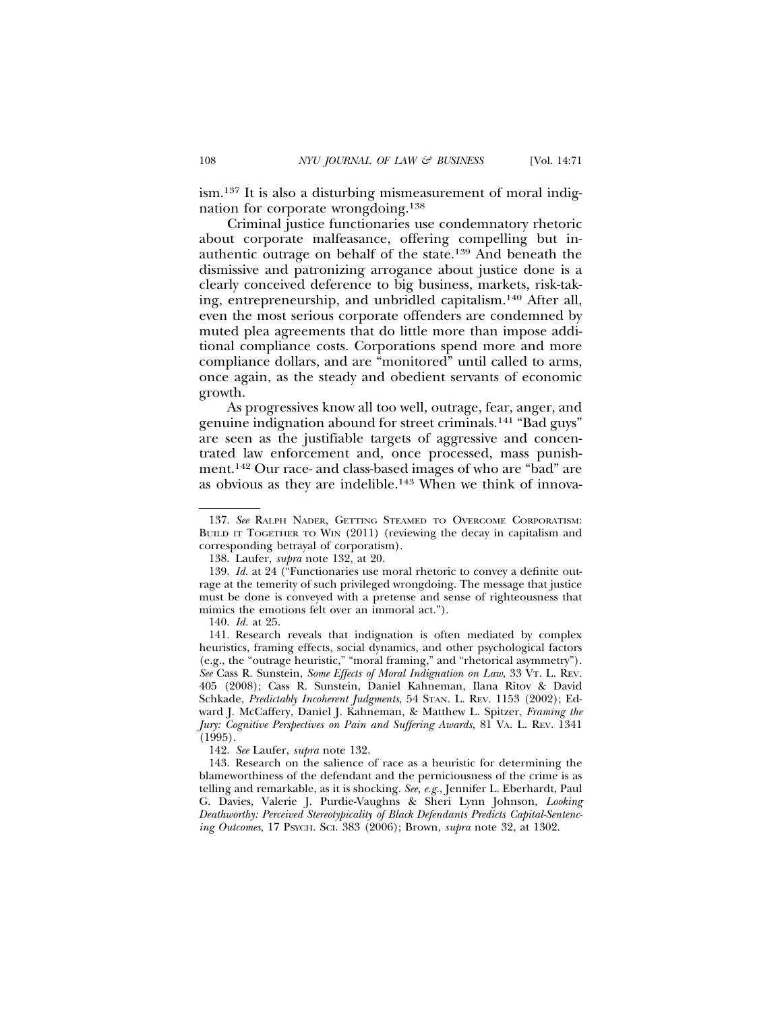ism.137 It is also a disturbing mismeasurement of moral indignation for corporate wrongdoing.138

Criminal justice functionaries use condemnatory rhetoric about corporate malfeasance, offering compelling but inauthentic outrage on behalf of the state.139 And beneath the dismissive and patronizing arrogance about justice done is a clearly conceived deference to big business, markets, risk-taking, entrepreneurship, and unbridled capitalism.140 After all, even the most serious corporate offenders are condemned by muted plea agreements that do little more than impose additional compliance costs. Corporations spend more and more compliance dollars, and are "monitored" until called to arms, once again, as the steady and obedient servants of economic growth.

As progressives know all too well, outrage, fear, anger, and genuine indignation abound for street criminals.141 "Bad guys" are seen as the justifiable targets of aggressive and concentrated law enforcement and, once processed, mass punishment.142 Our race- and class-based images of who are "bad" are as obvious as they are indelible.143 When we think of innova-

140. *Id.* at 25.

141. Research reveals that indignation is often mediated by complex heuristics, framing effects, social dynamics, and other psychological factors (e.g., the "outrage heuristic," "moral framing," and "rhetorical asymmetry"). *See* Cass R. Sunstein, *Some Effects of Moral Indignation on Law*, 33 VT. L. REV*.* 405 (2008); Cass R. Sunstein, Daniel Kahneman, Ilana Ritov & David Schkade, *Predictably Incoherent Judgments*, 54 STAN. L. REV. 1153 (2002); Edward J. McCaffery, Daniel J. Kahneman, & Matthew L. Spitzer, *Framing the Jury: Cognitive Perspectives on Pain and Suffering Awards,* 81 VA. L. REV. 1341 (1995).

142. *See* Laufer, *supra* note 132.

143. Research on the salience of race as a heuristic for determining the blameworthiness of the defendant and the perniciousness of the crime is as telling and remarkable, as it is shocking. *See, e.g.*, Jennifer L. Eberhardt, Paul G. Davies, Valerie J. Purdie-Vaughns & Sheri Lynn Johnson, *Looking Deathworthy: Perceived Stereotypicality of Black Defendants Predicts Capital-Sentencing Outcomes*, 17 PSYCH. SCI. 383 (2006); Brown, *supra* note 32, at 1302.

<sup>137.</sup> *See* RALPH NADER, GETTING STEAMED TO OVERCOME CORPORATISM: BUILD IT TOGETHER TO WIN (2011) (reviewing the decay in capitalism and corresponding betrayal of corporatism).

<sup>138.</sup> Laufer, *supra* note 132, at 20.

<sup>139.</sup> *Id.* at 24 ("Functionaries use moral rhetoric to convey a definite outrage at the temerity of such privileged wrongdoing. The message that justice must be done is conveyed with a pretense and sense of righteousness that mimics the emotions felt over an immoral act.").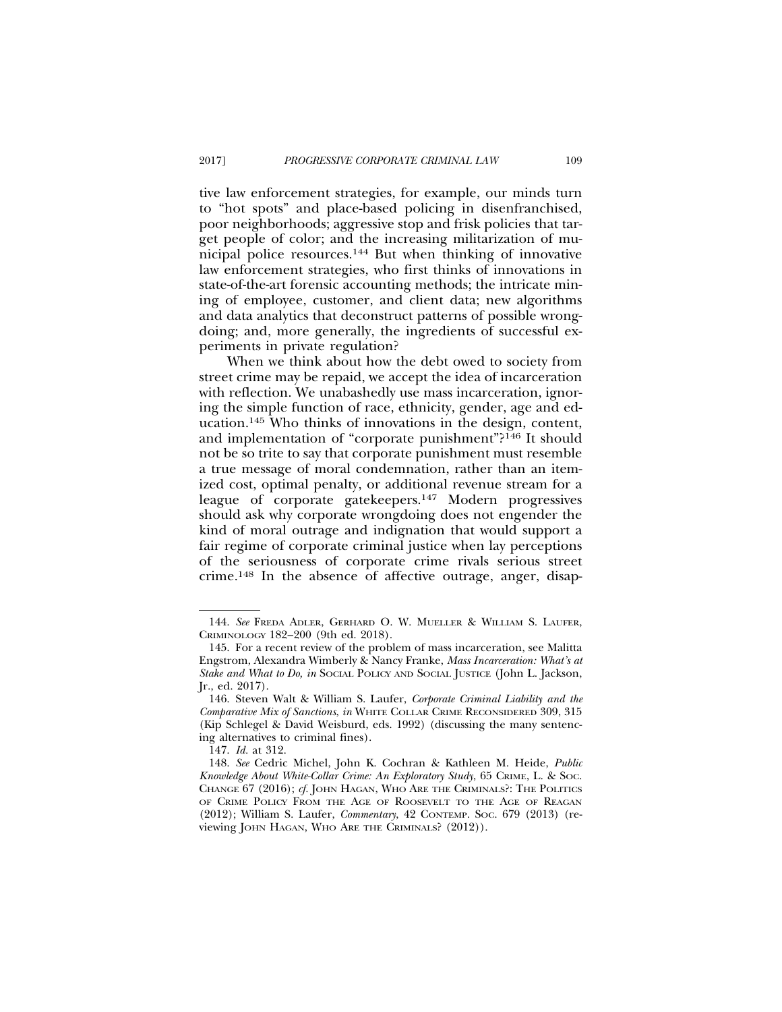tive law enforcement strategies, for example, our minds turn to "hot spots" and place-based policing in disenfranchised, poor neighborhoods; aggressive stop and frisk policies that target people of color; and the increasing militarization of municipal police resources.144 But when thinking of innovative law enforcement strategies, who first thinks of innovations in state-of-the-art forensic accounting methods; the intricate mining of employee, customer, and client data; new algorithms and data analytics that deconstruct patterns of possible wrongdoing; and, more generally, the ingredients of successful experiments in private regulation?

When we think about how the debt owed to society from street crime may be repaid, we accept the idea of incarceration with reflection. We unabashedly use mass incarceration, ignoring the simple function of race, ethnicity, gender, age and education.145 Who thinks of innovations in the design, content, and implementation of "corporate punishment"?146 It should not be so trite to say that corporate punishment must resemble a true message of moral condemnation, rather than an itemized cost, optimal penalty, or additional revenue stream for a league of corporate gatekeepers.147 Modern progressives should ask why corporate wrongdoing does not engender the kind of moral outrage and indignation that would support a fair regime of corporate criminal justice when lay perceptions of the seriousness of corporate crime rivals serious street crime.148 In the absence of affective outrage, anger, disap-

<sup>144.</sup> *See* FREDA ADLER, GERHARD O. W. MUELLER & WILLIAM S. LAUFER, CRIMINOLOGY 182–200 (9th ed. 2018).

<sup>145.</sup> For a recent review of the problem of mass incarceration, see Malitta Engstrom, Alexandra Wimberly & Nancy Franke, *Mass Incarceration: What's at Stake and What to Do, in* SOCIAL POLICY AND SOCIAL JUSTICE (John L. Jackson, Jr., ed. 2017).

<sup>146.</sup> Steven Walt & William S. Laufer, *Corporate Criminal Liability and the Comparative Mix of Sanctions*, *in* WHITE COLLAR CRIME RECONSIDERED 309, 315 (Kip Schlegel & David Weisburd, eds. 1992) (discussing the many sentencing alternatives to criminal fines).

<sup>147.</sup> *Id.* at 312.

<sup>148.</sup> *See* Cedric Michel, John K. Cochran & Kathleen M. Heide, *Public Knowledge About White-Collar Crime: An Exploratory Study*, 65 CRIME, L. & SOC. CHANGE 67 (2016); *cf.* JOHN HAGAN, WHO ARE THE CRIMINALS?: THE POLITICS OF CRIME POLICY FROM THE AGE OF ROOSEVELT TO THE AGE OF REAGAN (2012); William S. Laufer, *Commentary*, 42 CONTEMP. SOC. 679 (2013) (reviewing JOHN HAGAN, WHO ARE THE CRIMINALS? (2012)).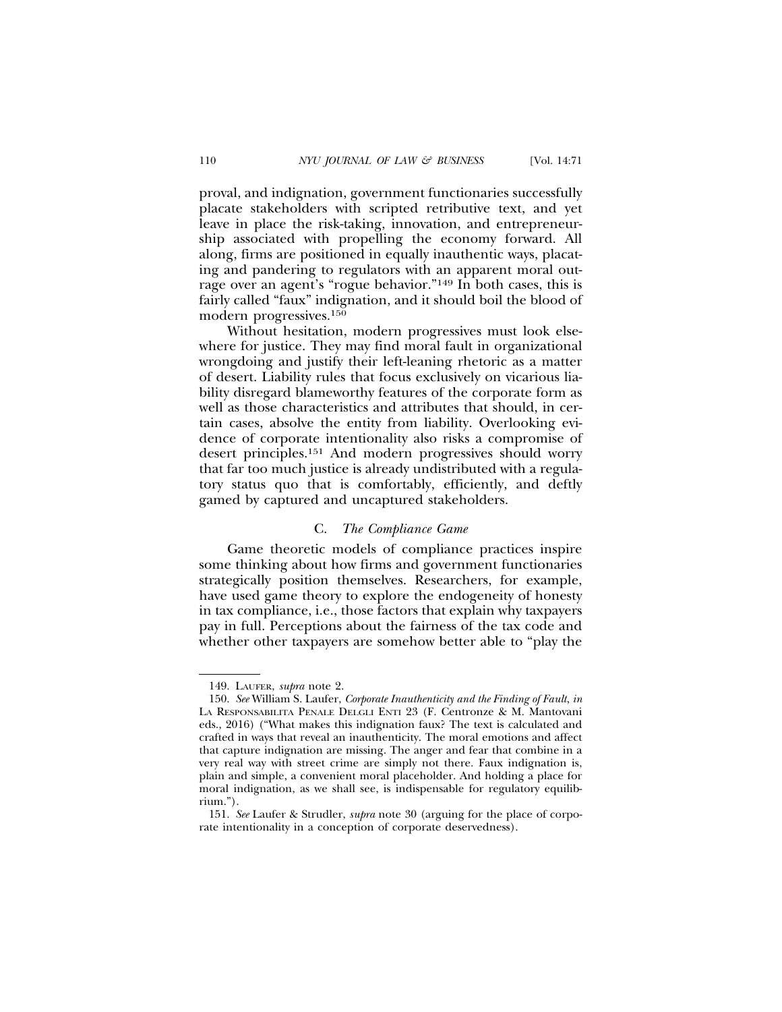proval, and indignation, government functionaries successfully placate stakeholders with scripted retributive text, and yet leave in place the risk-taking, innovation, and entrepreneurship associated with propelling the economy forward. All along, firms are positioned in equally inauthentic ways, placating and pandering to regulators with an apparent moral outrage over an agent's "rogue behavior."149 In both cases, this is fairly called "faux" indignation, and it should boil the blood of modern progressives.150

Without hesitation, modern progressives must look elsewhere for justice. They may find moral fault in organizational wrongdoing and justify their left-leaning rhetoric as a matter of desert. Liability rules that focus exclusively on vicarious liability disregard blameworthy features of the corporate form as well as those characteristics and attributes that should, in certain cases, absolve the entity from liability. Overlooking evidence of corporate intentionality also risks a compromise of desert principles.151 And modern progressives should worry that far too much justice is already undistributed with a regulatory status quo that is comfortably, efficiently, and deftly gamed by captured and uncaptured stakeholders.

#### C. *The Compliance Game*

Game theoretic models of compliance practices inspire some thinking about how firms and government functionaries strategically position themselves. Researchers, for example, have used game theory to explore the endogeneity of honesty in tax compliance, i.e., those factors that explain why taxpayers pay in full. Perceptions about the fairness of the tax code and whether other taxpayers are somehow better able to "play the

<sup>149.</sup> LAUFER, *supra* note 2.

<sup>150.</sup> *See* William S. Laufer, *Corporate Inauthenticity and the Finding of Fault*, *in* LA RESPONSABILITA PENALE DELGLI ENTI 23 (F. Centronze & M. Mantovani eds., 2016) ("What makes this indignation faux? The text is calculated and crafted in ways that reveal an inauthenticity. The moral emotions and affect that capture indignation are missing. The anger and fear that combine in a very real way with street crime are simply not there. Faux indignation is, plain and simple, a convenient moral placeholder. And holding a place for moral indignation, as we shall see, is indispensable for regulatory equilibrium.").

<sup>151.</sup> *See* Laufer & Strudler, *supra* note 30 (arguing for the place of corporate intentionality in a conception of corporate deservedness).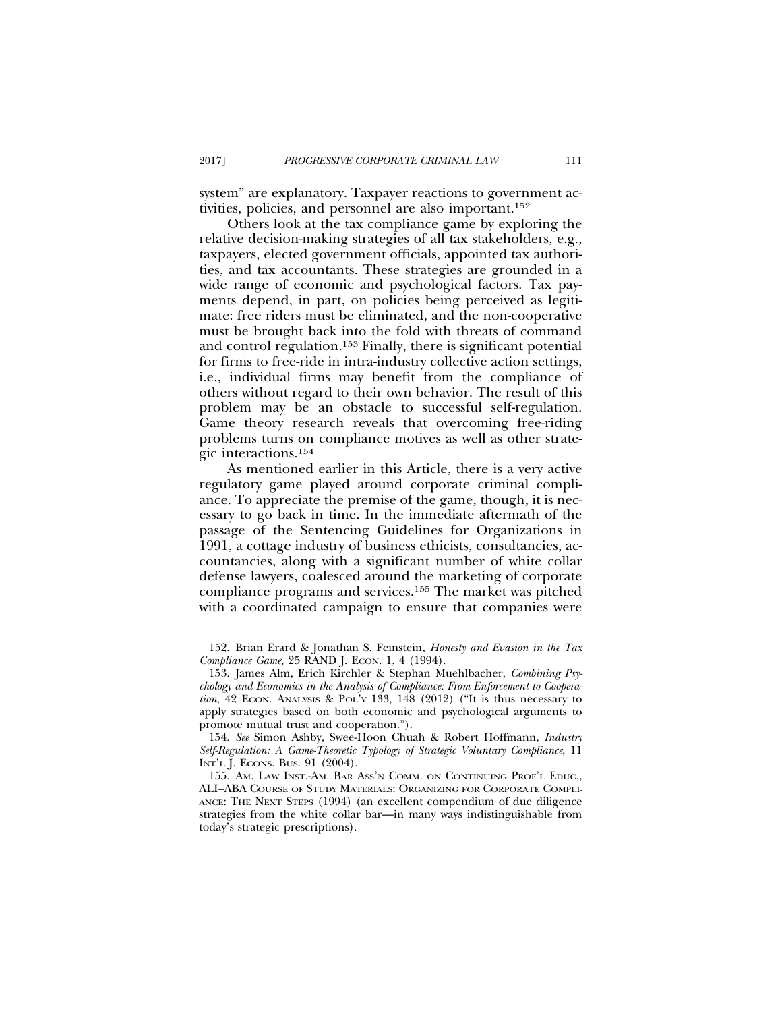system" are explanatory. Taxpayer reactions to government activities, policies, and personnel are also important.152

Others look at the tax compliance game by exploring the relative decision-making strategies of all tax stakeholders, e.g., taxpayers, elected government officials, appointed tax authorities, and tax accountants. These strategies are grounded in a wide range of economic and psychological factors. Tax payments depend, in part, on policies being perceived as legitimate: free riders must be eliminated, and the non-cooperative must be brought back into the fold with threats of command and control regulation.153 Finally, there is significant potential for firms to free-ride in intra-industry collective action settings, i.e., individual firms may benefit from the compliance of others without regard to their own behavior. The result of this problem may be an obstacle to successful self-regulation. Game theory research reveals that overcoming free-riding problems turns on compliance motives as well as other strategic interactions.154

As mentioned earlier in this Article, there is a very active regulatory game played around corporate criminal compliance. To appreciate the premise of the game, though, it is necessary to go back in time. In the immediate aftermath of the passage of the Sentencing Guidelines for Organizations in 1991, a cottage industry of business ethicists, consultancies, accountancies, along with a significant number of white collar defense lawyers, coalesced around the marketing of corporate compliance programs and services.155 The market was pitched with a coordinated campaign to ensure that companies were

<sup>152.</sup> Brian Erard & Jonathan S. Feinstein*, Honesty and Evasion in the Tax Compliance Game, 25 RAND J. ECON. 1, 4 (1994).* 

<sup>153.</sup> James Alm, Erich Kirchler & Stephan Muehlbacher, *Combining Psychology and Economics in the Analysis of Compliance: From Enforcement to Cooperation*, 42 ECON. ANALYSIS & POL'Y 133, 148 (2012) ("It is thus necessary to apply strategies based on both economic and psychological arguments to promote mutual trust and cooperation.").

<sup>154.</sup> *See* Simon Ashby, Swee-Hoon Chuah & Robert Hoffmann, *Industry Self-Regulation: A Game-Theoretic Typology of Strategic Voluntary Compliance*, 11 INT'L J. ECONS. BUS. 91 (2004).

<sup>155.</sup> AM. LAW INST.-AM. BAR ASS'N COMM. ON CONTINUING PROF'L EDUC., ALI–ABA COURSE OF STUDY MATERIALS: ORGANIZING FOR CORPORATE COMPLI-ANCE: THE NEXT STEPS (1994) (an excellent compendium of due diligence strategies from the white collar bar—in many ways indistinguishable from today's strategic prescriptions).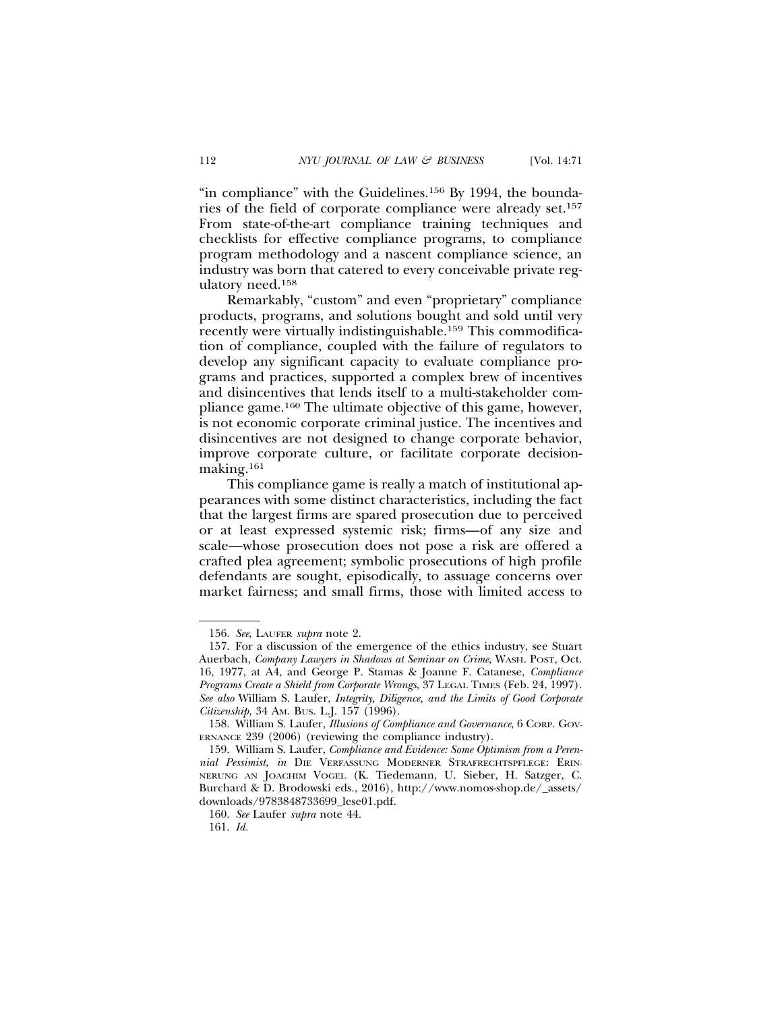"in compliance" with the Guidelines.156 By 1994, the boundaries of the field of corporate compliance were already set.157 From state-of-the-art compliance training techniques and checklists for effective compliance programs, to compliance program methodology and a nascent compliance science, an industry was born that catered to every conceivable private regulatory need.158

Remarkably, "custom" and even "proprietary" compliance products, programs, and solutions bought and sold until very recently were virtually indistinguishable.159 This commodification of compliance, coupled with the failure of regulators to develop any significant capacity to evaluate compliance programs and practices, supported a complex brew of incentives and disincentives that lends itself to a multi-stakeholder compliance game.160 The ultimate objective of this game, however, is not economic corporate criminal justice. The incentives and disincentives are not designed to change corporate behavior, improve corporate culture, or facilitate corporate decisionmaking.161

This compliance game is really a match of institutional appearances with some distinct characteristics, including the fact that the largest firms are spared prosecution due to perceived or at least expressed systemic risk; firms—of any size and scale—whose prosecution does not pose a risk are offered a crafted plea agreement; symbolic prosecutions of high profile defendants are sought, episodically, to assuage concerns over market fairness; and small firms, those with limited access to

<sup>156.</sup> *See*, LAUFER *supra* note 2.

<sup>157.</sup> For a discussion of the emergence of the ethics industry, see Stuart Auerbach, *Company Lawyers in Shadows at Seminar on Crime,* WASH. POST, Oct. 16, 1977, at A4, and George P. Stamas & Joanne F. Catanese, *Compliance Programs Create a Shield from Corporate Wrongs*, 37 LEGAL TIMES (Feb. 24, 1997). *See also* William S. Laufer, *Integrity, Diligence, and the Limits of Good Corporate Citizenship*, 34 AM. BUS. L.J. 157 (1996).

<sup>158.</sup> William S. Laufer, *Illusions of Compliance and Governance*, 6 CORP. GOV-ERNANCE 239 (2006) (reviewing the compliance industry).

<sup>159.</sup> William S. Laufer, *Compliance and Evidence: Some Optimism from a Perennial Pessimist*, *in* DIE VERFASSUNG MODERNER STRAFRECHTSPFLEGE: ERIN-NERUNG AN JOACHIM VOGEL (K. Tiedemann, U. Sieber, H. Satzger, C. Burchard & D. Brodowski eds., 2016), http://www.nomos-shop.de/\_assets/ downloads/9783848733699\_lese01.pdf.

<sup>160.</sup> *See* Laufer *supra* note 44.

<sup>161.</sup> *Id.*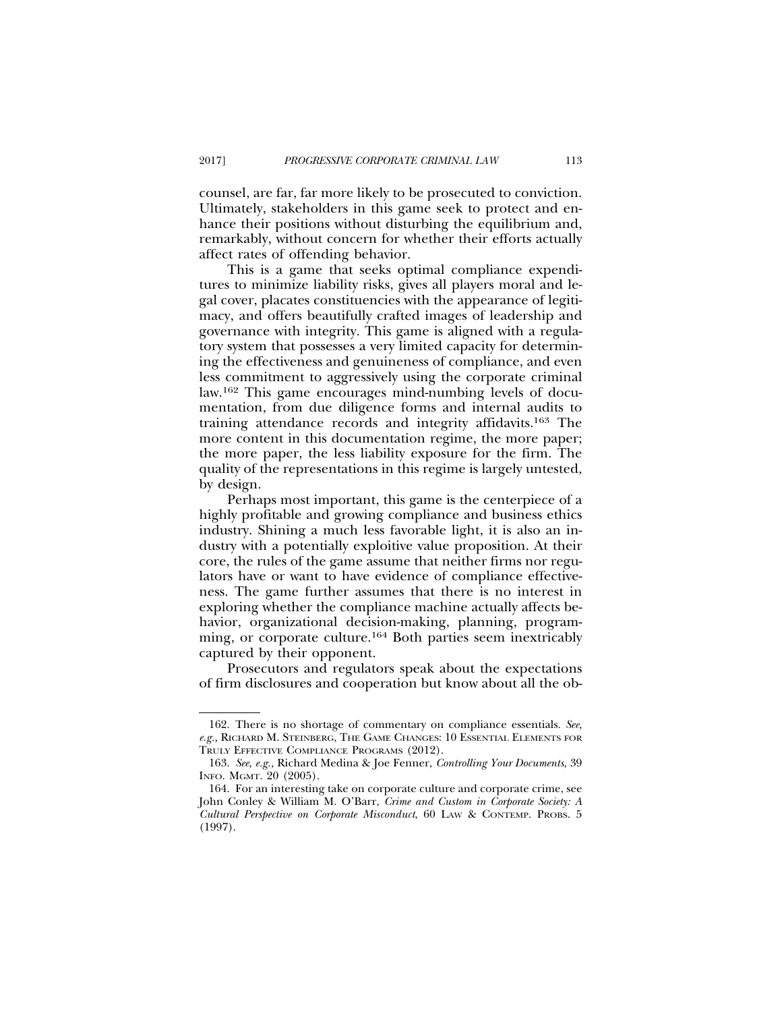counsel, are far, far more likely to be prosecuted to conviction. Ultimately, stakeholders in this game seek to protect and enhance their positions without disturbing the equilibrium and, remarkably, without concern for whether their efforts actually affect rates of offending behavior.

This is a game that seeks optimal compliance expenditures to minimize liability risks, gives all players moral and legal cover, placates constituencies with the appearance of legitimacy, and offers beautifully crafted images of leadership and governance with integrity. This game is aligned with a regulatory system that possesses a very limited capacity for determining the effectiveness and genuineness of compliance, and even less commitment to aggressively using the corporate criminal law.162 This game encourages mind-numbing levels of documentation, from due diligence forms and internal audits to training attendance records and integrity affidavits.163 The more content in this documentation regime, the more paper; the more paper, the less liability exposure for the firm. The quality of the representations in this regime is largely untested, by design.

Perhaps most important, this game is the centerpiece of a highly profitable and growing compliance and business ethics industry. Shining a much less favorable light, it is also an industry with a potentially exploitive value proposition. At their core, the rules of the game assume that neither firms nor regulators have or want to have evidence of compliance effectiveness. The game further assumes that there is no interest in exploring whether the compliance machine actually affects behavior, organizational decision-making, planning, programming, or corporate culture.<sup>164</sup> Both parties seem inextricably captured by their opponent.

Prosecutors and regulators speak about the expectations of firm disclosures and cooperation but know about all the ob-

<sup>162.</sup> There is no shortage of commentary on compliance essentials. *See, e.g.,* RICHARD M. STEINBERG, THE GAME CHANGES: 10 ESSENTIAL ELEMENTS FOR TRULY EFFECTIVE COMPLIANCE PROGRAMS (2012).

<sup>163.</sup> *See, e.g.,* Richard Medina & Joe Fenner, *Controlling Your Documents*, 39 INFO. MGMT. 20 (2005).

<sup>164.</sup> For an interesting take on corporate culture and corporate crime, see John Conley & William M. O'Barr, *Crime and Custom in Corporate Society: A Cultural Perspective on Corporate Misconduct*, 60 LAW & CONTEMP. PROBS. 5 (1997).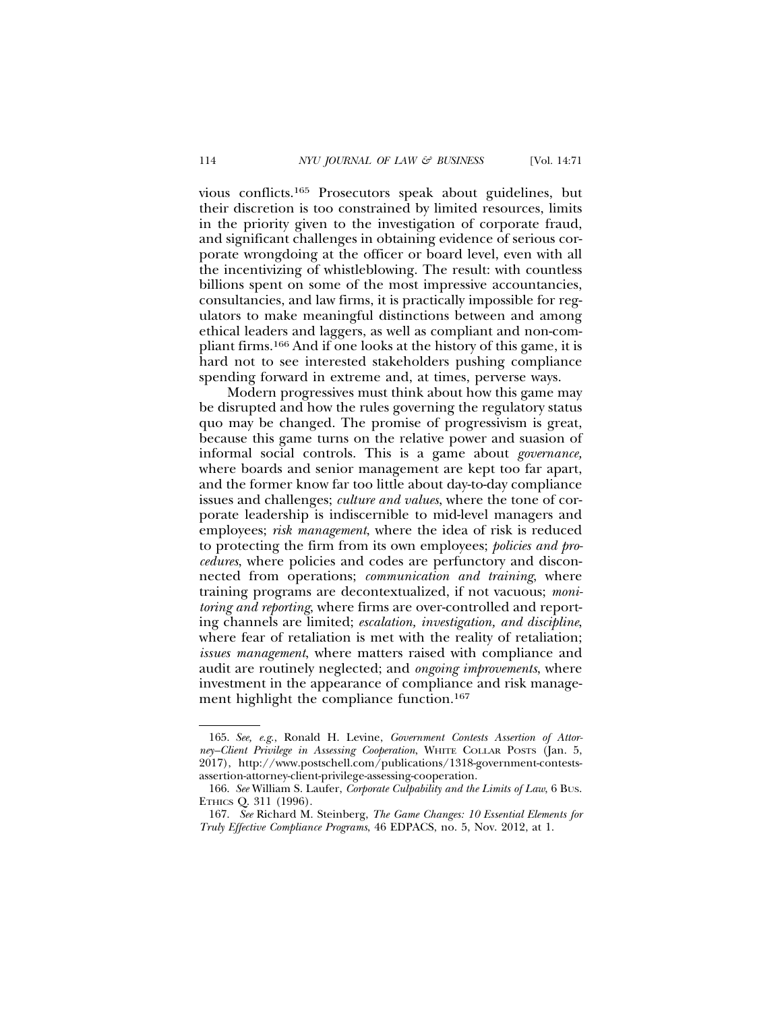vious conflicts.165 Prosecutors speak about guidelines, but their discretion is too constrained by limited resources, limits in the priority given to the investigation of corporate fraud, and significant challenges in obtaining evidence of serious corporate wrongdoing at the officer or board level, even with all the incentivizing of whistleblowing. The result: with countless billions spent on some of the most impressive accountancies, consultancies, and law firms, it is practically impossible for regulators to make meaningful distinctions between and among ethical leaders and laggers, as well as compliant and non-compliant firms.166 And if one looks at the history of this game, it is hard not to see interested stakeholders pushing compliance spending forward in extreme and, at times, perverse ways.

Modern progressives must think about how this game may be disrupted and how the rules governing the regulatory status quo may be changed. The promise of progressivism is great, because this game turns on the relative power and suasion of informal social controls. This is a game about *governance,* where boards and senior management are kept too far apart, and the former know far too little about day-to-day compliance issues and challenges; *culture and values*, where the tone of corporate leadership is indiscernible to mid-level managers and employees; *risk management*, where the idea of risk is reduced to protecting the firm from its own employees; *policies and procedures*, where policies and codes are perfunctory and disconnected from operations; *communication and training*, where training programs are decontextualized, if not vacuous; *monitoring and reporting*, where firms are over-controlled and reporting channels are limited; *escalation, investigation, and discipline*, where fear of retaliation is met with the reality of retaliation; *issues management*, where matters raised with compliance and audit are routinely neglected; and *ongoing improvements*, where investment in the appearance of compliance and risk management highlight the compliance function.<sup>167</sup>

<sup>165.</sup> *See, e.g*., Ronald H. Levine, *Government Contests Assertion of Attorney–Client Privilege in Assessing Cooperation*, WHITE COLLAR POSTS (Jan. 5, 2017), http://www.postschell.com/publications/1318-government-contestsassertion-attorney-client-privilege-assessing-cooperation.

<sup>166.</sup> *See* William S. Laufer, *Corporate Culpability and the Limits of Law*, 6 BUS. ETHICS Q. 311 (1996).

<sup>167.</sup> *See* Richard M. Steinberg, *The Game Changes: 10 Essential Elements for Truly Effective Compliance Programs*, 46 EDPACS, no. 5, Nov. 2012, at 1.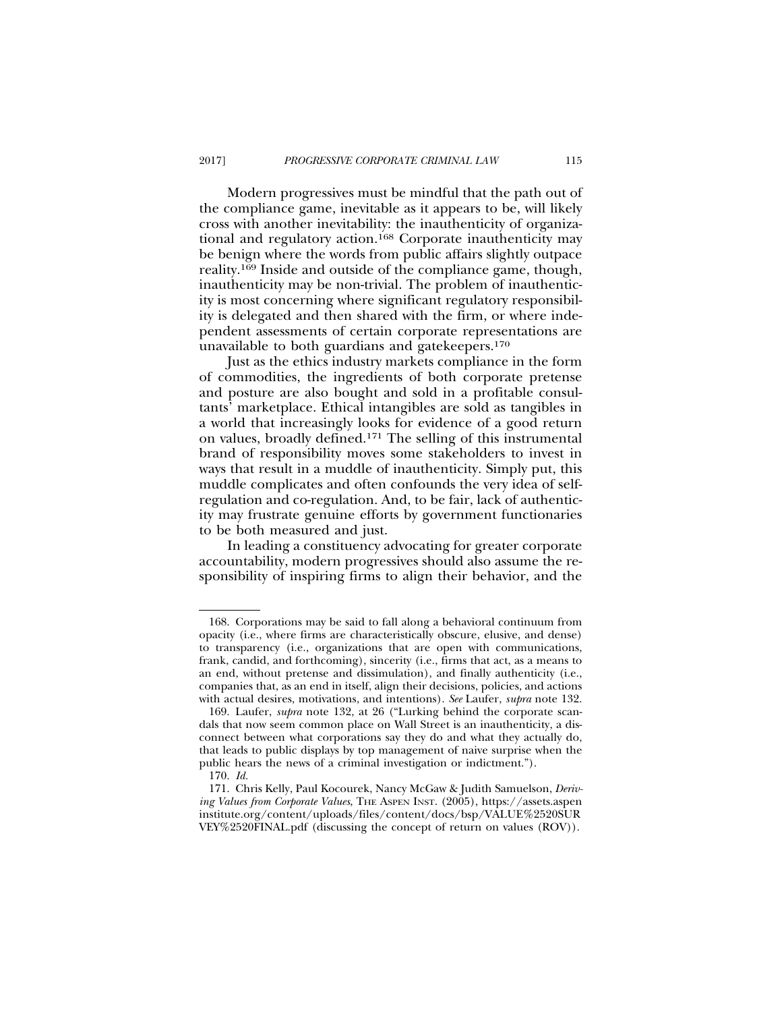Modern progressives must be mindful that the path out of the compliance game, inevitable as it appears to be, will likely cross with another inevitability: the inauthenticity of organizational and regulatory action.168 Corporate inauthenticity may be benign where the words from public affairs slightly outpace reality.169 Inside and outside of the compliance game, though, inauthenticity may be non-trivial. The problem of inauthenticity is most concerning where significant regulatory responsibility is delegated and then shared with the firm, or where independent assessments of certain corporate representations are unavailable to both guardians and gatekeepers.170

Just as the ethics industry markets compliance in the form of commodities, the ingredients of both corporate pretense and posture are also bought and sold in a profitable consultants' marketplace. Ethical intangibles are sold as tangibles in a world that increasingly looks for evidence of a good return on values, broadly defined.171 The selling of this instrumental brand of responsibility moves some stakeholders to invest in ways that result in a muddle of inauthenticity. Simply put, this muddle complicates and often confounds the very idea of selfregulation and co-regulation. And, to be fair, lack of authenticity may frustrate genuine efforts by government functionaries to be both measured and just.

In leading a constituency advocating for greater corporate accountability, modern progressives should also assume the responsibility of inspiring firms to align their behavior, and the

<sup>168.</sup> Corporations may be said to fall along a behavioral continuum from opacity (i.e., where firms are characteristically obscure, elusive, and dense) to transparency (i.e., organizations that are open with communications, frank, candid, and forthcoming), sincerity (i.e., firms that act, as a means to an end, without pretense and dissimulation), and finally authenticity (i.e., companies that, as an end in itself, align their decisions, policies, and actions with actual desires, motivations, and intentions). *See* Laufer, *supra* note 132.

<sup>169.</sup> Laufer, *supra* note 132, at 26 ("Lurking behind the corporate scandals that now seem common place on Wall Street is an inauthenticity, a disconnect between what corporations say they do and what they actually do, that leads to public displays by top management of naive surprise when the public hears the news of a criminal investigation or indictment.").

<sup>170.</sup> *Id.*

<sup>171.</sup> Chris Kelly, Paul Kocourek, Nancy McGaw & Judith Samuelson, *Deriving Values from Corporate Values*, THE ASPEN INST. (2005), https://assets.aspen institute.org/content/uploads/files/content/docs/bsp/VALUE%2520SUR VEY%2520FINAL.pdf (discussing the concept of return on values (ROV)).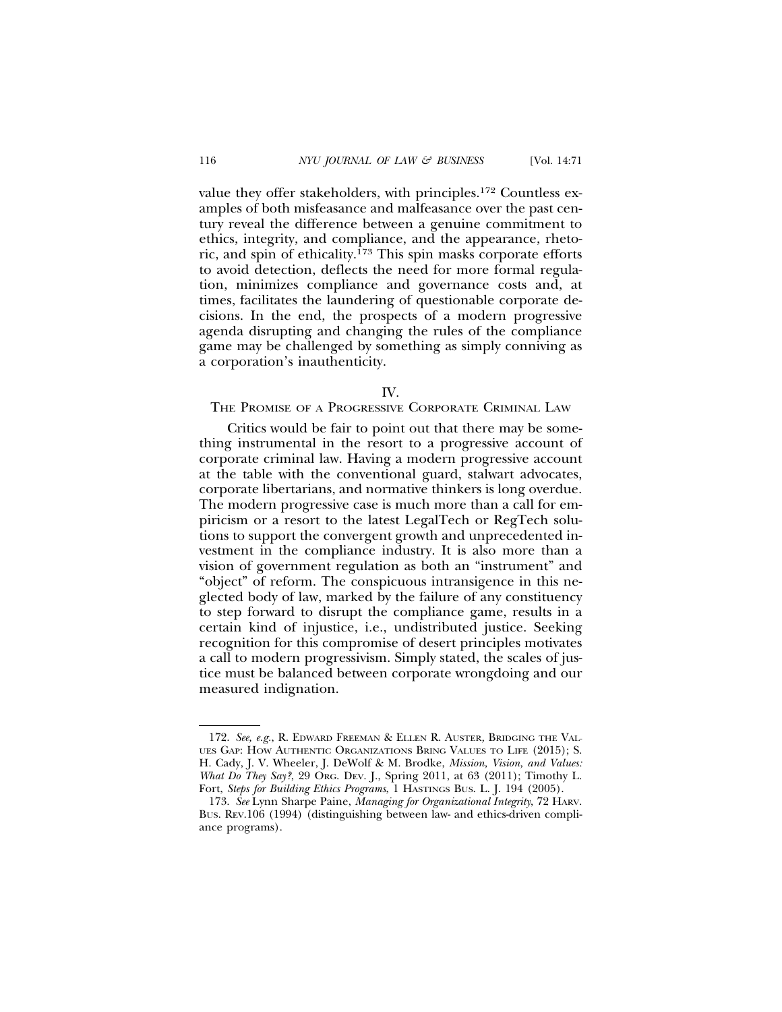value they offer stakeholders, with principles.172 Countless examples of both misfeasance and malfeasance over the past century reveal the difference between a genuine commitment to ethics, integrity, and compliance, and the appearance, rhetoric, and spin of ethicality.173 This spin masks corporate efforts to avoid detection, deflects the need for more formal regulation, minimizes compliance and governance costs and, at times, facilitates the laundering of questionable corporate decisions. In the end, the prospects of a modern progressive agenda disrupting and changing the rules of the compliance game may be challenged by something as simply conniving as a corporation's inauthenticity.

IV.

## THE PROMISE OF A PROGRESSIVE CORPORATE CRIMINAL LAW

Critics would be fair to point out that there may be something instrumental in the resort to a progressive account of corporate criminal law. Having a modern progressive account at the table with the conventional guard, stalwart advocates, corporate libertarians, and normative thinkers is long overdue. The modern progressive case is much more than a call for empiricism or a resort to the latest LegalTech or RegTech solutions to support the convergent growth and unprecedented investment in the compliance industry. It is also more than a vision of government regulation as both an "instrument" and "object" of reform. The conspicuous intransigence in this neglected body of law, marked by the failure of any constituency to step forward to disrupt the compliance game, results in a certain kind of injustice, i.e., undistributed justice. Seeking recognition for this compromise of desert principles motivates a call to modern progressivism. Simply stated, the scales of justice must be balanced between corporate wrongdoing and our measured indignation.

<sup>172.</sup> *See, e.g.*, R. EDWARD FREEMAN & ELLEN R. AUSTER*,* BRIDGING THE VAL-UES GAP: HOW AUTHENTIC ORGANIZATIONS BRING VALUES TO LIFE (2015); S. H. Cady, J. V. Wheeler, J. DeWolf & M. Brodke, *Mission, Vision, and Values: What Do They Say?*, 29 ORG. DEV. J., Spring 2011, at 63 (2011); Timothy L. Fort, *Steps for Building Ethics Programs*, 1 HASTINGS BUS. L. J. 194 (2005).

<sup>173.</sup> *See* Lynn Sharpe Paine, *Managing for Organizational Integrity*, 72 HARV. BUS. REV.106 (1994) (distinguishing between law- and ethics-driven compliance programs).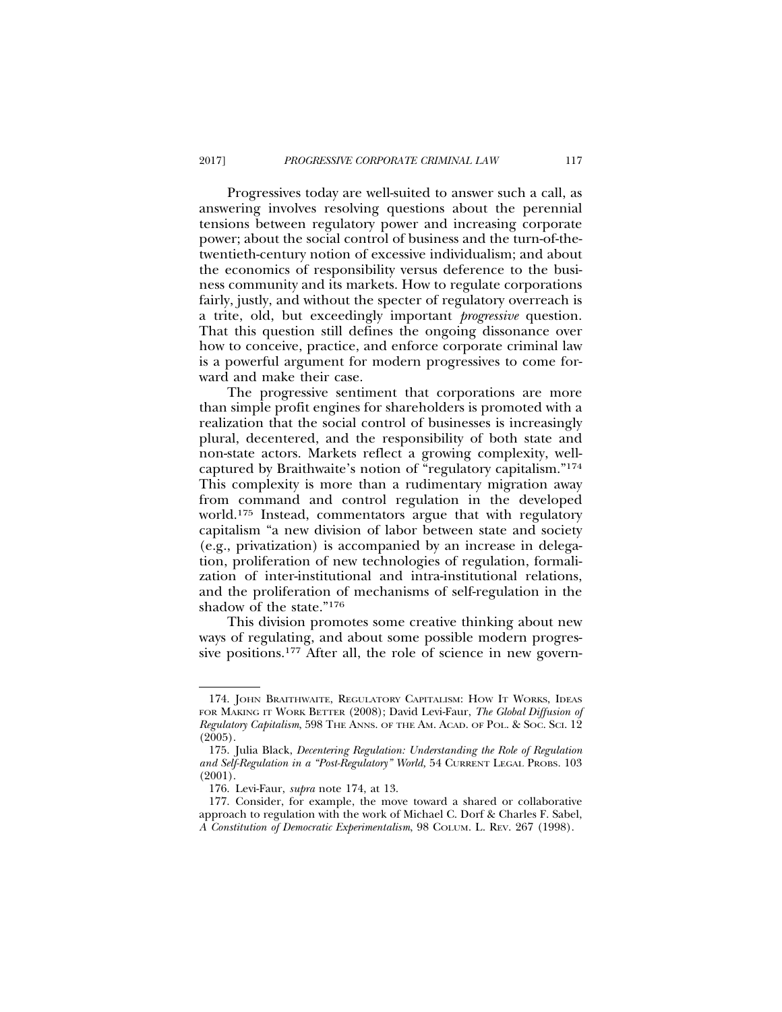Progressives today are well-suited to answer such a call, as answering involves resolving questions about the perennial tensions between regulatory power and increasing corporate power; about the social control of business and the turn-of-thetwentieth-century notion of excessive individualism; and about the economics of responsibility versus deference to the business community and its markets. How to regulate corporations fairly, justly, and without the specter of regulatory overreach is a trite, old, but exceedingly important *progressive* question. That this question still defines the ongoing dissonance over how to conceive, practice, and enforce corporate criminal law is a powerful argument for modern progressives to come forward and make their case.

The progressive sentiment that corporations are more than simple profit engines for shareholders is promoted with a realization that the social control of businesses is increasingly plural, decentered, and the responsibility of both state and non-state actors. Markets reflect a growing complexity, wellcaptured by Braithwaite's notion of "regulatory capitalism."174 This complexity is more than a rudimentary migration away from command and control regulation in the developed world.175 Instead, commentators argue that with regulatory capitalism "a new division of labor between state and society (e.g., privatization) is accompanied by an increase in delegation, proliferation of new technologies of regulation, formalization of inter-institutional and intra-institutional relations, and the proliferation of mechanisms of self-regulation in the shadow of the state."176

This division promotes some creative thinking about new ways of regulating, and about some possible modern progressive positions.<sup>177</sup> After all, the role of science in new govern-

<sup>174.</sup> JOHN BRAITHWAITE, REGULATORY CAPITALISM: HOW IT WORKS, IDEAS FOR MAKING IT WORK BETTER (2008); David Levi-Faur, *The Global Diffusion of Regulatory Capitalism*, 598 THE ANNS. OF THE AM. ACAD. OF POL. & SOC. SCI. 12 (2005).

<sup>175.</sup> Julia Black, *Decentering Regulation: Understanding the Role of Regulation and Self-Regulation in a "Post-Regulatory" World,* 54 CURRENT LEGAL PROBS*.* 103 (2001).

<sup>176.</sup> Levi-Faur, *supra* note 174, at 13.

<sup>177.</sup> Consider, for example, the move toward a shared or collaborative approach to regulation with the work of Michael C. Dorf & Charles F. Sabel, *A Constitution of Democratic Experimentalism*, 98 COLUM. L. REV. 267 (1998).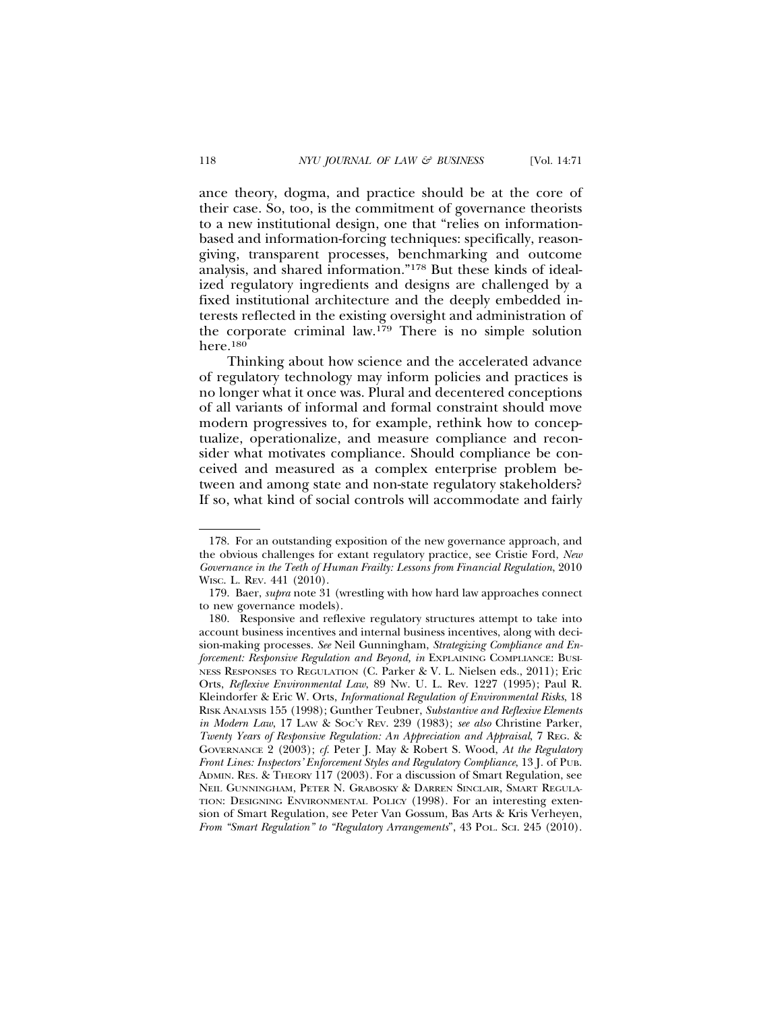ance theory, dogma, and practice should be at the core of their case. So, too, is the commitment of governance theorists to a new institutional design, one that "relies on informationbased and information-forcing techniques: specifically, reasongiving, transparent processes, benchmarking and outcome analysis, and shared information."178 But these kinds of idealized regulatory ingredients and designs are challenged by a fixed institutional architecture and the deeply embedded interests reflected in the existing oversight and administration of the corporate criminal law.179 There is no simple solution here.180

Thinking about how science and the accelerated advance of regulatory technology may inform policies and practices is no longer what it once was. Plural and decentered conceptions of all variants of informal and formal constraint should move modern progressives to, for example, rethink how to conceptualize, operationalize, and measure compliance and reconsider what motivates compliance. Should compliance be conceived and measured as a complex enterprise problem between and among state and non-state regulatory stakeholders? If so, what kind of social controls will accommodate and fairly

<sup>178.</sup> For an outstanding exposition of the new governance approach, and the obvious challenges for extant regulatory practice, see Cristie Ford, *New Governance in the Teeth of Human Frailty: Lessons from Financial Regulation*, 2010 WISC. L. REV. 441 (2010).

<sup>179.</sup> Baer, *supra* note 31 (wrestling with how hard law approaches connect to new governance models).

<sup>180.</sup> Responsive and reflexive regulatory structures attempt to take into account business incentives and internal business incentives, along with decision-making processes. *See* Neil Gunningham, *Strategizing Compliance and Enforcement: Responsive Regulation and Beyond, in* EXPLAINING COMPLIANCE: BUSI-NESS RESPONSES TO REGULATION (C. Parker & V. L. Nielsen eds., 2011); Eric Orts, *Reflexive Environmental Law*, 89 NW. U. L. Rev. 1227 (1995); Paul R. Kleindorfer & Eric W. Orts, *Informational Regulation of Environmental Risks*, 18 RISK ANALYSIS 155 (1998); Gunther Teubner, *Substantive and Reflexive Elements in Modern Law*, 17 LAW & SOC'Y REV. 239 (1983); *see also* Christine Parker, *Twenty Years of Responsive Regulation: An Appreciation and Appraisal*, 7 REG. & GOVERNANCE 2 (2003); *cf*. Peter J. May & Robert S. Wood, *At the Regulatory Front Lines: Inspectors' Enforcement Styles and Regulatory Compliance*, 13 J*.* of PUB. ADMIN. RES. & THEORY 117 (2003). For a discussion of Smart Regulation, see NEIL GUNNINGHAM, PETER N. GRABOSKY & DARREN SINCLAIR, SMART REGULA-TION: DESIGNING ENVIRONMENTAL POLICY (1998). For an interesting extension of Smart Regulation, see Peter Van Gossum, Bas Arts & Kris Verheyen, *From "Smart Regulation" to "Regulatory Arrangements*", 43 POL. SCI. 245 (2010).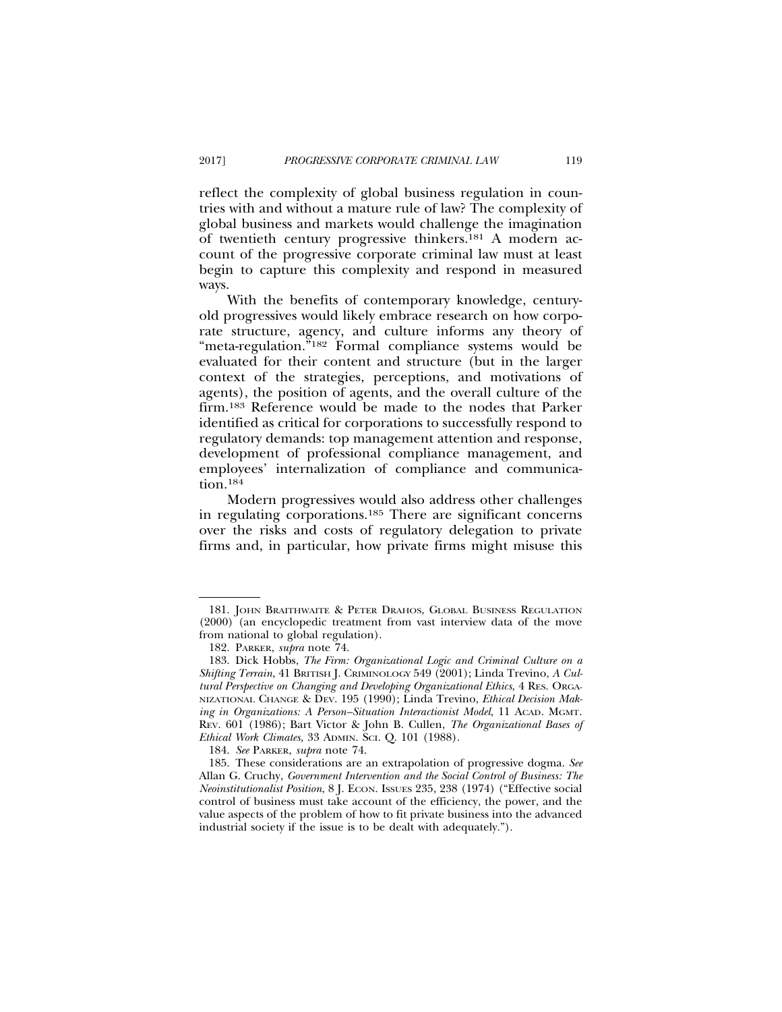reflect the complexity of global business regulation in countries with and without a mature rule of law? The complexity of global business and markets would challenge the imagination of twentieth century progressive thinkers.181 A modern account of the progressive corporate criminal law must at least begin to capture this complexity and respond in measured ways.

With the benefits of contemporary knowledge, centuryold progressives would likely embrace research on how corporate structure, agency, and culture informs any theory of "meta-regulation."182 Formal compliance systems would be evaluated for their content and structure (but in the larger context of the strategies, perceptions, and motivations of agents), the position of agents, and the overall culture of the firm.183 Reference would be made to the nodes that Parker identified as critical for corporations to successfully respond to regulatory demands: top management attention and response, development of professional compliance management, and employees' internalization of compliance and communication.184

Modern progressives would also address other challenges in regulating corporations.185 There are significant concerns over the risks and costs of regulatory delegation to private firms and, in particular, how private firms might misuse this

184. *See* PARKER, *supra* note 74.

<sup>181.</sup> JOHN BRAITHWAITE & PETER DRAHOS, GLOBAL BUSINESS REGULATION (2000) (an encyclopedic treatment from vast interview data of the move from national to global regulation).

<sup>182.</sup> PARKER, *supra* note 74.

<sup>183.</sup> Dick Hobbs, *The Firm: Organizational Logic and Criminal Culture on a Shifting Terrain*, 41 BRITISH J. CRIMINOLOGY 549 (2001); Linda Trevino, *A Cultural Perspective on Changing and Developing Organizational Ethics*, 4 RES. ORGA-NIZATIONAL CHANGE & DEV. 195 (1990); Linda Trevino, *Ethical Decision Making in Organizations: A Person–Situation Interactionist Model*, 11 ACAD. MGMT. REV. 601 (1986); Bart Victor & John B. Cullen, *The Organizational Bases of Ethical Work Climates*, 33 ADMIN. SCI. Q. 101 (1988).

<sup>185.</sup> These considerations are an extrapolation of progressive dogma. *See* Allan G. Cruchy, *Government Intervention and the Social Control of Business: The Neoinstitutionalist Position*, 8 J. ECON. ISSUES 235, 238 (1974) ("Effective social control of business must take account of the efficiency, the power, and the value aspects of the problem of how to fit private business into the advanced industrial society if the issue is to be dealt with adequately.").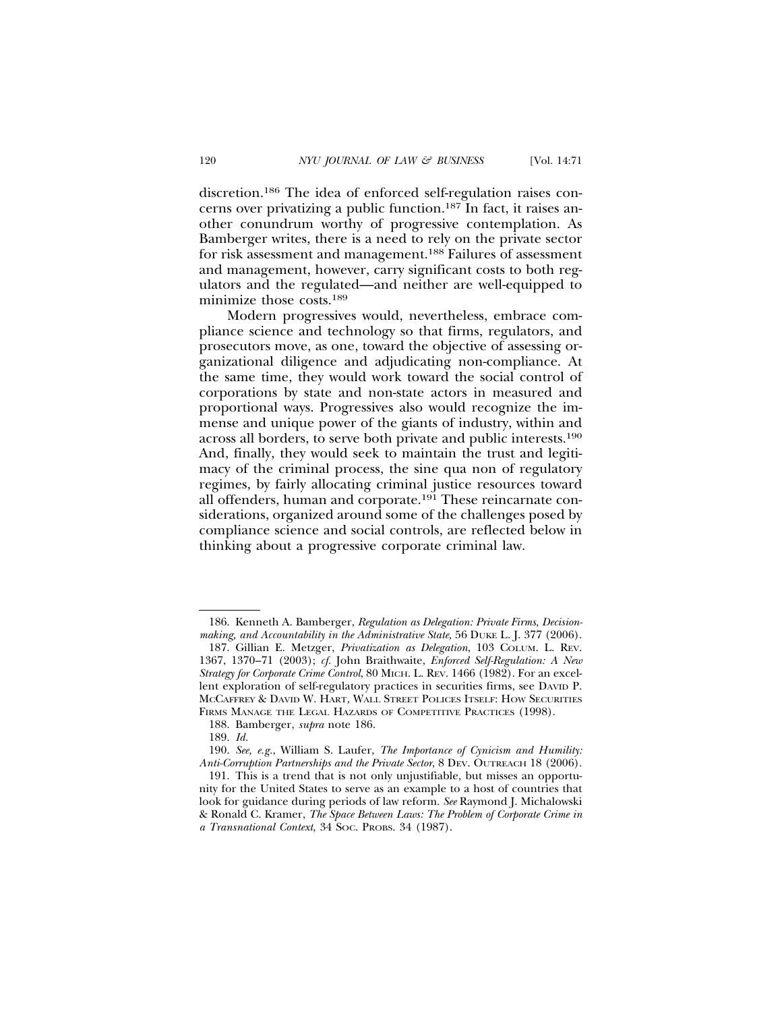discretion.186 The idea of enforced self-regulation raises concerns over privatizing a public function.187 In fact, it raises another conundrum worthy of progressive contemplation. As Bamberger writes, there is a need to rely on the private sector for risk assessment and management.188 Failures of assessment and management, however, carry significant costs to both regulators and the regulated—and neither are well-equipped to minimize those costs.189

Modern progressives would, nevertheless, embrace compliance science and technology so that firms, regulators, and prosecutors move, as one, toward the objective of assessing organizational diligence and adjudicating non-compliance. At the same time, they would work toward the social control of corporations by state and non-state actors in measured and proportional ways. Progressives also would recognize the immense and unique power of the giants of industry, within and across all borders, to serve both private and public interests.190 And, finally, they would seek to maintain the trust and legitimacy of the criminal process, the sine qua non of regulatory regimes, by fairly allocating criminal justice resources toward all offenders, human and corporate.191 These reincarnate considerations, organized around some of the challenges posed by compliance science and social controls, are reflected below in thinking about a progressive corporate criminal law.

<sup>186.</sup> Kenneth A. Bamberger, *Regulation as Delegation: Private Firms, Decisionmaking, and Accountability in the Administrative State,* 56 DUKE L. J. 377 (2006).

<sup>187.</sup> Gillian E. Metzger, *Privatization as Delegation*, 103 COLUM. L. REV. 1367, 1370–71 (2003); *cf.* John Braithwaite, *Enforced Self-Regulation: A New Strategy for Corporate Crime Control*, 80 MICH. L. REV. 1466 (1982). For an excellent exploration of self-regulatory practices in securities firms, see DAVID P. MCCAFFREY & DAVID W. HART, WALL STREET POLICES ITSELF: HOW SECURITIES FIRMS MANAGE THE LEGAL HAZARDS OF COMPETITIVE PRACTICES (1998).

<sup>188.</sup> Bamberger, *supra* note 186.

<sup>189.</sup> *Id.*

<sup>190.</sup> *See, e.g.*, William S. Laufer, *The Importance of Cynicism and Humility: Anti-Corruption Partnerships and the Private Sector*, 8 DEV. OUTREACH 18 (2006).

<sup>191.</sup> This is a trend that is not only unjustifiable, but misses an opportunity for the United States to serve as an example to a host of countries that look for guidance during periods of law reform. *See* Raymond J. Michalowski & Ronald C. Kramer, *The Space Between Laws: The Problem of Corporate Crime in a Transnational Context*, 34 SOC. PROBS. 34 (1987).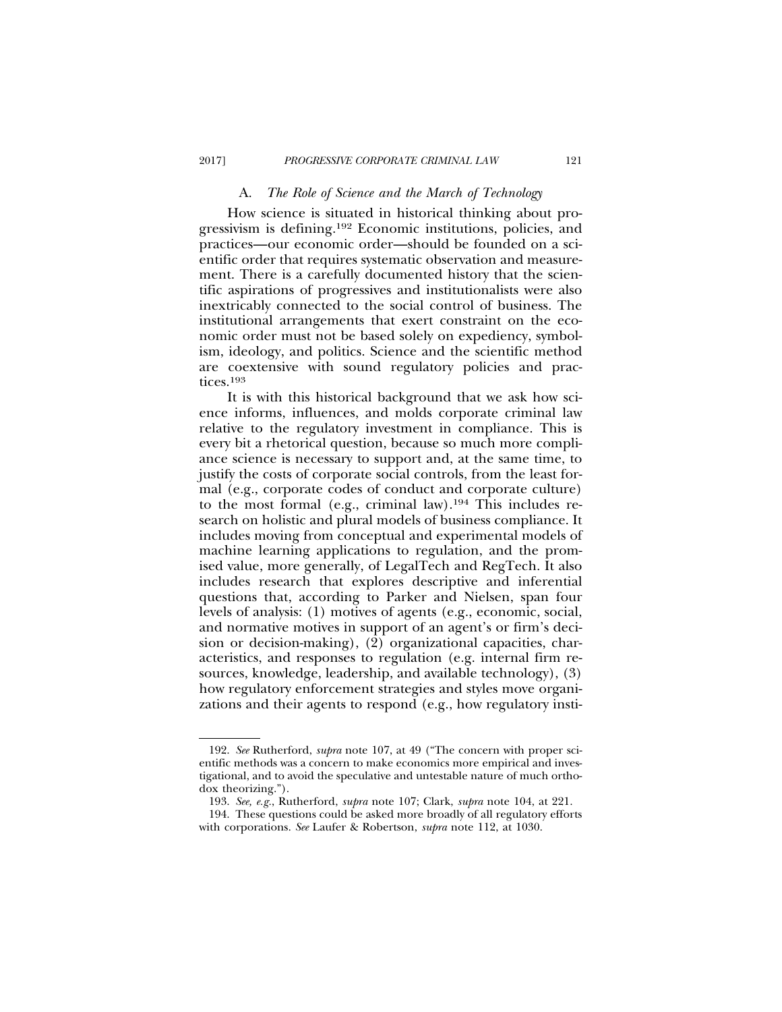## A. *The Role of Science and the March of Technology*

How science is situated in historical thinking about progressivism is defining.192 Economic institutions, policies, and practices—our economic order—should be founded on a scientific order that requires systematic observation and measurement. There is a carefully documented history that the scientific aspirations of progressives and institutionalists were also inextricably connected to the social control of business. The institutional arrangements that exert constraint on the economic order must not be based solely on expediency, symbolism, ideology, and politics. Science and the scientific method are coextensive with sound regulatory policies and practices.193

It is with this historical background that we ask how science informs, influences, and molds corporate criminal law relative to the regulatory investment in compliance. This is every bit a rhetorical question, because so much more compliance science is necessary to support and, at the same time, to justify the costs of corporate social controls, from the least formal (e.g., corporate codes of conduct and corporate culture) to the most formal (e.g., criminal law).194 This includes research on holistic and plural models of business compliance. It includes moving from conceptual and experimental models of machine learning applications to regulation, and the promised value, more generally, of LegalTech and RegTech. It also includes research that explores descriptive and inferential questions that, according to Parker and Nielsen, span four levels of analysis: (1) motives of agents (e.g., economic, social, and normative motives in support of an agent's or firm's decision or decision-making), (2) organizational capacities, characteristics, and responses to regulation (e.g. internal firm resources, knowledge, leadership, and available technology), (3) how regulatory enforcement strategies and styles move organizations and their agents to respond (e.g., how regulatory insti-

<sup>192.</sup> *See* Rutherford, *supra* note 107, at 49 ("The concern with proper scientific methods was a concern to make economics more empirical and investigational, and to avoid the speculative and untestable nature of much orthodox theorizing.").

<sup>193.</sup> *See, e.g.*, Rutherford, *supra* note 107; Clark, *supra* note 104, at 221.

<sup>194.</sup> These questions could be asked more broadly of all regulatory efforts with corporations. *See* Laufer & Robertson, *supra* note 112, at 1030.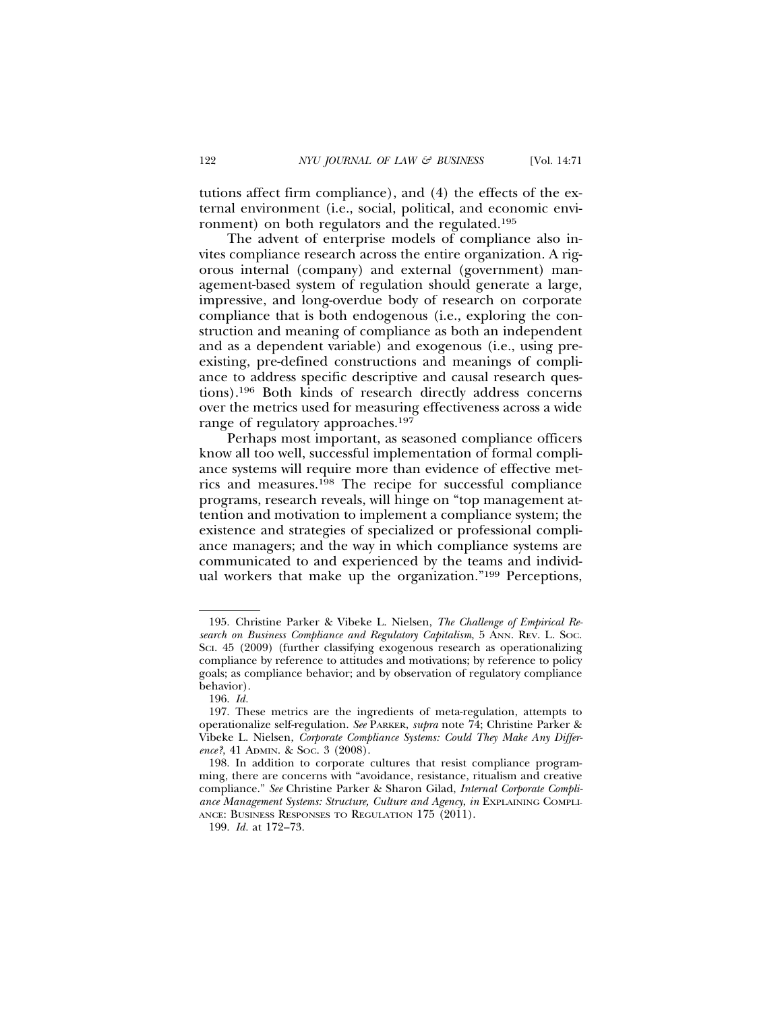tutions affect firm compliance), and (4) the effects of the external environment (i.e., social, political, and economic environment) on both regulators and the regulated.195

The advent of enterprise models of compliance also invites compliance research across the entire organization. A rigorous internal (company) and external (government) management-based system of regulation should generate a large, impressive, and long-overdue body of research on corporate compliance that is both endogenous (i.e., exploring the construction and meaning of compliance as both an independent and as a dependent variable) and exogenous (i.e., using preexisting, pre-defined constructions and meanings of compliance to address specific descriptive and causal research questions).196 Both kinds of research directly address concerns over the metrics used for measuring effectiveness across a wide range of regulatory approaches.197

Perhaps most important, as seasoned compliance officers know all too well, successful implementation of formal compliance systems will require more than evidence of effective metrics and measures.198 The recipe for successful compliance programs, research reveals, will hinge on "top management attention and motivation to implement a compliance system; the existence and strategies of specialized or professional compliance managers; and the way in which compliance systems are communicated to and experienced by the teams and individual workers that make up the organization."199 Perceptions,

<sup>195.</sup> Christine Parker & Vibeke L. Nielsen, *The Challenge of Empirical Research on Business Compliance and Regulatory Capitalism*, 5 ANN. REV. L. SOC. SCI. 45 (2009) (further classifying exogenous research as operationalizing compliance by reference to attitudes and motivations; by reference to policy goals; as compliance behavior; and by observation of regulatory compliance behavior).

<sup>196.</sup> *Id.*

<sup>197.</sup> These metrics are the ingredients of meta-regulation, attempts to operationalize self-regulation. *See* PARKER, *supra* note 74; Christine Parker & Vibeke L. Nielsen, *Corporate Compliance Systems: Could They Make Any Difference?*, 41 ADMIN. & SOC. 3 (2008).

<sup>198.</sup> In addition to corporate cultures that resist compliance programming, there are concerns with "avoidance, resistance, ritualism and creative compliance." *See* Christine Parker & Sharon Gilad, *Internal Corporate Compliance Management Systems: Structure, Culture and Agency*, *in* EXPLAINING COMPLI-ANCE: BUSINESS RESPONSES TO REGULATION 175 (2011).

<sup>199.</sup> *Id.* at 172–73.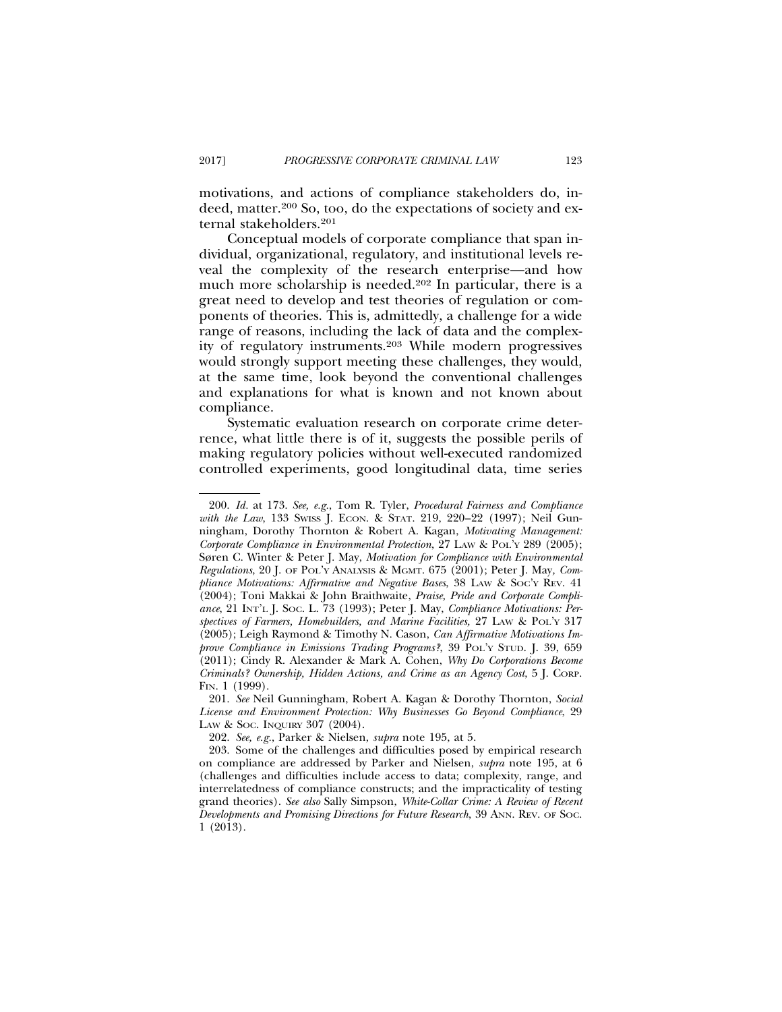motivations, and actions of compliance stakeholders do, indeed, matter.200 So, too, do the expectations of society and external stakeholders.201

Conceptual models of corporate compliance that span individual, organizational, regulatory, and institutional levels reveal the complexity of the research enterprise—and how much more scholarship is needed.<sup>202</sup> In particular, there is a great need to develop and test theories of regulation or components of theories. This is, admittedly, a challenge for a wide range of reasons, including the lack of data and the complexity of regulatory instruments.203 While modern progressives would strongly support meeting these challenges, they would, at the same time, look beyond the conventional challenges and explanations for what is known and not known about compliance.

Systematic evaluation research on corporate crime deterrence, what little there is of it, suggests the possible perils of making regulatory policies without well-executed randomized controlled experiments, good longitudinal data, time series

<sup>200.</sup> *Id.* at 173. *See, e.g.*, Tom R. Tyler, *Procedural Fairness and Compliance with the Law*, 133 SwISS J. ECON. & STAT. 219, 220-22 (1997); Neil Gunningham, Dorothy Thornton & Robert A. Kagan, *Motivating Management: Corporate Compliance in Environmental Protection*, 27 LAW & POL'Y 289 (2005); Søren C. Winter & Peter J. May, *Motivation for Compliance with Environmental Regulations*, 20 J. OF POL'Y ANALYSIS & MGMT. 675 (2001); Peter J. May*, Compliance Motivations: Affirmative and Negative Bases*, 38 LAW & SOC'Y REV. 41 (2004); Toni Makkai & John Braithwaite, *Praise, Pride and Corporate Compliance*, 21 INT'L J. SOC. L. 73 (1993); Peter J. May, *Compliance Motivations: Perspectives of Farmers, Homebuilders, and Marine Facilities,* 27 LAW & POL'Y 317 (2005); Leigh Raymond & Timothy N. Cason, *Can Affirmative Motivations Improve Compliance in Emissions Trading Programs?*, 39 POL'Y STUD. J. 39, 659 (2011); Cindy R. Alexander & Mark A. Cohen, *Why Do Corporations Become Criminals? Ownership, Hidden Actions, and Crime as an Agency Cost*, 5 J. CORP. FIN. 1 (1999).

<sup>201.</sup> *See* Neil Gunningham, Robert A. Kagan & Dorothy Thornton, *Social License and Environment Protection: Why Businesses Go Beyond Compliance*, 29 LAW & SOC. INQUIRY 307 (2004).

<sup>202.</sup> *See, e.g.*, Parker & Nielsen, *supra* note 195, at 5.

<sup>203.</sup> Some of the challenges and difficulties posed by empirical research on compliance are addressed by Parker and Nielsen, *supra* note 195, at 6 (challenges and difficulties include access to data; complexity, range, and interrelatedness of compliance constructs; and the impracticality of testing grand theories). *See also* Sally Simpson, *White-Collar Crime: A Review of Recent Developments and Promising Directions for Future Research*, 39 ANN. REV. OF SOC. 1 (2013).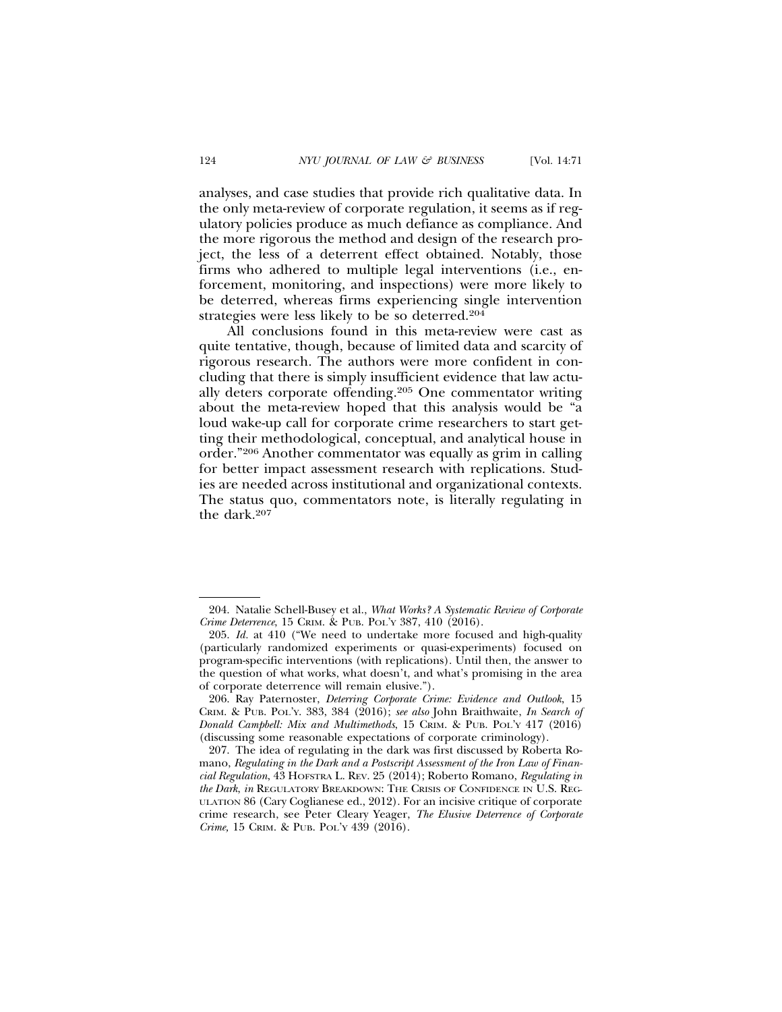analyses, and case studies that provide rich qualitative data. In the only meta-review of corporate regulation, it seems as if regulatory policies produce as much defiance as compliance. And the more rigorous the method and design of the research project, the less of a deterrent effect obtained. Notably, those firms who adhered to multiple legal interventions (i.e., enforcement, monitoring, and inspections) were more likely to be deterred, whereas firms experiencing single intervention strategies were less likely to be so deterred.204

All conclusions found in this meta-review were cast as quite tentative, though, because of limited data and scarcity of rigorous research. The authors were more confident in concluding that there is simply insufficient evidence that law actually deters corporate offending.205 One commentator writing about the meta-review hoped that this analysis would be "a loud wake-up call for corporate crime researchers to start getting their methodological, conceptual, and analytical house in order."206 Another commentator was equally as grim in calling for better impact assessment research with replications. Studies are needed across institutional and organizational contexts. The status quo, commentators note, is literally regulating in the dark.207

<sup>204.</sup> Natalie Schell-Busey et al., *What Works? A Systematic Review of Corporate Crime Deterrence*, 15 CRIM. & PUB. POL'Y 387, 410 (2016).

<sup>205.</sup> *Id.* at 410 ("We need to undertake more focused and high-quality (particularly randomized experiments or quasi-experiments) focused on program-specific interventions (with replications). Until then, the answer to the question of what works, what doesn't, and what's promising in the area of corporate deterrence will remain elusive.").

<sup>206.</sup> Ray Paternoster, *Deterring Corporate Crime: Evidence and Outlook*, 15 CRIM. & PUB. POL'Y. 383, 384 (2016); *see also* John Braithwaite, *In Search of Donald Campbell: Mix and Multimethods*, 15 CRIM. & PUB. POL'Y 417 (2016) (discussing some reasonable expectations of corporate criminology).

<sup>207.</sup> The idea of regulating in the dark was first discussed by Roberta Romano, *Regulating in the Dark and a Postscript Assessment of the Iron Law of Financial Regulation*, 43 HOFSTRA L. REV. 25 (2014); Roberto Romano, *Regulating in the Dark*, *in* REGULATORY BREAKDOWN: THE CRISIS OF CONFIDENCE IN U.S. REG-ULATION 86 (Cary Coglianese ed., 2012). For an incisive critique of corporate crime research, see Peter Cleary Yeager, *The Elusive Deterrence of Corporate Crime,* 15 CRIM. & PUB. POL'Y 439 (2016).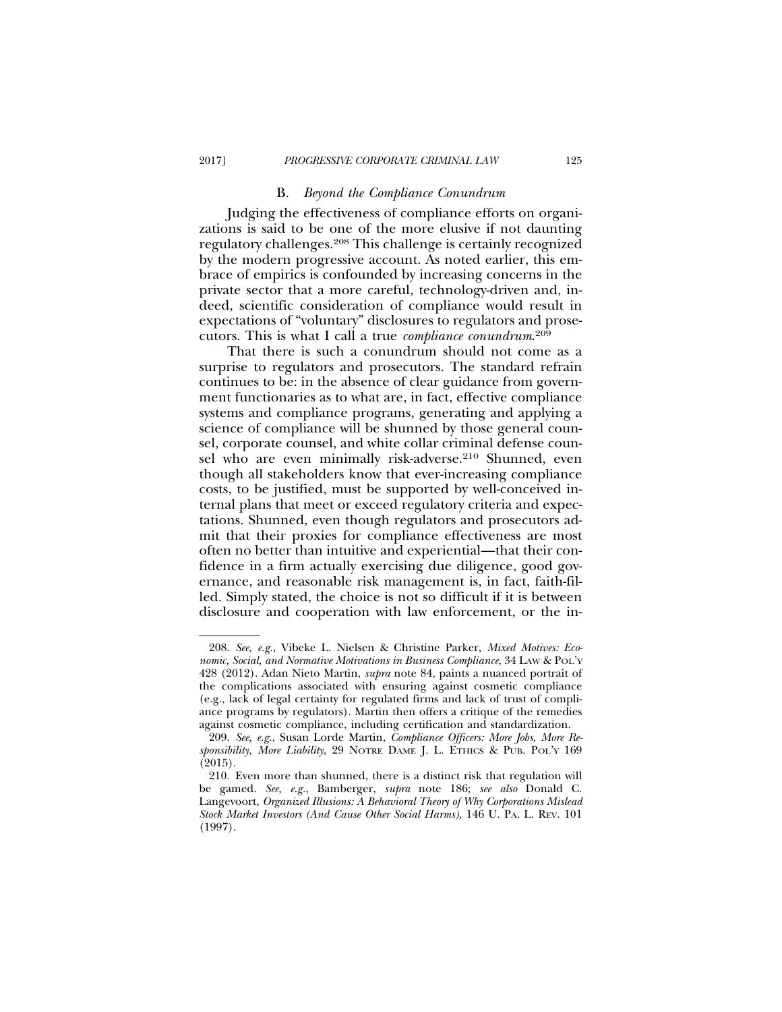### B. *Beyond the Compliance Conundrum*

Judging the effectiveness of compliance efforts on organizations is said to be one of the more elusive if not daunting regulatory challenges.208 This challenge is certainly recognized by the modern progressive account. As noted earlier, this embrace of empirics is confounded by increasing concerns in the private sector that a more careful, technology-driven and, indeed, scientific consideration of compliance would result in expectations of "voluntary" disclosures to regulators and prosecutors. This is what I call a true *compliance conundrum*. 209

That there is such a conundrum should not come as a surprise to regulators and prosecutors. The standard refrain continues to be: in the absence of clear guidance from government functionaries as to what are, in fact, effective compliance systems and compliance programs, generating and applying a science of compliance will be shunned by those general counsel, corporate counsel, and white collar criminal defense counsel who are even minimally risk-adverse.<sup>210</sup> Shunned, even though all stakeholders know that ever-increasing compliance costs, to be justified, must be supported by well-conceived internal plans that meet or exceed regulatory criteria and expectations. Shunned, even though regulators and prosecutors admit that their proxies for compliance effectiveness are most often no better than intuitive and experiential—that their confidence in a firm actually exercising due diligence, good governance, and reasonable risk management is, in fact, faith-filled. Simply stated, the choice is not so difficult if it is between disclosure and cooperation with law enforcement, or the in-

<sup>208.</sup> *See, e.g.*, Vibeke L. Nielsen & Christine Parker, *Mixed Motives: Economic, Social, and Normative Motivations in Business Compliance*, 34 LAW & POL'Y 428 (2012). Adan Nieto Martin, *supra* note 84, paints a nuanced portrait of the complications associated with ensuring against cosmetic compliance (e.g., lack of legal certainty for regulated firms and lack of trust of compliance programs by regulators). Martin then offers a critique of the remedies against cosmetic compliance, including certification and standardization.

<sup>209.</sup> *See, e.g.*, Susan Lorde Martin, *Compliance Officers: More Jobs, More Responsibility, More Liability*, 29 NOTRE DAME J. L. ETHICS & PUB. POL'Y 169 (2015).

<sup>210.</sup> Even more than shunned, there is a distinct risk that regulation will be gamed. *See, e.g.*, Bamberger, *supra* note 186; *see also* Donald C. Langevoort, *Organized Illusions: A Behavioral Theory of Why Corporations Mislead Stock Market Investors (And Cause Other Social Harms),* 146 U. PA. L. REV. 101 (1997).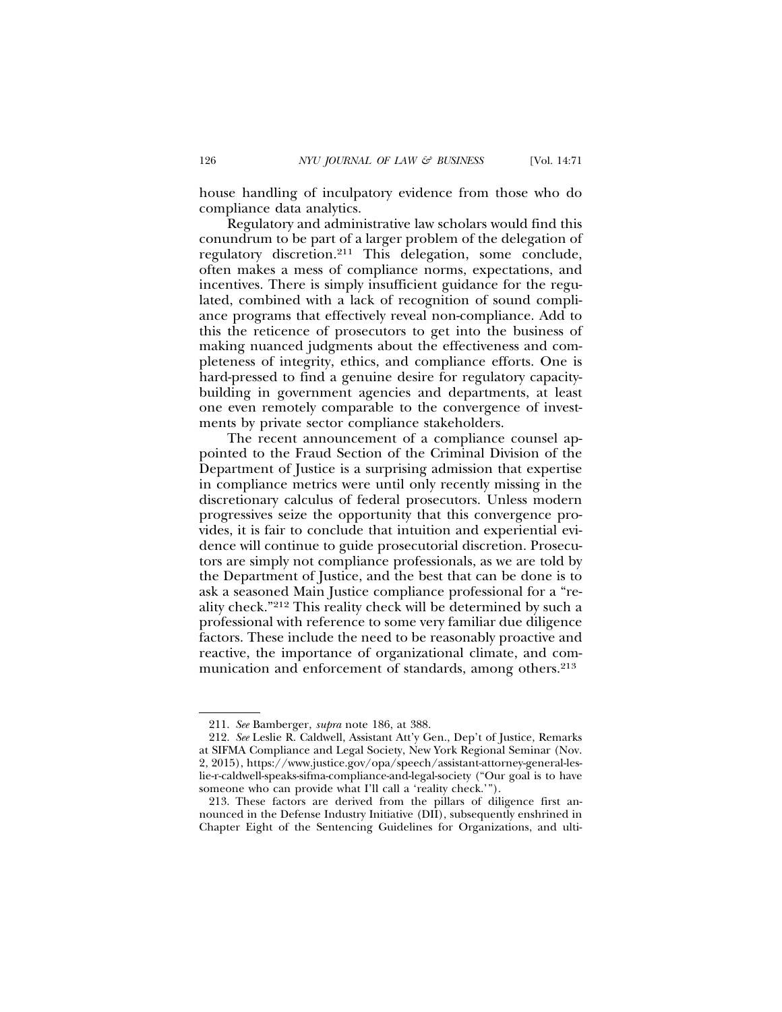house handling of inculpatory evidence from those who do compliance data analytics.

Regulatory and administrative law scholars would find this conundrum to be part of a larger problem of the delegation of regulatory discretion.211 This delegation, some conclude, often makes a mess of compliance norms, expectations, and incentives. There is simply insufficient guidance for the regulated, combined with a lack of recognition of sound compliance programs that effectively reveal non-compliance. Add to this the reticence of prosecutors to get into the business of making nuanced judgments about the effectiveness and completeness of integrity, ethics, and compliance efforts. One is hard-pressed to find a genuine desire for regulatory capacitybuilding in government agencies and departments, at least one even remotely comparable to the convergence of investments by private sector compliance stakeholders.

The recent announcement of a compliance counsel appointed to the Fraud Section of the Criminal Division of the Department of Justice is a surprising admission that expertise in compliance metrics were until only recently missing in the discretionary calculus of federal prosecutors. Unless modern progressives seize the opportunity that this convergence provides, it is fair to conclude that intuition and experiential evidence will continue to guide prosecutorial discretion. Prosecutors are simply not compliance professionals, as we are told by the Department of Justice, and the best that can be done is to ask a seasoned Main Justice compliance professional for a "reality check."212 This reality check will be determined by such a professional with reference to some very familiar due diligence factors. These include the need to be reasonably proactive and reactive, the importance of organizational climate, and communication and enforcement of standards, among others.<sup>213</sup>

<sup>211.</sup> *See* Bamberger, *supra* note 186, at 388.

<sup>212.</sup> *See* Leslie R. Caldwell, Assistant Att'y Gen., Dep't of Justice, Remarks at SIFMA Compliance and Legal Society, New York Regional Seminar (Nov. 2, 2015), https://www.justice.gov/opa/speech/assistant-attorney-general-leslie-r-caldwell-speaks-sifma-compliance-and-legal-society ("Our goal is to have someone who can provide what I'll call a 'reality check.'

<sup>213.</sup> These factors are derived from the pillars of diligence first announced in the Defense Industry Initiative (DII), subsequently enshrined in Chapter Eight of the Sentencing Guidelines for Organizations, and ulti-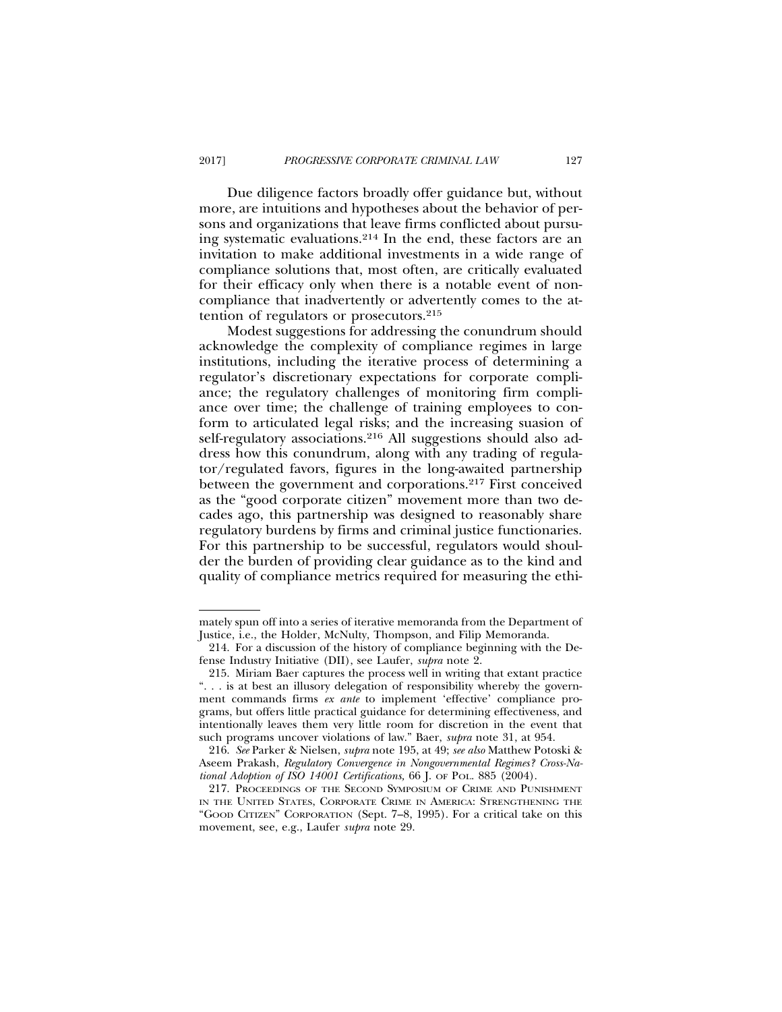Due diligence factors broadly offer guidance but, without more, are intuitions and hypotheses about the behavior of persons and organizations that leave firms conflicted about pursuing systematic evaluations.214 In the end, these factors are an invitation to make additional investments in a wide range of compliance solutions that, most often, are critically evaluated for their efficacy only when there is a notable event of noncompliance that inadvertently or advertently comes to the attention of regulators or prosecutors.215

Modest suggestions for addressing the conundrum should acknowledge the complexity of compliance regimes in large institutions, including the iterative process of determining a regulator's discretionary expectations for corporate compliance; the regulatory challenges of monitoring firm compliance over time; the challenge of training employees to conform to articulated legal risks; and the increasing suasion of self-regulatory associations.<sup>216</sup> All suggestions should also address how this conundrum, along with any trading of regulator/regulated favors, figures in the long-awaited partnership between the government and corporations.217 First conceived as the "good corporate citizen" movement more than two decades ago, this partnership was designed to reasonably share regulatory burdens by firms and criminal justice functionaries. For this partnership to be successful, regulators would shoulder the burden of providing clear guidance as to the kind and quality of compliance metrics required for measuring the ethi-

mately spun off into a series of iterative memoranda from the Department of Justice, i.e., the Holder, McNulty, Thompson, and Filip Memoranda.

<sup>214.</sup> For a discussion of the history of compliance beginning with the Defense Industry Initiative (DII), see Laufer, *supra* note 2.

<sup>215.</sup> Miriam Baer captures the process well in writing that extant practice ". . . is at best an illusory delegation of responsibility whereby the government commands firms *ex ante* to implement 'effective' compliance programs, but offers little practical guidance for determining effectiveness, and intentionally leaves them very little room for discretion in the event that such programs uncover violations of law." Baer, *supra* note 31, at 954.

<sup>216.</sup> *See* Parker & Nielsen, *supra* note 195, at 49; *see also* Matthew Potoski & Aseem Prakash, *Regulatory Convergence in Nongovernmental Regimes? Cross-National Adoption of ISO 14001 Certifications,* 66 J. OF POL. 885 (2004).

<sup>217.</sup> PROCEEDINGS OF THE SECOND SYMPOSIUM OF CRIME AND PUNISHMENT IN THE UNITED STATES, CORPORATE CRIME IN AMERICA: STRENGTHENING THE "GOOD CITIZEN" CORPORATION (Sept. 7–8, 1995). For a critical take on this movement, see, e.g., Laufer *supra* note 29.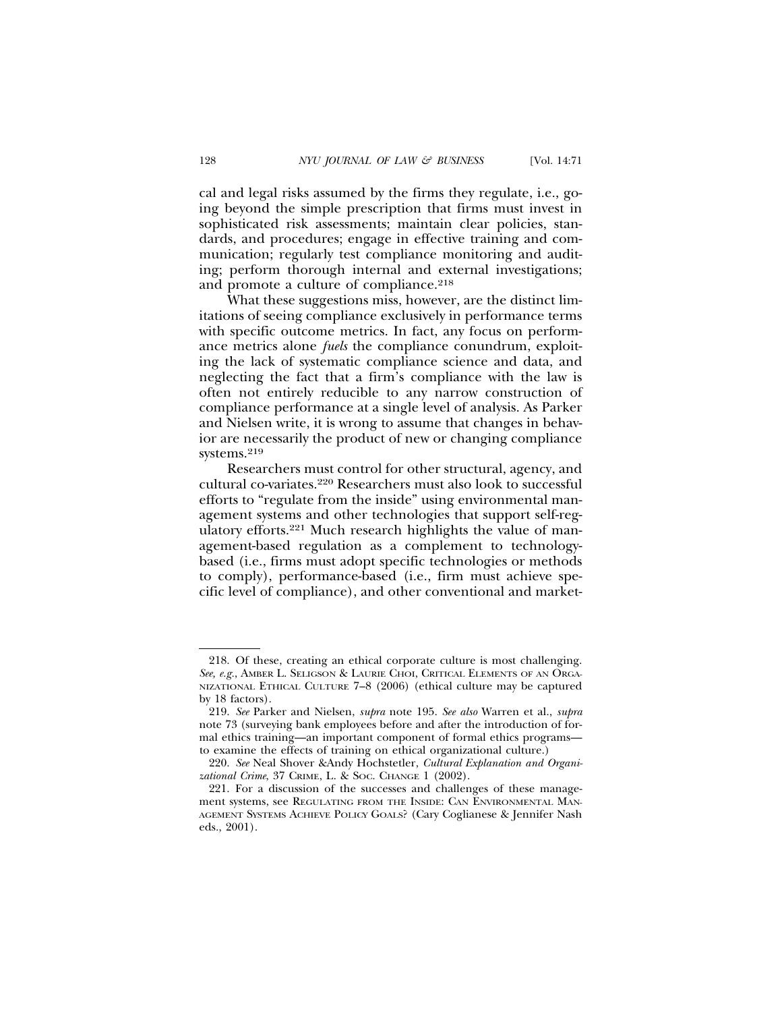cal and legal risks assumed by the firms they regulate, i.e., going beyond the simple prescription that firms must invest in sophisticated risk assessments; maintain clear policies, standards, and procedures; engage in effective training and communication; regularly test compliance monitoring and auditing; perform thorough internal and external investigations; and promote a culture of compliance.<sup>218</sup>

What these suggestions miss, however, are the distinct limitations of seeing compliance exclusively in performance terms with specific outcome metrics. In fact, any focus on performance metrics alone *fuels* the compliance conundrum, exploiting the lack of systematic compliance science and data, and neglecting the fact that a firm's compliance with the law is often not entirely reducible to any narrow construction of compliance performance at a single level of analysis. As Parker and Nielsen write, it is wrong to assume that changes in behavior are necessarily the product of new or changing compliance systems.219

Researchers must control for other structural, agency, and cultural co-variates.220 Researchers must also look to successful efforts to "regulate from the inside" using environmental management systems and other technologies that support self-regulatory efforts.221 Much research highlights the value of management-based regulation as a complement to technologybased (i.e., firms must adopt specific technologies or methods to comply), performance-based (i.e., firm must achieve specific level of compliance), and other conventional and market-

<sup>218.</sup> Of these, creating an ethical corporate culture is most challenging. *See, e.g.*, AMBER L. SELIGSON & LAURIE CHOI, CRITICAL ELEMENTS OF AN ORGA-NIZATIONAL ETHICAL CULTURE 7–8 (2006) (ethical culture may be captured by 18 factors).

<sup>219.</sup> *See* Parker and Nielsen, *supra* note 195. *See also* Warren et al., *supra* note 73 (surveying bank employees before and after the introduction of formal ethics training—an important component of formal ethics programs to examine the effects of training on ethical organizational culture.)

<sup>220.</sup> *See* Neal Shover &Andy Hochstetler, *Cultural Explanation and Organizational Crime*, 37 CRIME, L. & SOC. CHANGE 1 (2002).

<sup>221.</sup> For a discussion of the successes and challenges of these management systems, see REGULATING FROM THE INSIDE: CAN ENVIRONMENTAL MAN-AGEMENT SYSTEMS ACHIEVE POLICY GOALS? (Cary Coglianese & Jennifer Nash eds., 2001).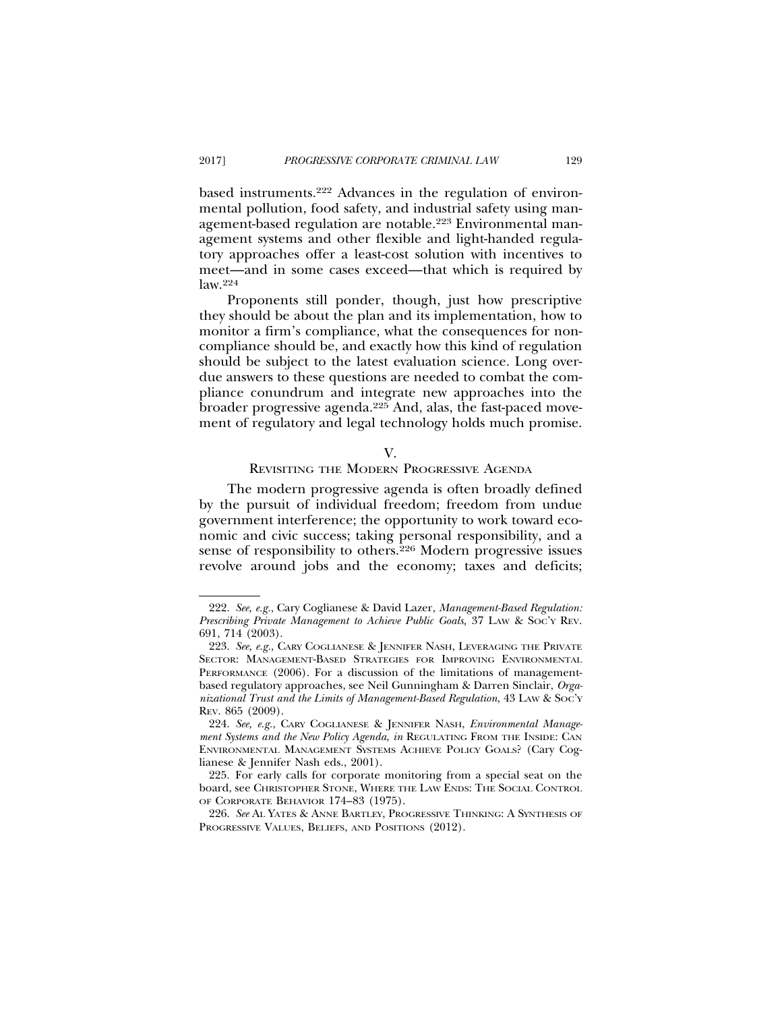based instruments.222 Advances in the regulation of environmental pollution, food safety, and industrial safety using management-based regulation are notable.223 Environmental management systems and other flexible and light-handed regulatory approaches offer a least-cost solution with incentives to meet—and in some cases exceed—that which is required by law.224

Proponents still ponder, though, just how prescriptive they should be about the plan and its implementation, how to monitor a firm's compliance, what the consequences for noncompliance should be, and exactly how this kind of regulation should be subject to the latest evaluation science. Long overdue answers to these questions are needed to combat the compliance conundrum and integrate new approaches into the broader progressive agenda.225 And, alas, the fast-paced movement of regulatory and legal technology holds much promise.

#### V.

# REVISITING THE MODERN PROGRESSIVE AGENDA

The modern progressive agenda is often broadly defined by the pursuit of individual freedom; freedom from undue government interference; the opportunity to work toward economic and civic success; taking personal responsibility, and a sense of responsibility to others.226 Modern progressive issues revolve around jobs and the economy; taxes and deficits;

<sup>222.</sup> *See, e.g.*, Cary Coglianese & David Lazer, *Management-Based Regulation: Prescribing Private Management to Achieve Public Goals,* 37 LAW & SOC'Y REV. 691, 714 (2003).

<sup>223.</sup> *See, e.g.*, CARY COGLIANESE & JENNIFER NASH, LEVERAGING THE PRIVATE SECTOR: MANAGEMENT-BASED STRATEGIES FOR IMPROVING ENVIRONMENTAL PERFORMANCE (2006). For a discussion of the limitations of managementbased regulatory approaches, see Neil Gunningham & Darren Sinclair, *Organizational Trust and the Limits of Management-Based Regulation*, 43 LAW & SOC'Y REV. 865 (2009).

<sup>224.</sup> *See, e.g.*, CARY COGLIANESE & JENNIFER NASH, *Environmental Management Systems and the New Policy Agenda*, *in* REGULATING FROM THE INSIDE: CAN ENVIRONMENTAL MANAGEMENT SYSTEMS ACHIEVE POLICY GOALS? (Cary Coglianese & Jennifer Nash eds., 2001).

<sup>225.</sup> For early calls for corporate monitoring from a special seat on the board, see CHRISTOPHER STONE, WHERE THE LAW ENDS: THE SOCIAL CONTROL OF CORPORATE BEHAVIOR 174–83 (1975).

<sup>226.</sup> *See* AL YATES & ANNE BARTLEY, PROGRESSIVE THINKING: A SYNTHESIS OF PROGRESSIVE VALUES, BELIEFS, AND POSITIONS (2012).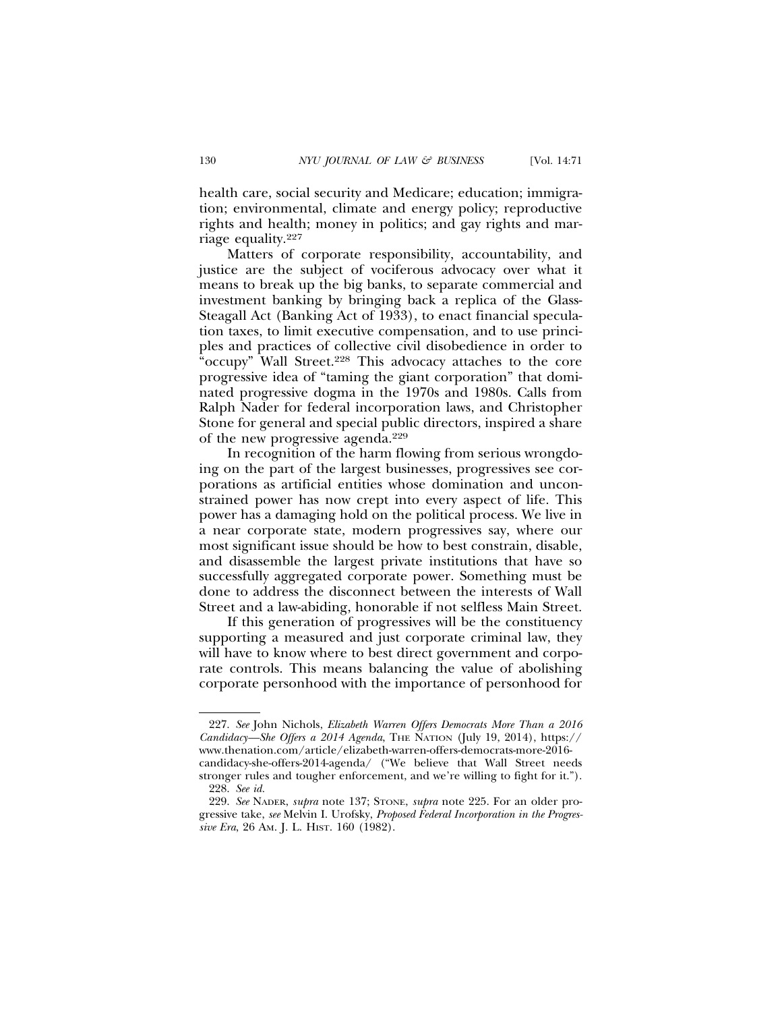health care, social security and Medicare; education; immigration; environmental, climate and energy policy; reproductive rights and health; money in politics; and gay rights and marriage equality.227

Matters of corporate responsibility, accountability, and justice are the subject of vociferous advocacy over what it means to break up the big banks, to separate commercial and investment banking by bringing back a replica of the Glass-Steagall Act (Banking Act of 1933), to enact financial speculation taxes, to limit executive compensation, and to use principles and practices of collective civil disobedience in order to "occupy" Wall Street.<sup>228</sup> This advocacy attaches to the core progressive idea of "taming the giant corporation" that dominated progressive dogma in the 1970s and 1980s. Calls from Ralph Nader for federal incorporation laws, and Christopher Stone for general and special public directors, inspired a share of the new progressive agenda.229

In recognition of the harm flowing from serious wrongdoing on the part of the largest businesses, progressives see corporations as artificial entities whose domination and unconstrained power has now crept into every aspect of life. This power has a damaging hold on the political process. We live in a near corporate state, modern progressives say, where our most significant issue should be how to best constrain, disable, and disassemble the largest private institutions that have so successfully aggregated corporate power. Something must be done to address the disconnect between the interests of Wall Street and a law-abiding, honorable if not selfless Main Street.

If this generation of progressives will be the constituency supporting a measured and just corporate criminal law, they will have to know where to best direct government and corporate controls. This means balancing the value of abolishing corporate personhood with the importance of personhood for

<sup>227.</sup> *See* John Nichols, *Elizabeth Warren Offers Democrats More Than a 2016 Candidacy—She Offers a 2014 Agenda*, THE NATION (July 19, 2014), https:// www.thenation.com/article/elizabeth-warren-offers-democrats-more-2016 candidacy-she-offers-2014-agenda/ ("We believe that Wall Street needs stronger rules and tougher enforcement, and we're willing to fight for it.").

<sup>228.</sup> *See id.*

<sup>229.</sup> *See* NADER, *supra* note 137; STONE, *supra* note 225. For an older progressive take, *see* Melvin I. Urofsky, *Proposed Federal Incorporation in the Progressive Era*, 26 AM. J. L. HIST. 160 (1982).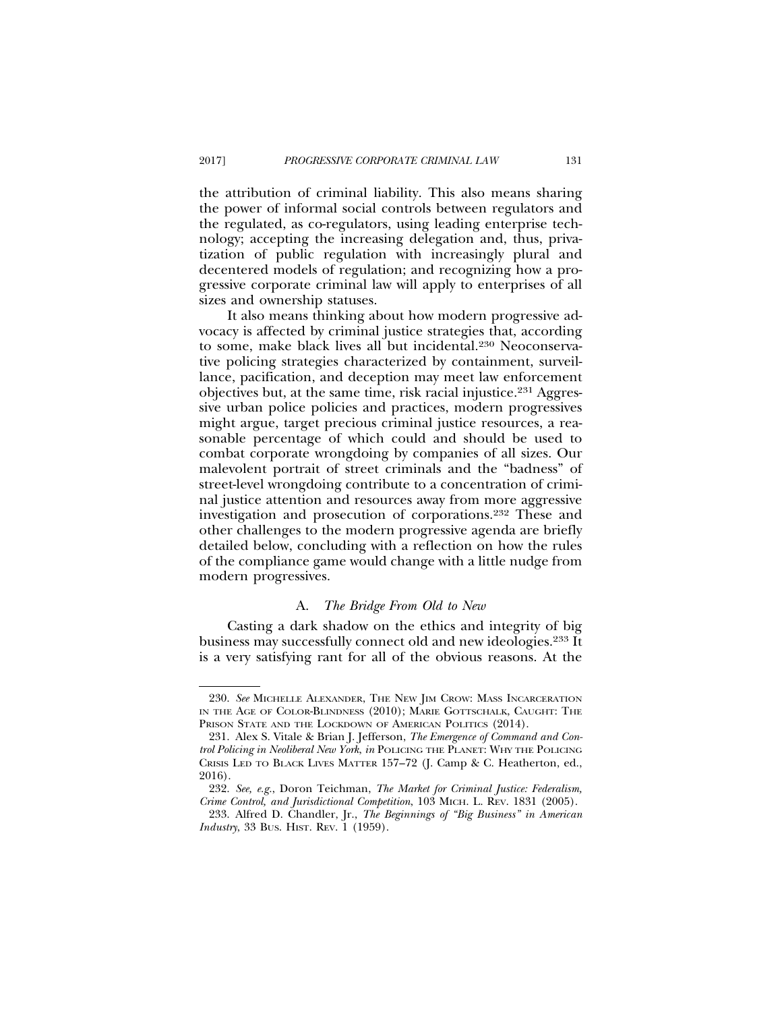the attribution of criminal liability. This also means sharing the power of informal social controls between regulators and the regulated, as co-regulators, using leading enterprise technology; accepting the increasing delegation and, thus, privatization of public regulation with increasingly plural and decentered models of regulation; and recognizing how a progressive corporate criminal law will apply to enterprises of all sizes and ownership statuses.

It also means thinking about how modern progressive advocacy is affected by criminal justice strategies that, according to some, make black lives all but incidental.230 Neoconservative policing strategies characterized by containment, surveillance, pacification, and deception may meet law enforcement objectives but, at the same time, risk racial injustice.231 Aggressive urban police policies and practices, modern progressives might argue, target precious criminal justice resources, a reasonable percentage of which could and should be used to combat corporate wrongdoing by companies of all sizes. Our malevolent portrait of street criminals and the "badness" of street-level wrongdoing contribute to a concentration of criminal justice attention and resources away from more aggressive investigation and prosecution of corporations.232 These and other challenges to the modern progressive agenda are briefly detailed below, concluding with a reflection on how the rules of the compliance game would change with a little nudge from modern progressives.

# A. *The Bridge From Old to New*

Casting a dark shadow on the ethics and integrity of big business may successfully connect old and new ideologies.233 It is a very satisfying rant for all of the obvious reasons. At the

<sup>230.</sup> *See* MICHELLE ALEXANDER, THE NEW JIM CROW: MASS INCARCERATION IN THE AGE OF COLOR-BLINDNESS (2010); MARIE GOTTSCHALK, CAUGHT: THE PRISON STATE AND THE LOCKDOWN OF AMERICAN POLITICS (2014).

<sup>231.</sup> Alex S. Vitale & Brian J. Jefferson, *The Emergence of Command and Control Policing in Neoliberal New York*, *in* POLICING THE PLANET: WHY THE POLICING CRISIS LED TO BLACK LIVES MATTER 157–72 (J. Camp & C. Heatherton, ed., 2016).

<sup>232.</sup> *See, e.g.*, Doron Teichman, *The Market for Criminal Justice: Federalism, Crime Control, and Jurisdictional Competition*, 103 MICH. L. REV. 1831 (2005).

<sup>233.</sup> Alfred D. Chandler, Jr., *The Beginnings of "Big Business" in American Industry*, 33 BUS. HIST. REV. 1 (1959).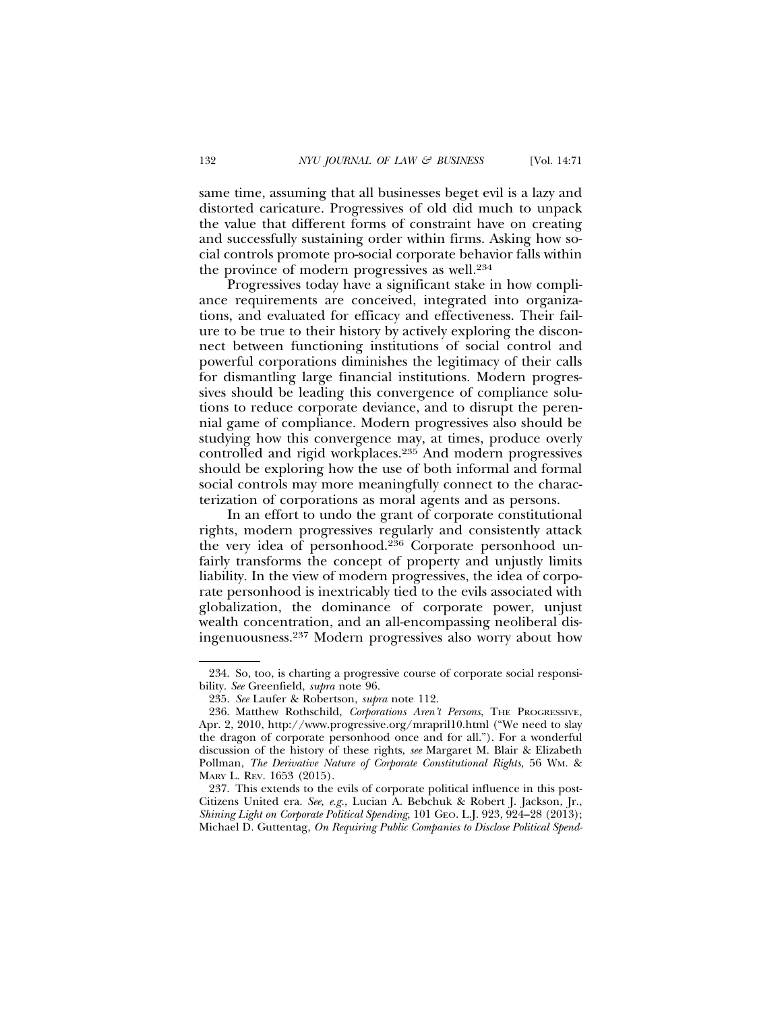same time, assuming that all businesses beget evil is a lazy and distorted caricature. Progressives of old did much to unpack the value that different forms of constraint have on creating and successfully sustaining order within firms. Asking how social controls promote pro-social corporate behavior falls within the province of modern progressives as well.234

Progressives today have a significant stake in how compliance requirements are conceived, integrated into organizations, and evaluated for efficacy and effectiveness. Their failure to be true to their history by actively exploring the disconnect between functioning institutions of social control and powerful corporations diminishes the legitimacy of their calls for dismantling large financial institutions. Modern progressives should be leading this convergence of compliance solutions to reduce corporate deviance, and to disrupt the perennial game of compliance. Modern progressives also should be studying how this convergence may, at times, produce overly controlled and rigid workplaces.235 And modern progressives should be exploring how the use of both informal and formal social controls may more meaningfully connect to the characterization of corporations as moral agents and as persons.

In an effort to undo the grant of corporate constitutional rights, modern progressives regularly and consistently attack the very idea of personhood.236 Corporate personhood unfairly transforms the concept of property and unjustly limits liability. In the view of modern progressives, the idea of corporate personhood is inextricably tied to the evils associated with globalization, the dominance of corporate power, unjust wealth concentration, and an all-encompassing neoliberal disingenuousness.237 Modern progressives also worry about how

<sup>234.</sup> So, too, is charting a progressive course of corporate social responsibility. *See* Greenfield, *supra* note 96.

<sup>235.</sup> *See* Laufer & Robertson, *supra* note 112.

<sup>236.</sup> Matthew Rothschild, *Corporations Aren't Persons*, THE PROGRESSIVE, Apr. 2, 2010, http://www.progressive.org/mrapril10.html ("We need to slay the dragon of corporate personhood once and for all."). For a wonderful discussion of the history of these rights, *see* Margaret M. Blair & Elizabeth Pollman, *The Derivative Nature of Corporate Constitutional Rights,* 56 WM. & MARY L. REV. 1653 (2015).

<sup>237.</sup> This extends to the evils of corporate political influence in this post-Citizens United era. *See, e.g.*, Lucian A. Bebchuk & Robert J. Jackson, Jr., *Shining Light on Corporate Political Spending*, 101 GEO. L.J. 923, 924–28 (2013); Michael D. Guttentag, *On Requiring Public Companies to Disclose Political Spend-*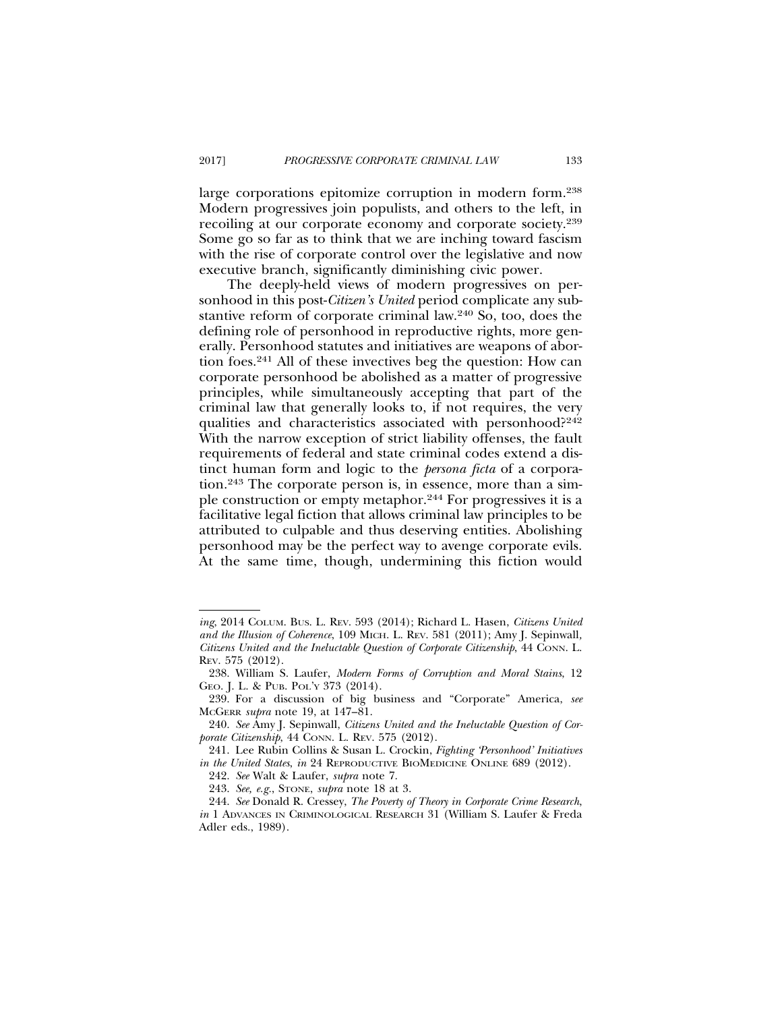large corporations epitomize corruption in modern form.238 Modern progressives join populists, and others to the left, in recoiling at our corporate economy and corporate society.239 Some go so far as to think that we are inching toward fascism with the rise of corporate control over the legislative and now executive branch, significantly diminishing civic power.

The deeply-held views of modern progressives on personhood in this post-*Citizen's United* period complicate any substantive reform of corporate criminal law.240 So, too, does the defining role of personhood in reproductive rights, more generally. Personhood statutes and initiatives are weapons of abortion foes.241 All of these invectives beg the question: How can corporate personhood be abolished as a matter of progressive principles, while simultaneously accepting that part of the criminal law that generally looks to, if not requires, the very qualities and characteristics associated with personhood?<sup>242</sup> With the narrow exception of strict liability offenses, the fault requirements of federal and state criminal codes extend a distinct human form and logic to the *persona ficta* of a corporation.243 The corporate person is, in essence, more than a simple construction or empty metaphor.244 For progressives it is a facilitative legal fiction that allows criminal law principles to be attributed to culpable and thus deserving entities. Abolishing personhood may be the perfect way to avenge corporate evils. At the same time, though, undermining this fiction would

*ing*, 2014 COLUM. BUS. L. REV. 593 (2014); Richard L. Hasen, *Citizens United and the Illusion of Coherence*, 109 MICH. L. REV. 581 (2011); Amy J. Sepinwall*, Citizens United and the Ineluctable Question of Corporate Citizenship*, 44 CONN. L. REV. 575 (2012).

<sup>238.</sup> William S. Laufer, *Modern Forms of Corruption and Moral Stains*, 12 GEO. J. L. & PUB. POL'Y 373 (2014).

<sup>239.</sup> For a discussion of big business and "Corporate" America, *see* MCGERR *supra* note 19, at 147–81.

<sup>240.</sup> *See* Amy J. Sepinwall, *Citizens United and the Ineluctable Question of Corporate Citizenship*, 44 CONN. L. REV. 575 (2012).

<sup>241.</sup> Lee Rubin Collins & Susan L. Crockin, *Fighting 'Personhood' Initiatives in the United States, in* 24 REPRODUCTIVE BIOMEDICINE ONLINE 689 (2012).

<sup>242.</sup> *See* Walt & Laufer, *supra* note 7.

<sup>243.</sup> *See, e.g.*, STONE, *supra* note 18 at 3.

<sup>244.</sup> *See* Donald R. Cressey, *The Poverty of Theory in Corporate Crime Research*, *in* 1 ADVANCES IN CRIMINOLOGICAL RESEARCH 31 (William S. Laufer & Freda Adler eds., 1989).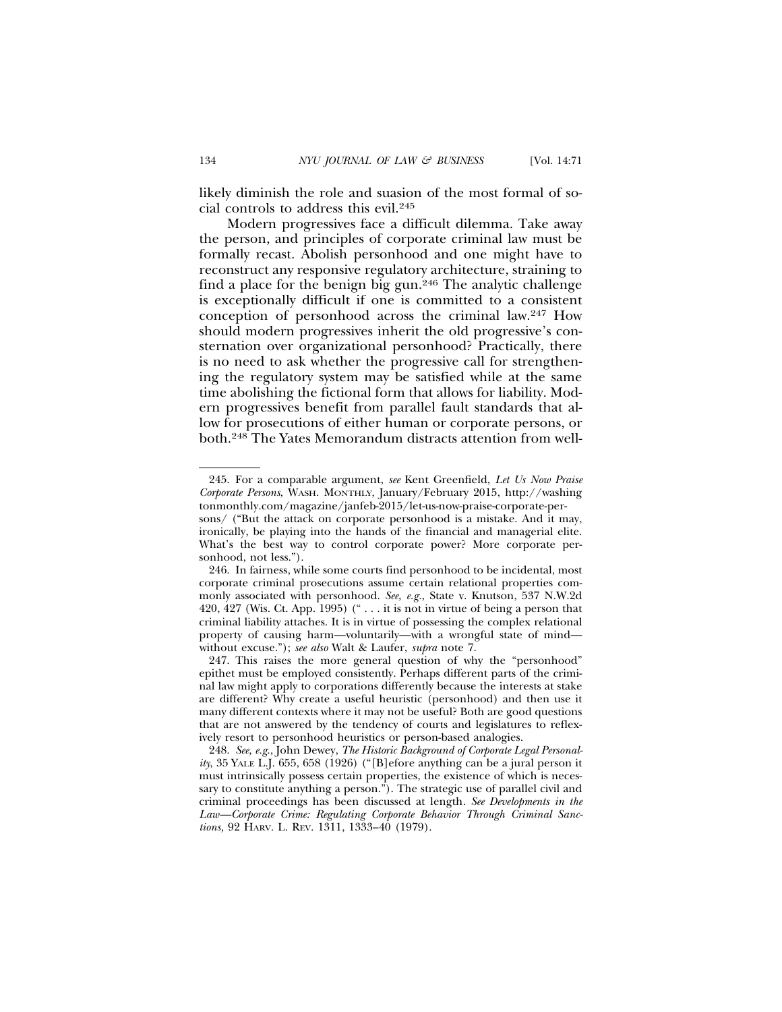likely diminish the role and suasion of the most formal of social controls to address this evil.245

Modern progressives face a difficult dilemma. Take away the person, and principles of corporate criminal law must be formally recast. Abolish personhood and one might have to reconstruct any responsive regulatory architecture, straining to find a place for the benign big gun.246 The analytic challenge is exceptionally difficult if one is committed to a consistent conception of personhood across the criminal law.247 How should modern progressives inherit the old progressive's consternation over organizational personhood? Practically, there is no need to ask whether the progressive call for strengthening the regulatory system may be satisfied while at the same time abolishing the fictional form that allows for liability. Modern progressives benefit from parallel fault standards that allow for prosecutions of either human or corporate persons, or both.248 The Yates Memorandum distracts attention from well-

<sup>245.</sup> For a comparable argument, *see* Kent Greenfield, *Let Us Now Praise Corporate Persons*, WASH. MONTHLY, January/February 2015, http://washing tonmonthly.com/magazine/janfeb-2015/let-us-now-praise-corporate-persons/ ("But the attack on corporate personhood is a mistake. And it may,

ironically, be playing into the hands of the financial and managerial elite. What's the best way to control corporate power? More corporate personhood, not less.").

<sup>246.</sup> In fairness, while some courts find personhood to be incidental, most corporate criminal prosecutions assume certain relational properties commonly associated with personhood. *See, e.g.*, State v. Knutson, 537 N.W.2d 420, 427 (Wis. Ct. App. 1995) (" $\dots$  it is not in virtue of being a person that criminal liability attaches. It is in virtue of possessing the complex relational property of causing harm—voluntarily—with a wrongful state of mind without excuse."); *see also* Walt & Laufer, *supra* note 7.

<sup>247.</sup> This raises the more general question of why the "personhood" epithet must be employed consistently. Perhaps different parts of the criminal law might apply to corporations differently because the interests at stake are different? Why create a useful heuristic (personhood) and then use it many different contexts where it may not be useful? Both are good questions that are not answered by the tendency of courts and legislatures to reflexively resort to personhood heuristics or person-based analogies.

<sup>248.</sup> *See, e.g*., John Dewey, *The Historic Background of Corporate Legal Personality*, 35 YALE L.J. 655, 658 (1926) ("[B]efore anything can be a jural person it must intrinsically possess certain properties, the existence of which is necessary to constitute anything a person."). The strategic use of parallel civil and criminal proceedings has been discussed at length*. See Developments in the Law—Corporate Crime: Regulating Corporate Behavior Through Criminal Sanctions,* 92 HARV. L. REV. 1311, 1333–40 (1979).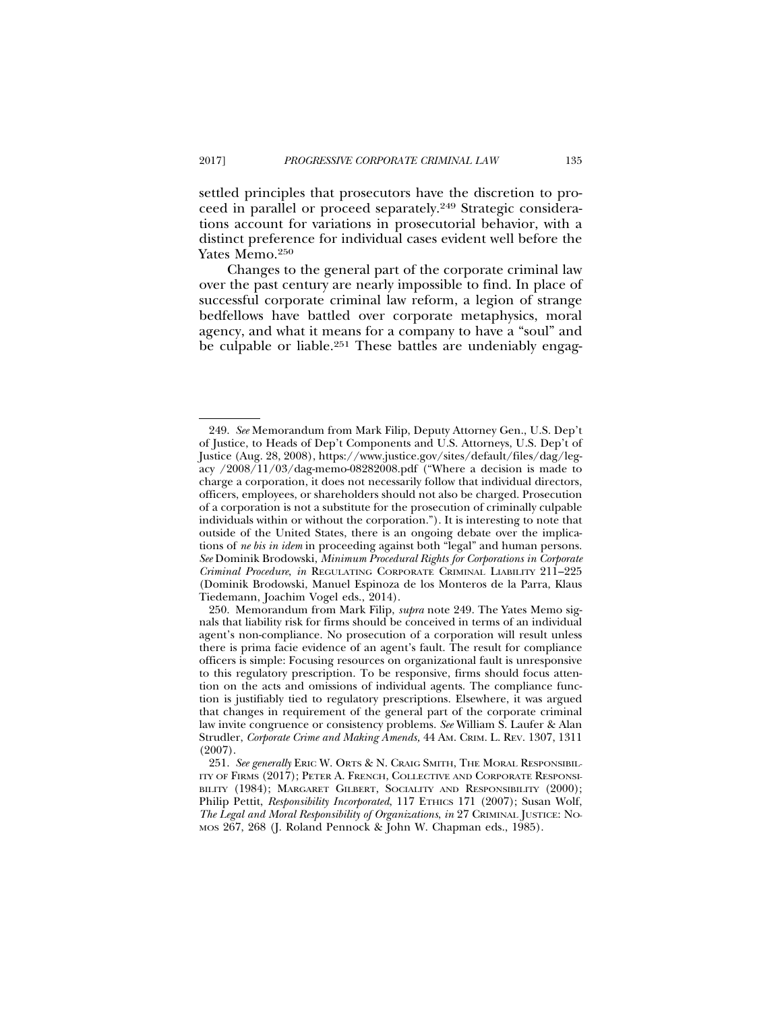settled principles that prosecutors have the discretion to proceed in parallel or proceed separately.249 Strategic considerations account for variations in prosecutorial behavior, with a distinct preference for individual cases evident well before the Yates Memo.<sup>250</sup>

Changes to the general part of the corporate criminal law over the past century are nearly impossible to find. In place of successful corporate criminal law reform, a legion of strange bedfellows have battled over corporate metaphysics, moral agency, and what it means for a company to have a "soul" and be culpable or liable.<sup>251</sup> These battles are undeniably engag-

<sup>249.</sup> *See* Memorandum from Mark Filip, Deputy Attorney Gen., U.S. Dep't of Justice, to Heads of Dep't Components and U.S. Attorneys, U.S. Dep't of Justice (Aug. 28, 2008), https://www.justice.gov/sites/default/files/dag/legacy /2008/11/03/dag-memo-08282008.pdf ("Where a decision is made to charge a corporation, it does not necessarily follow that individual directors, officers, employees, or shareholders should not also be charged. Prosecution of a corporation is not a substitute for the prosecution of criminally culpable individuals within or without the corporation."). It is interesting to note that outside of the United States, there is an ongoing debate over the implications of *ne bis in idem* in proceeding against both "legal" and human persons. *See* Dominik Brodowski, *Minimum Procedural Rights for Corporations in Corporate Criminal Procedure*, *in* REGULATING CORPORATE CRIMINAL LIABILITY 211–225 (Dominik Brodowski, Manuel Espinoza de los Monteros de la Parra, Klaus Tiedemann, Joachim Vogel eds., 2014).

<sup>250.</sup> Memorandum from Mark Filip, *supra* note 249. The Yates Memo signals that liability risk for firms should be conceived in terms of an individual agent's non-compliance. No prosecution of a corporation will result unless there is prima facie evidence of an agent's fault. The result for compliance officers is simple: Focusing resources on organizational fault is unresponsive to this regulatory prescription. To be responsive, firms should focus attention on the acts and omissions of individual agents. The compliance function is justifiably tied to regulatory prescriptions. Elsewhere, it was argued that changes in requirement of the general part of the corporate criminal law invite congruence or consistency problems. *See* William S. Laufer & Alan Strudler, *Corporate Crime and Making Amends,* 44 AM. CRIM. L. REV. 1307, 1311 (2007).

<sup>251.</sup> *See generally* ERIC W. ORTS & N. CRAIG SMITH, THE MORAL RESPONSIBIL-ITY OF FIRMS (2017); PETER A. FRENCH, COLLECTIVE AND CORPORATE RESPONSI-BILITY (1984); MARGARET GILBERT, SOCIALITY AND RESPONSIBILITY (2000); Philip Pettit, *Responsibility Incorporated*, 117 ETHICS 171 (2007); Susan Wolf, *The Legal and Moral Responsibility of Organizations*, *in* 27 CRIMINAL JUSTICE: NO-MOS 267, 268 (J. Roland Pennock & John W. Chapman eds., 1985).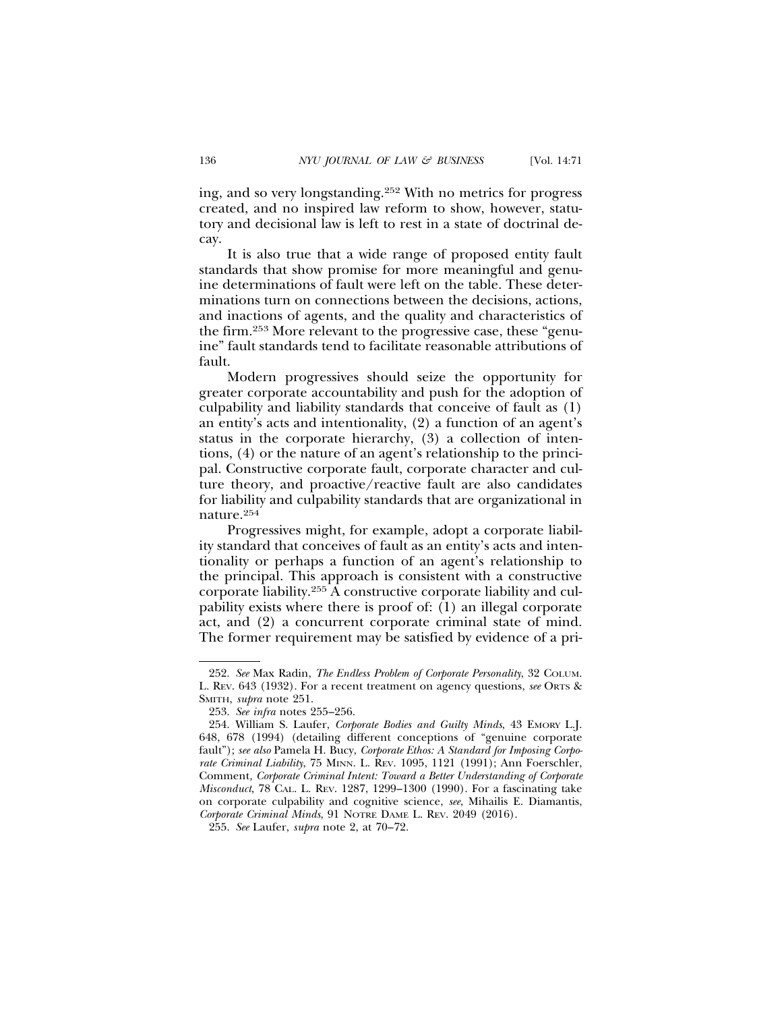ing, and so very longstanding.252 With no metrics for progress created, and no inspired law reform to show, however, statutory and decisional law is left to rest in a state of doctrinal decay.

It is also true that a wide range of proposed entity fault standards that show promise for more meaningful and genuine determinations of fault were left on the table. These determinations turn on connections between the decisions, actions, and inactions of agents, and the quality and characteristics of the firm.253 More relevant to the progressive case, these "genuine" fault standards tend to facilitate reasonable attributions of fault.

Modern progressives should seize the opportunity for greater corporate accountability and push for the adoption of culpability and liability standards that conceive of fault as (1) an entity's acts and intentionality, (2) a function of an agent's status in the corporate hierarchy, (3) a collection of intentions, (4) or the nature of an agent's relationship to the principal. Constructive corporate fault, corporate character and culture theory, and proactive/reactive fault are also candidates for liability and culpability standards that are organizational in nature.254

Progressives might, for example, adopt a corporate liability standard that conceives of fault as an entity's acts and intentionality or perhaps a function of an agent's relationship to the principal. This approach is consistent with a constructive corporate liability.255 A constructive corporate liability and culpability exists where there is proof of: (1) an illegal corporate act, and (2) a concurrent corporate criminal state of mind. The former requirement may be satisfied by evidence of a pri-

<sup>252.</sup> *See* Max Radin, *The Endless Problem of Corporate Personality*, 32 COLUM. L. REV. 643 (1932). For a recent treatment on agency questions, *see* ORTS & SMITH, *supra* note 251.

<sup>253.</sup> *See infra* notes 255–256.

<sup>254.</sup> William S. Laufer, *Corporate Bodies and Guilty Minds*, 43 EMORY L.J. 648, 678 (1994) (detailing different conceptions of "genuine corporate fault"); *see also* Pamela H. Bucy, *Corporate Ethos: A Standard for Imposing Corporate Criminal Liability*, 75 MINN. L. REV. 1095, 1121 (1991); Ann Foerschler, Comment*, Corporate Criminal Intent: Toward a Better Understanding of Corporate Misconduct*, 78 CAL. L. REV. 1287, 1299–1300 (1990). For a fascinating take on corporate culpability and cognitive science, *see*, Mihailis E. Diamantis, *Corporate Criminal Minds*, 91 NOTRE DAME L. REV. 2049 (2016).

<sup>255.</sup> *See* Laufer, *supra* note 2, at 70–72.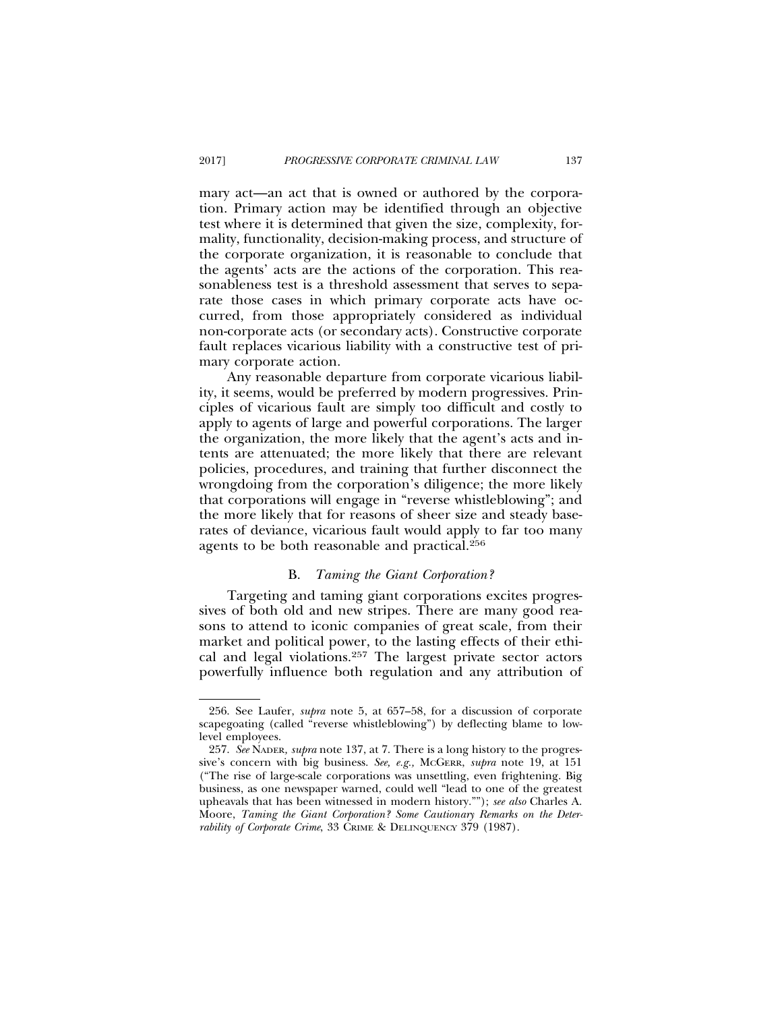mary act—an act that is owned or authored by the corporation. Primary action may be identified through an objective test where it is determined that given the size, complexity, formality, functionality, decision-making process, and structure of the corporate organization, it is reasonable to conclude that the agents' acts are the actions of the corporation. This reasonableness test is a threshold assessment that serves to separate those cases in which primary corporate acts have occurred, from those appropriately considered as individual non-corporate acts (or secondary acts). Constructive corporate fault replaces vicarious liability with a constructive test of primary corporate action.

Any reasonable departure from corporate vicarious liability, it seems, would be preferred by modern progressives. Principles of vicarious fault are simply too difficult and costly to apply to agents of large and powerful corporations. The larger the organization, the more likely that the agent's acts and intents are attenuated; the more likely that there are relevant policies, procedures, and training that further disconnect the wrongdoing from the corporation's diligence; the more likely that corporations will engage in "reverse whistleblowing"; and the more likely that for reasons of sheer size and steady baserates of deviance, vicarious fault would apply to far too many agents to be both reasonable and practical.256

# B. *Taming the Giant Corporation?*

Targeting and taming giant corporations excites progressives of both old and new stripes. There are many good reasons to attend to iconic companies of great scale, from their market and political power, to the lasting effects of their ethical and legal violations.257 The largest private sector actors powerfully influence both regulation and any attribution of

<sup>256.</sup> See Laufer, *supra* note 5, at 657–58, for a discussion of corporate scapegoating (called "reverse whistleblowing") by deflecting blame to lowlevel employees.

<sup>257.</sup> *See* NADER*, supra* note 137, at 7. There is a long history to the progressive's concern with big business. *See, e.g.,* MCGERR, *supra* note 19, at 151 ("The rise of large-scale corporations was unsettling, even frightening. Big business, as one newspaper warned, could well "lead to one of the greatest upheavals that has been witnessed in modern history.""); *see also* Charles A. Moore, *Taming the Giant Corporation? Some Cautionary Remarks on the Deterrability of Corporate Crime*, 33 CRIME & DELINQUENCY 379 (1987).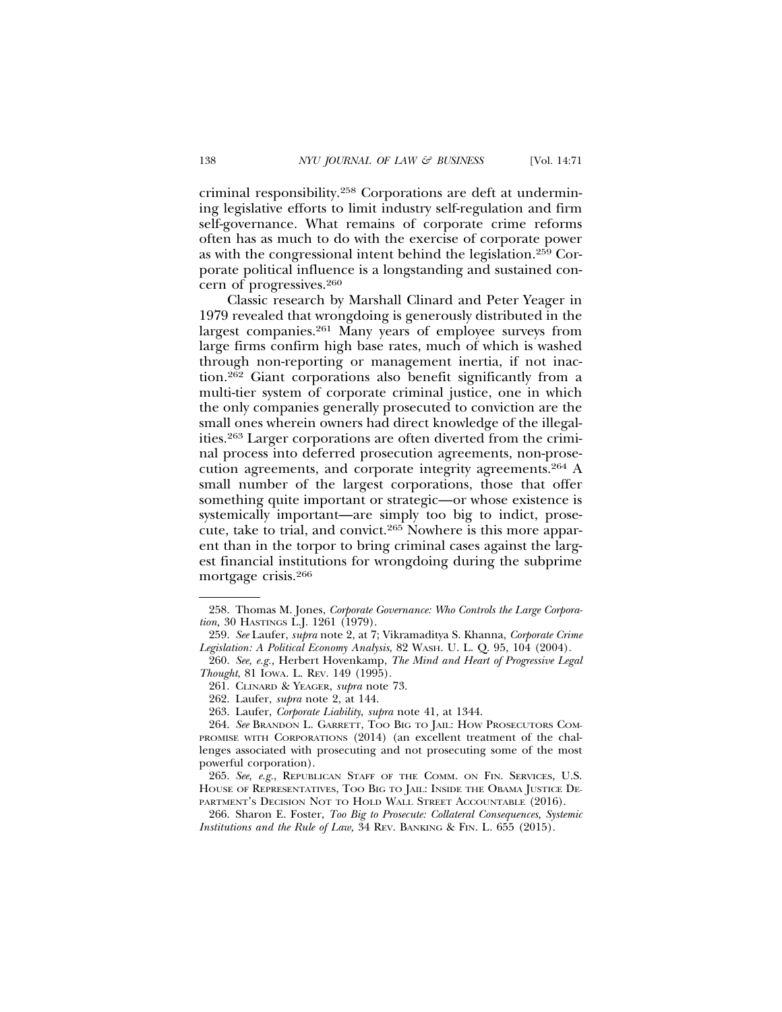criminal responsibility.258 Corporations are deft at undermining legislative efforts to limit industry self-regulation and firm self-governance. What remains of corporate crime reforms often has as much to do with the exercise of corporate power as with the congressional intent behind the legislation.259 Corporate political influence is a longstanding and sustained concern of progressives.260

Classic research by Marshall Clinard and Peter Yeager in 1979 revealed that wrongdoing is generously distributed in the largest companies.261 Many years of employee surveys from large firms confirm high base rates, much of which is washed through non-reporting or management inertia, if not inaction.262 Giant corporations also benefit significantly from a multi-tier system of corporate criminal justice, one in which the only companies generally prosecuted to conviction are the small ones wherein owners had direct knowledge of the illegalities.263 Larger corporations are often diverted from the criminal process into deferred prosecution agreements, non-prosecution agreements, and corporate integrity agreements.264 A small number of the largest corporations, those that offer something quite important or strategic—or whose existence is systemically important—are simply too big to indict, prosecute, take to trial, and convict.265 Nowhere is this more apparent than in the torpor to bring criminal cases against the largest financial institutions for wrongdoing during the subprime mortgage crisis.266

<sup>258.</sup> Thomas M. Jones, *Corporate Governance: Who Controls the Large Corporation,* 30 HASTINGS L.J. 1261 (1979).

<sup>259.</sup> *See* Laufer, *supra* note 2, at 7; Vikramaditya S. Khanna, *Corporate Crime Legislation: A Political Economy Analysis*, 82 WASH. U. L. Q. 95, 104 (2004).

<sup>260.</sup> *See, e.g.,* Herbert Hovenkamp, *The Mind and Heart of Progressive Legal Thought*, 81 IOWA. L. REV. 149 (1995).

<sup>261.</sup> CLINARD & YEAGER, *supra* note 73.

<sup>262.</sup> Laufer, *supra* note 2, at 144.

<sup>263.</sup> Laufer, *Corporate Liability*, *supra* note 41, at 1344.

<sup>264.</sup> *See* BRANDON L. GARRETT, TOO BIG TO JAIL: HOW PROSECUTORS COM-PROMISE WITH CORPORATIONS (2014) (an excellent treatment of the challenges associated with prosecuting and not prosecuting some of the most powerful corporation).

<sup>265.</sup> *See, e.g.*, REPUBLICAN STAFF OF THE COMM. ON FIN. SERVICES, U.S. HOUSE OF REPRESENTATIVES, TOO BIG TO JAIL: INSIDE THE OBAMA JUSTICE DE-PARTMENT'S DECISION NOT TO HOLD WALL STREET ACCOUNTABLE (2016).

<sup>266.</sup> Sharon E. Foster, *Too Big to Prosecute: Collateral Consequences, Systemic Institutions and the Rule of Law,* 34 REV. BANKING & FIN. L*.* 655 (2015).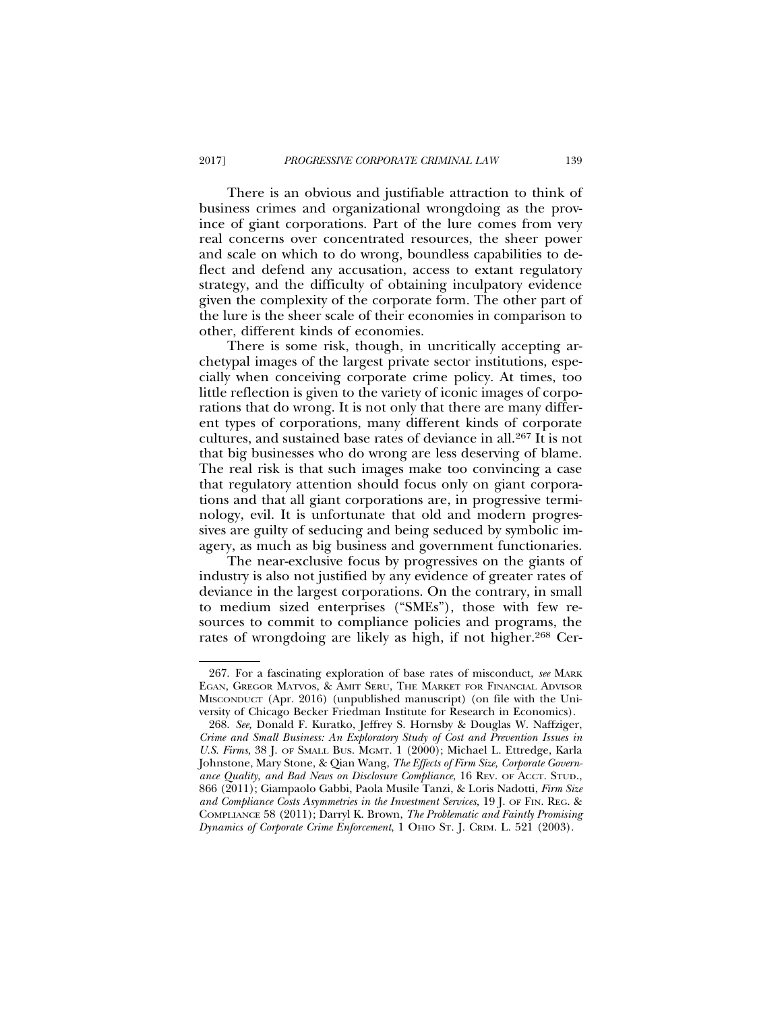There is an obvious and justifiable attraction to think of business crimes and organizational wrongdoing as the province of giant corporations. Part of the lure comes from very real concerns over concentrated resources, the sheer power and scale on which to do wrong, boundless capabilities to deflect and defend any accusation, access to extant regulatory strategy, and the difficulty of obtaining inculpatory evidence given the complexity of the corporate form. The other part of the lure is the sheer scale of their economies in comparison to other, different kinds of economies.

There is some risk, though, in uncritically accepting archetypal images of the largest private sector institutions, especially when conceiving corporate crime policy. At times, too little reflection is given to the variety of iconic images of corporations that do wrong. It is not only that there are many different types of corporations, many different kinds of corporate cultures, and sustained base rates of deviance in all.267 It is not that big businesses who do wrong are less deserving of blame. The real risk is that such images make too convincing a case that regulatory attention should focus only on giant corporations and that all giant corporations are, in progressive terminology, evil. It is unfortunate that old and modern progressives are guilty of seducing and being seduced by symbolic imagery, as much as big business and government functionaries.

The near-exclusive focus by progressives on the giants of industry is also not justified by any evidence of greater rates of deviance in the largest corporations. On the contrary, in small to medium sized enterprises ("SMEs"), those with few resources to commit to compliance policies and programs, the rates of wrongdoing are likely as high, if not higher.268 Cer-

<sup>267.</sup> For a fascinating exploration of base rates of misconduct, *see* MARK EGAN, GREGOR MATVOS, & AMIT SERU, THE MARKET FOR FINANCIAL ADVISOR MISCONDUCT (Apr. 2016) (unpublished manuscript) (on file with the University of Chicago Becker Friedman Institute for Research in Economics).

<sup>268.</sup> *See,* Donald F. Kuratko, Jeffrey S. Hornsby & Douglas W. Naffziger, *Crime and Small Business: An Exploratory Study of Cost and Prevention Issues in U.S. Firms*, 38 J. OF SMALL BUS. MGMT. 1 (2000); Michael L. Ettredge, Karla Johnstone, Mary Stone, & Qian Wang, *The Effects of Firm Size, Corporate Governance Quality, and Bad News on Disclosure Compliance*, 16 REV. OF ACCT. STUD., 866 (2011); Giampaolo Gabbi, Paola Musile Tanzi, & Loris Nadotti, *Firm Size and Compliance Costs Asymmetries in the Investment Services,* 19 J. OF FIN. REG. & COMPLIANCE 58 (2011); Darryl K. Brown, *The Problematic and Faintly Promising Dynamics of Corporate Crime Enforcement*, 1 OHIO ST. J. CRIM. L. 521 (2003).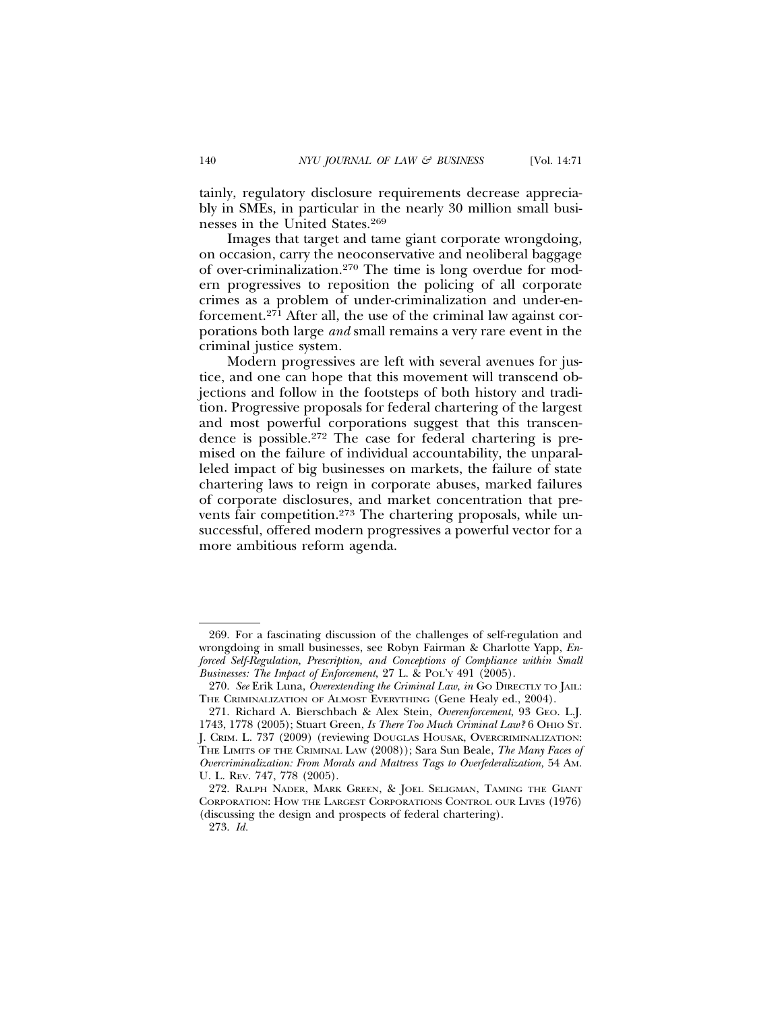tainly, regulatory disclosure requirements decrease appreciably in SMEs, in particular in the nearly 30 million small businesses in the United States.269

Images that target and tame giant corporate wrongdoing, on occasion, carry the neoconservative and neoliberal baggage of over-criminalization.270 The time is long overdue for modern progressives to reposition the policing of all corporate crimes as a problem of under-criminalization and under-enforcement.271 After all, the use of the criminal law against corporations both large *and* small remains a very rare event in the criminal justice system.

Modern progressives are left with several avenues for justice, and one can hope that this movement will transcend objections and follow in the footsteps of both history and tradition. Progressive proposals for federal chartering of the largest and most powerful corporations suggest that this transcendence is possible.272 The case for federal chartering is premised on the failure of individual accountability, the unparalleled impact of big businesses on markets, the failure of state chartering laws to reign in corporate abuses, marked failures of corporate disclosures, and market concentration that prevents fair competition.<sup>273</sup> The chartering proposals, while unsuccessful, offered modern progressives a powerful vector for a more ambitious reform agenda.

<sup>269.</sup> For a fascinating discussion of the challenges of self-regulation and wrongdoing in small businesses, see Robyn Fairman & Charlotte Yapp, *Enforced Self-Regulation, Prescription, and Conceptions of Compliance within Small Businesses: The Impact of Enforcement*, 27 L. & POL'Y 491 (2005).

<sup>270.</sup> *See* Erik Luna, *Overextending the Criminal Law*, *in* GO DIRECTLY TO JAIL: THE CRIMINALIZATION OF ALMOST EVERYTHING (Gene Healy ed., 2004).

<sup>271.</sup> Richard A. Bierschbach & Alex Stein, *Overenforcement*, 93 GEO. L.J. 1743, 1778 (2005); Stuart Green, *Is There Too Much Criminal Law?* 6 OHIO ST. J. CRIM. L. 737 (2009) (reviewing DOUGLAS HOUSAK, OVERCRIMINALIZATION: THE LIMITS OF THE CRIMINAL LAW (2008)); Sara Sun Beale, *The Many Faces of Overcriminalization: From Morals and Mattress Tags to Overfederalization,* 54 AM. U. L. REV. 747, 778 (2005).

<sup>272.</sup> RALPH NADER, MARK GREEN, & JOEL SELIGMAN, TAMING THE GIANT CORPORATION: HOW THE LARGEST CORPORATIONS CONTROL OUR LIVES (1976) (discussing the design and prospects of federal chartering).

<sup>273.</sup> *Id.*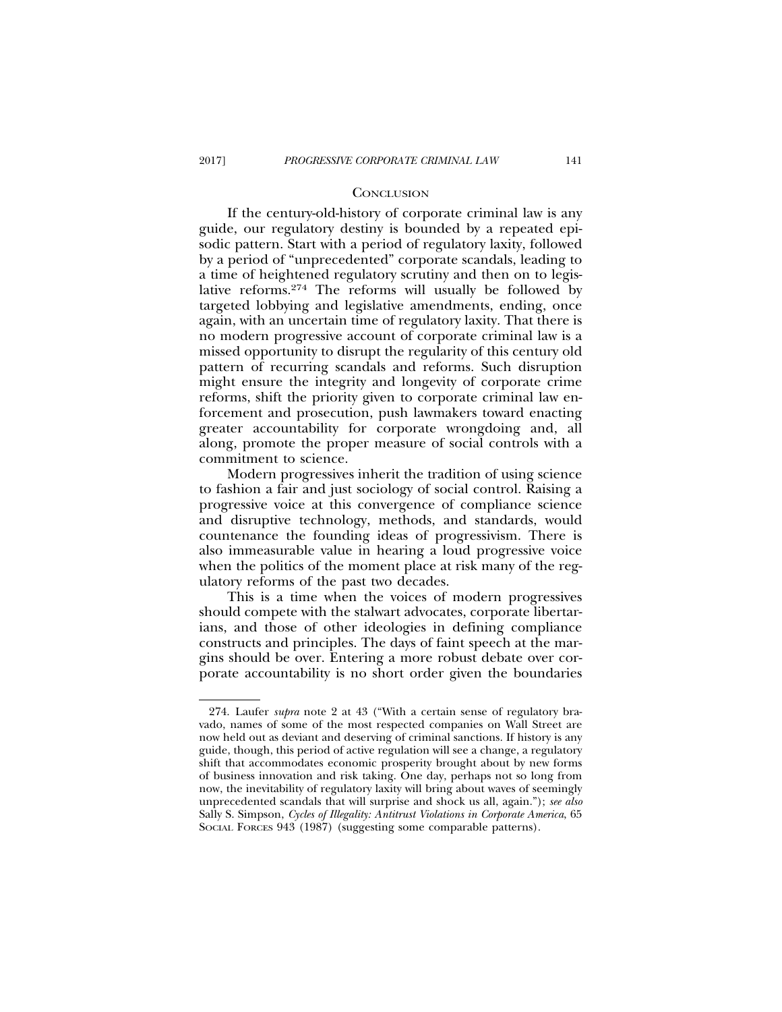### **CONCLUSION**

If the century-old-history of corporate criminal law is any guide, our regulatory destiny is bounded by a repeated episodic pattern. Start with a period of regulatory laxity, followed by a period of "unprecedented" corporate scandals, leading to a time of heightened regulatory scrutiny and then on to legislative reforms.274 The reforms will usually be followed by targeted lobbying and legislative amendments, ending, once again, with an uncertain time of regulatory laxity. That there is no modern progressive account of corporate criminal law is a missed opportunity to disrupt the regularity of this century old pattern of recurring scandals and reforms. Such disruption might ensure the integrity and longevity of corporate crime reforms, shift the priority given to corporate criminal law enforcement and prosecution, push lawmakers toward enacting greater accountability for corporate wrongdoing and, all along, promote the proper measure of social controls with a commitment to science.

Modern progressives inherit the tradition of using science to fashion a fair and just sociology of social control. Raising a progressive voice at this convergence of compliance science and disruptive technology, methods, and standards, would countenance the founding ideas of progressivism. There is also immeasurable value in hearing a loud progressive voice when the politics of the moment place at risk many of the regulatory reforms of the past two decades.

This is a time when the voices of modern progressives should compete with the stalwart advocates, corporate libertarians, and those of other ideologies in defining compliance constructs and principles. The days of faint speech at the margins should be over. Entering a more robust debate over corporate accountability is no short order given the boundaries

<sup>274.</sup> Laufer *supra* note 2 at 43 ("With a certain sense of regulatory bravado, names of some of the most respected companies on Wall Street are now held out as deviant and deserving of criminal sanctions. If history is any guide, though, this period of active regulation will see a change, a regulatory shift that accommodates economic prosperity brought about by new forms of business innovation and risk taking. One day, perhaps not so long from now, the inevitability of regulatory laxity will bring about waves of seemingly unprecedented scandals that will surprise and shock us all, again."); *see also* Sally S. Simpson, *Cycles of Illegality: Antitrust Violations in Corporate America*, 65 SOCIAL FORCES 943 (1987) (suggesting some comparable patterns).